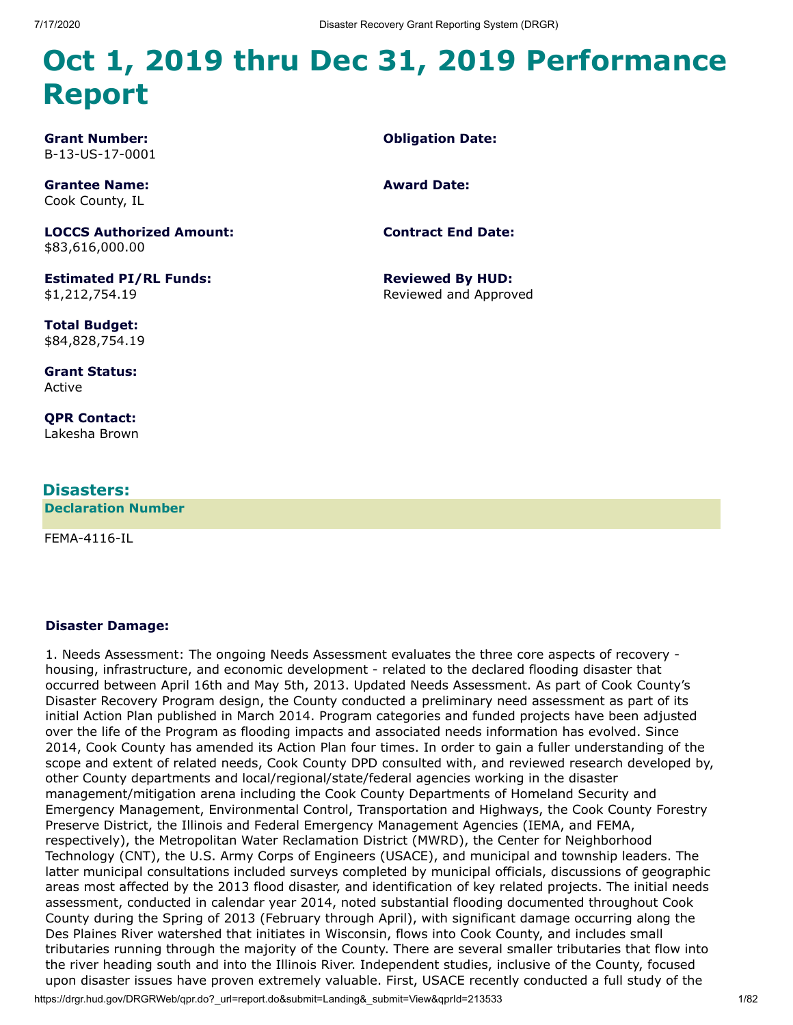**Obligation Date:**

**Contract End Date:**

**Reviewed By HUD:** Reviewed and Approved

**Award Date:**

# **Oct 1, 2019 thru Dec 31, 2019 Performance Report**

**Grant Number:** B-13-US-17-0001

**Grantee Name:** Cook County, IL

**LOCCS Authorized Amount:** \$83,616,000.00

**Estimated PI/RL Funds:** \$1,212,754.19

**Total Budget:** \$84,828,754.19

**Grant Status:** Active

**QPR Contact:** Lakesha Brown

#### **Disasters:**

**Declaration Number**

FEMA-4116-IL

#### **Disaster Damage:**

1. Needs Assessment: The ongoing Needs Assessment evaluates the three core aspects of recovery housing, infrastructure, and economic development - related to the declared flooding disaster that occurred between April 16th and May 5th, 2013. Updated Needs Assessment. As part of Cook County's Disaster Recovery Program design, the County conducted a preliminary need assessment as part of its initial Action Plan published in March 2014. Program categories and funded projects have been adjusted over the life of the Program as flooding impacts and associated needs information has evolved. Since 2014, Cook County has amended its Action Plan four times. In order to gain a fuller understanding of the scope and extent of related needs, Cook County DPD consulted with, and reviewed research developed by, other County departments and local/regional/state/federal agencies working in the disaster management/mitigation arena including the Cook County Departments of Homeland Security and Emergency Management, Environmental Control, Transportation and Highways, the Cook County Forestry Preserve District, the Illinois and Federal Emergency Management Agencies (IEMA, and FEMA, respectively), the Metropolitan Water Reclamation District (MWRD), the Center for Neighborhood Technology (CNT), the U.S. Army Corps of Engineers (USACE), and municipal and township leaders. The latter municipal consultations included surveys completed by municipal officials, discussions of geographic areas most affected by the 2013 flood disaster, and identification of key related projects. The initial needs assessment, conducted in calendar year 2014, noted substantial flooding documented throughout Cook County during the Spring of 2013 (February through April), with significant damage occurring along the Des Plaines River watershed that initiates in Wisconsin, flows into Cook County, and includes small tributaries running through the majority of the County. There are several smaller tributaries that flow into the river heading south and into the Illinois River. Independent studies, inclusive of the County, focused upon disaster issues have proven extremely valuable. First, USACE recently conducted a full study of the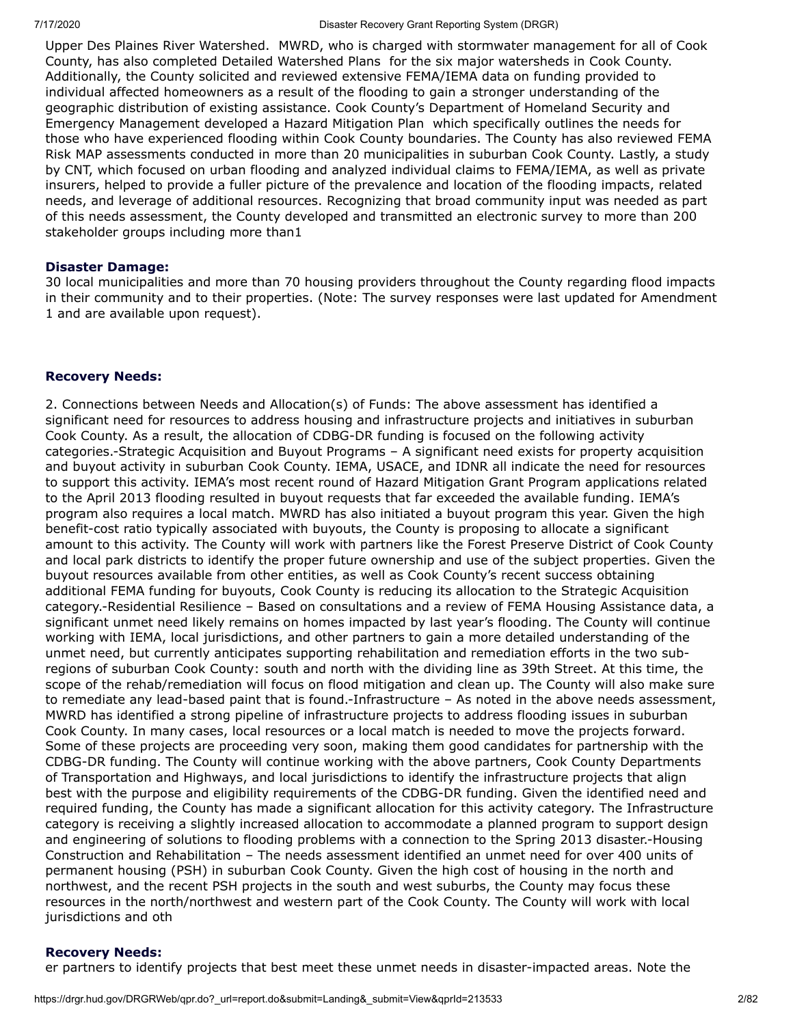Upper Des Plaines River Watershed. MWRD, who is charged with stormwater management for all of Cook County, has also completed Detailed Watershed Plans for the six major watersheds in Cook County. Additionally, the County solicited and reviewed extensive FEMA/IEMA data on funding provided to individual affected homeowners as a result of the flooding to gain a stronger understanding of the geographic distribution of existing assistance. Cook County's Department of Homeland Security and Emergency Management developed a Hazard Mitigation Plan which specifically outlines the needs for those who have experienced flooding within Cook County boundaries. The County has also reviewed FEMA Risk MAP assessments conducted in more than 20 municipalities in suburban Cook County. Lastly, a study by CNT, which focused on urban flooding and analyzed individual claims to FEMA/IEMA, as well as private insurers, helped to provide a fuller picture of the prevalence and location of the flooding impacts, related needs, and leverage of additional resources. Recognizing that broad community input was needed as part of this needs assessment, the County developed and transmitted an electronic survey to more than 200 stakeholder groups including more than1

#### **Disaster Damage:**

30 local municipalities and more than 70 housing providers throughout the County regarding flood impacts in their community and to their properties. (Note: The survey responses were last updated for Amendment 1 and are available upon request).

#### **Recovery Needs:**

2. Connections between Needs and Allocation(s) of Funds: The above assessment has identified a significant need for resources to address housing and infrastructure projects and initiatives in suburban Cook County. As a result, the allocation of CDBG-DR funding is focused on the following activity categories.-Strategic Acquisition and Buyout Programs – A significant need exists for property acquisition and buyout activity in suburban Cook County. IEMA, USACE, and IDNR all indicate the need for resources to support this activity. IEMA's most recent round of Hazard Mitigation Grant Program applications related to the April 2013 flooding resulted in buyout requests that far exceeded the available funding. IEMA's program also requires a local match. MWRD has also initiated a buyout program this year. Given the high benefit-cost ratio typically associated with buyouts, the County is proposing to allocate a significant amount to this activity. The County will work with partners like the Forest Preserve District of Cook County and local park districts to identify the proper future ownership and use of the subject properties. Given the buyout resources available from other entities, as well as Cook County's recent success obtaining additional FEMA funding for buyouts, Cook County is reducing its allocation to the Strategic Acquisition category.-Residential Resilience – Based on consultations and a review of FEMA Housing Assistance data, a significant unmet need likely remains on homes impacted by last year's flooding. The County will continue working with IEMA, local jurisdictions, and other partners to gain a more detailed understanding of the unmet need, but currently anticipates supporting rehabilitation and remediation efforts in the two subregions of suburban Cook County: south and north with the dividing line as 39th Street. At this time, the scope of the rehab/remediation will focus on flood mitigation and clean up. The County will also make sure to remediate any lead-based paint that is found.-Infrastructure – As noted in the above needs assessment, MWRD has identified a strong pipeline of infrastructure projects to address flooding issues in suburban Cook County. In many cases, local resources or a local match is needed to move the projects forward. Some of these projects are proceeding very soon, making them good candidates for partnership with the CDBG-DR funding. The County will continue working with the above partners, Cook County Departments of Transportation and Highways, and local jurisdictions to identify the infrastructure projects that align best with the purpose and eligibility requirements of the CDBG-DR funding. Given the identified need and required funding, the County has made a significant allocation for this activity category. The Infrastructure category is receiving a slightly increased allocation to accommodate a planned program to support design and engineering of solutions to flooding problems with a connection to the Spring 2013 disaster.-Housing Construction and Rehabilitation – The needs assessment identified an unmet need for over 400 units of permanent housing (PSH) in suburban Cook County. Given the high cost of housing in the north and northwest, and the recent PSH projects in the south and west suburbs, the County may focus these resources in the north/northwest and western part of the Cook County. The County will work with local jurisdictions and oth

#### **Recovery Needs:**

er partners to identify projects that best meet these unmet needs in disaster-impacted areas. Note the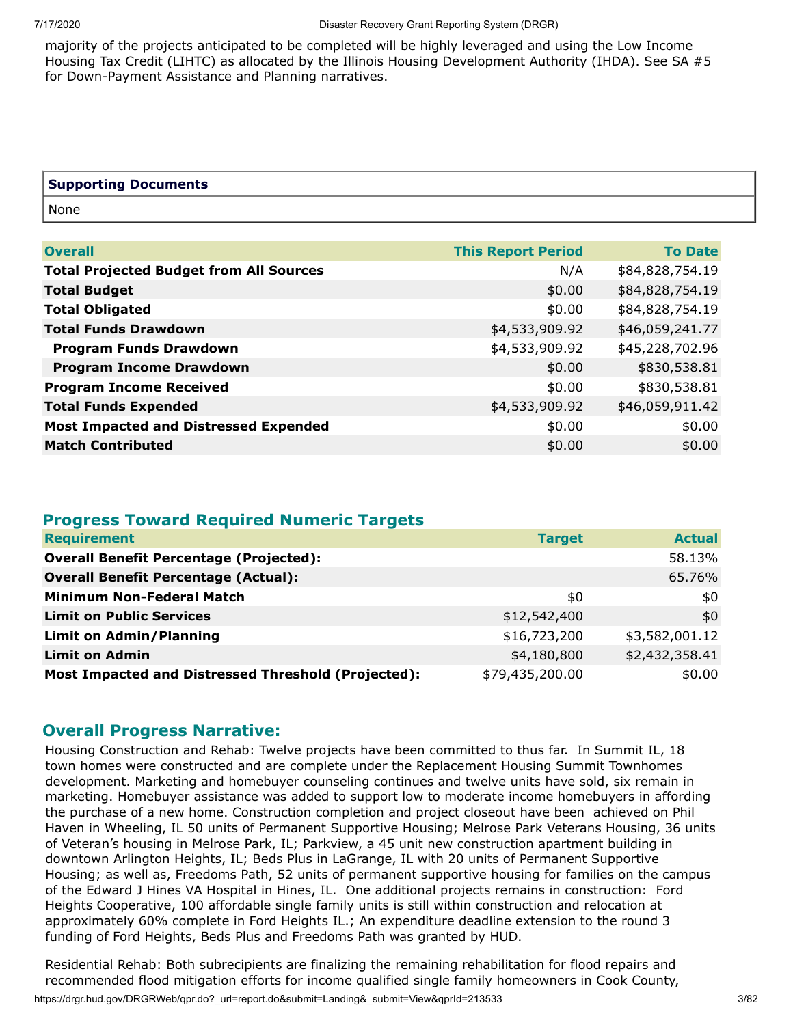majority of the projects anticipated to be completed will be highly leveraged and using the Low Income Housing Tax Credit (LIHTC) as allocated by the Illinois Housing Development Authority (IHDA). See SA #5 for Down-Payment Assistance and Planning narratives.

| <b>Supporting Documents</b> |  |
|-----------------------------|--|
| None                        |  |

| <b>Overall</b>                                 | <b>This Report Period</b> | <b>To Date</b>  |
|------------------------------------------------|---------------------------|-----------------|
| <b>Total Projected Budget from All Sources</b> | N/A                       | \$84,828,754.19 |
| <b>Total Budget</b>                            | \$0.00                    | \$84,828,754.19 |
| <b>Total Obligated</b>                         | \$0.00                    | \$84,828,754.19 |
| <b>Total Funds Drawdown</b>                    | \$4,533,909.92            | \$46,059,241.77 |
| <b>Program Funds Drawdown</b>                  | \$4,533,909.92            | \$45,228,702.96 |
| <b>Program Income Drawdown</b>                 | \$0.00                    | \$830,538.81    |
| <b>Program Income Received</b>                 | \$0.00                    | \$830,538.81    |
| <b>Total Funds Expended</b>                    | \$4,533,909.92            | \$46,059,911.42 |
| <b>Most Impacted and Distressed Expended</b>   | \$0.00                    | \$0.00          |
| <b>Match Contributed</b>                       | \$0.00                    | \$0.00          |
|                                                |                           |                 |

#### **Progress Toward Required Numeric Targets**

| <b>Requirement</b>                                  | <b>Target</b>   | <b>Actual</b>  |
|-----------------------------------------------------|-----------------|----------------|
| <b>Overall Benefit Percentage (Projected):</b>      |                 | 58.13%         |
| <b>Overall Benefit Percentage (Actual):</b>         |                 | 65.76%         |
| <b>Minimum Non-Federal Match</b>                    | \$0             | \$0            |
| <b>Limit on Public Services</b>                     | \$12,542,400    | \$0            |
| <b>Limit on Admin/Planning</b>                      | \$16,723,200    | \$3,582,001.12 |
| <b>Limit on Admin</b>                               | \$4,180,800     | \$2,432,358.41 |
| Most Impacted and Distressed Threshold (Projected): | \$79,435,200.00 | \$0.00         |

#### **Overall Progress Narrative:**

Housing Construction and Rehab: Twelve projects have been committed to thus far. In Summit IL, 18 town homes were constructed and are complete under the Replacement Housing Summit Townhomes development. Marketing and homebuyer counseling continues and twelve units have sold, six remain in marketing. Homebuyer assistance was added to support low to moderate income homebuyers in affording the purchase of a new home. Construction completion and project closeout have been achieved on Phil Haven in Wheeling, IL 50 units of Permanent Supportive Housing; Melrose Park Veterans Housing, 36 units of Veteran's housing in Melrose Park, IL; Parkview, a 45 unit new construction apartment building in downtown Arlington Heights, IL; Beds Plus in LaGrange, IL with 20 units of Permanent Supportive Housing; as well as, Freedoms Path, 52 units of permanent supportive housing for families on the campus of the Edward J Hines VA Hospital in Hines, IL. One additional projects remains in construction: Ford Heights Cooperative, 100 affordable single family units is still within construction and relocation at approximately 60% complete in Ford Heights IL.; An expenditure deadline extension to the round 3 funding of Ford Heights, Beds Plus and Freedoms Path was granted by HUD.

https://drgr.hud.gov/DRGRWeb/qpr.do?\_url=report.do&submit=Landing&\_submit=View&qprId=213533 3/82 Residential Rehab: Both subrecipients are finalizing the remaining rehabilitation for flood repairs and recommended flood mitigation efforts for income qualified single family homeowners in Cook County,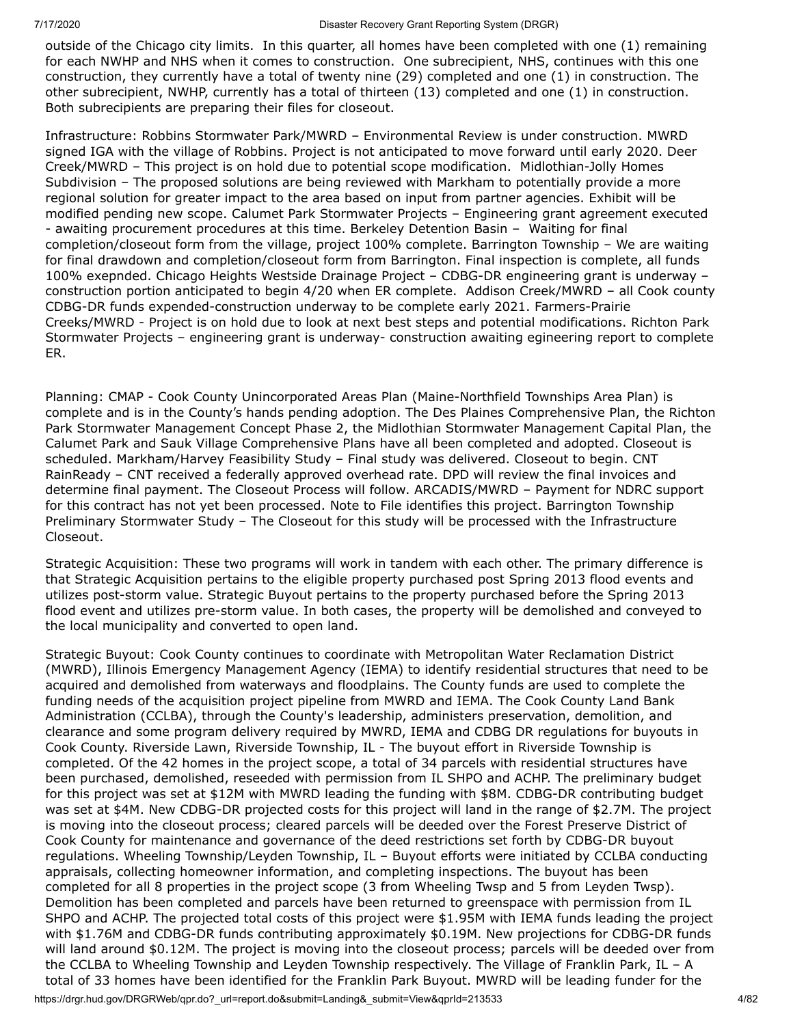outside of the Chicago city limits. In this quarter, all homes have been completed with one (1) remaining for each NWHP and NHS when it comes to construction. One subrecipient, NHS, continues with this one construction, they currently have a total of twenty nine (29) completed and one (1) in construction. The other subrecipient, NWHP, currently has a total of thirteen (13) completed and one (1) in construction. Both subrecipients are preparing their files for closeout.

Infrastructure: Robbins Stormwater Park/MWRD – Environmental Review is under construction. MWRD signed IGA with the village of Robbins. Project is not anticipated to move forward until early 2020. Deer Creek/MWRD – This project is on hold due to potential scope modification. Midlothian-Jolly Homes Subdivision – The proposed solutions are being reviewed with Markham to potentially provide a more regional solution for greater impact to the area based on input from partner agencies. Exhibit will be modified pending new scope. Calumet Park Stormwater Projects – Engineering grant agreement executed - awaiting procurement procedures at this time. Berkeley Detention Basin – Waiting for final completion/closeout form from the village, project 100% complete. Barrington Township – We are waiting for final drawdown and completion/closeout form from Barrington. Final inspection is complete, all funds 100% exepnded. Chicago Heights Westside Drainage Project – CDBG-DR engineering grant is underway – construction portion anticipated to begin 4/20 when ER complete. Addison Creek/MWRD – all Cook county CDBG-DR funds expended-construction underway to be complete early 2021. Farmers-Prairie Creeks/MWRD - Project is on hold due to look at next best steps and potential modifications. Richton Park Stormwater Projects – engineering grant is underway- construction awaiting egineering report to complete ER.

Planning: CMAP - Cook County Unincorporated Areas Plan (Maine-Northfield Townships Area Plan) is complete and is in the County's hands pending adoption. The Des Plaines Comprehensive Plan, the Richton Park Stormwater Management Concept Phase 2, the Midlothian Stormwater Management Capital Plan, the Calumet Park and Sauk Village Comprehensive Plans have all been completed and adopted. Closeout is scheduled. Markham/Harvey Feasibility Study – Final study was delivered. Closeout to begin. CNT RainReady – CNT received a federally approved overhead rate. DPD will review the final invoices and determine final payment. The Closeout Process will follow. ARCADIS/MWRD – Payment for NDRC support for this contract has not yet been processed. Note to File identifies this project. Barrington Township Preliminary Stormwater Study – The Closeout for this study will be processed with the Infrastructure Closeout.

Strategic Acquisition: These two programs will work in tandem with each other. The primary difference is that Strategic Acquisition pertains to the eligible property purchased post Spring 2013 flood events and utilizes post-storm value. Strategic Buyout pertains to the property purchased before the Spring 2013 flood event and utilizes pre-storm value. In both cases, the property will be demolished and conveyed to the local municipality and converted to open land.

Strategic Buyout: Cook County continues to coordinate with Metropolitan Water Reclamation District (MWRD), Illinois Emergency Management Agency (IEMA) to identify residential structures that need to be acquired and demolished from waterways and floodplains. The County funds are used to complete the funding needs of the acquisition project pipeline from MWRD and IEMA. The Cook County Land Bank Administration (CCLBA), through the County's leadership, administers preservation, demolition, and clearance and some program delivery required by MWRD, IEMA and CDBG DR regulations for buyouts in Cook County. Riverside Lawn, Riverside Township, IL - The buyout effort in Riverside Township is completed. Of the 42 homes in the project scope, a total of 34 parcels with residential structures have been purchased, demolished, reseeded with permission from IL SHPO and ACHP. The preliminary budget for this project was set at \$12M with MWRD leading the funding with \$8M. CDBG-DR contributing budget was set at \$4M. New CDBG-DR projected costs for this project will land in the range of \$2.7M. The project is moving into the closeout process; cleared parcels will be deeded over the Forest Preserve District of Cook County for maintenance and governance of the deed restrictions set forth by CDBG-DR buyout regulations. Wheeling Township/Leyden Township, IL – Buyout efforts were initiated by CCLBA conducting appraisals, collecting homeowner information, and completing inspections. The buyout has been completed for all 8 properties in the project scope (3 from Wheeling Twsp and 5 from Leyden Twsp). Demolition has been completed and parcels have been returned to greenspace with permission from IL SHPO and ACHP. The projected total costs of this project were \$1.95M with IEMA funds leading the project with \$1.76M and CDBG-DR funds contributing approximately \$0.19M. New projections for CDBG-DR funds will land around \$0.12M. The project is moving into the closeout process; parcels will be deeded over from the CCLBA to Wheeling Township and Leyden Township respectively. The Village of Franklin Park, IL – A total of 33 homes have been identified for the Franklin Park Buyout. MWRD will be leading funder for the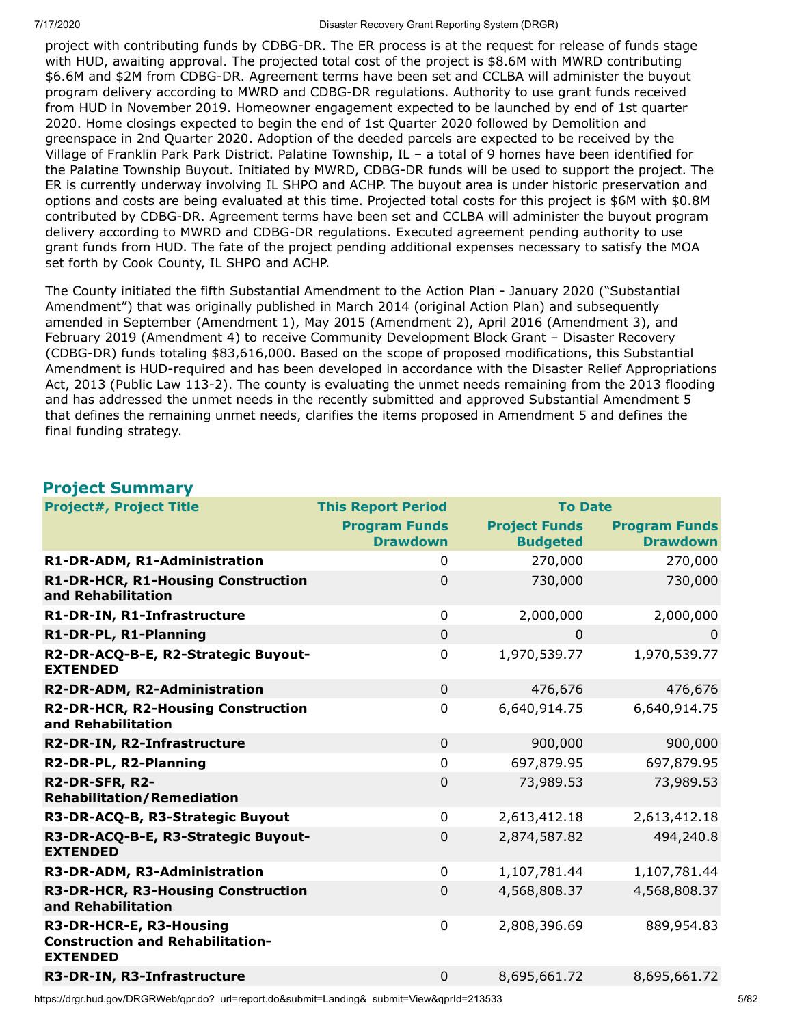project with contributing funds by CDBG-DR. The ER process is at the request for release of funds stage with HUD, awaiting approval. The projected total cost of the project is \$8.6M with MWRD contributing \$6.6M and \$2M from CDBG-DR. Agreement terms have been set and CCLBA will administer the buyout program delivery according to MWRD and CDBG-DR regulations. Authority to use grant funds received from HUD in November 2019. Homeowner engagement expected to be launched by end of 1st quarter 2020. Home closings expected to begin the end of 1st Quarter 2020 followed by Demolition and greenspace in 2nd Quarter 2020. Adoption of the deeded parcels are expected to be received by the Village of Franklin Park Park District. Palatine Township, IL – a total of 9 homes have been identified for the Palatine Township Buyout. Initiated by MWRD, CDBG-DR funds will be used to support the project. The ER is currently underway involving IL SHPO and ACHP. The buyout area is under historic preservation and options and costs are being evaluated at this time. Projected total costs for this project is \$6M with \$0.8M contributed by CDBG-DR. Agreement terms have been set and CCLBA will administer the buyout program delivery according to MWRD and CDBG-DR regulations. Executed agreement pending authority to use grant funds from HUD. The fate of the project pending additional expenses necessary to satisfy the MOA set forth by Cook County, IL SHPO and ACHP.

The County initiated the fifth Substantial Amendment to the Action Plan - January 2020 ("Substantial Amendment") that was originally published in March 2014 (original Action Plan) and subsequently amended in September (Amendment 1), May 2015 (Amendment 2), April 2016 (Amendment 3), and February 2019 (Amendment 4) to receive Community Development Block Grant – Disaster Recovery (CDBG-DR) funds totaling \$83,616,000. Based on the scope of proposed modifications, this Substantial Amendment is HUD-required and has been developed in accordance with the Disaster Relief Appropriations Act, 2013 (Public Law 113-2). The county is evaluating the unmet needs remaining from the 2013 flooding and has addressed the unmet needs in the recently submitted and approved Substantial Amendment 5 that defines the remaining unmet needs, clarifies the items proposed in Amendment 5 and defines the final funding strategy.

#### **Project Summary**

| <b>Project#, Project Title</b>                                                        | <b>This Report Period</b> | <b>To Date</b>       |                      |
|---------------------------------------------------------------------------------------|---------------------------|----------------------|----------------------|
|                                                                                       | <b>Program Funds</b>      | <b>Project Funds</b> | <b>Program Funds</b> |
|                                                                                       | <b>Drawdown</b>           | <b>Budgeted</b>      | <b>Drawdown</b>      |
| R1-DR-ADM, R1-Administration                                                          | 0                         | 270,000              | 270,000              |
| R1-DR-HCR, R1-Housing Construction<br>and Rehabilitation                              | 0                         | 730,000              | 730,000              |
| R1-DR-IN, R1-Infrastructure                                                           | $\mathbf 0$               | 2,000,000            | 2,000,000            |
| R1-DR-PL, R1-Planning                                                                 | $\mathbf 0$               | 0                    | 0                    |
| R2-DR-ACQ-B-E, R2-Strategic Buyout-<br><b>EXTENDED</b>                                | $\pmb{0}$                 | 1,970,539.77         | 1,970,539.77         |
| R2-DR-ADM, R2-Administration                                                          | $\overline{0}$            | 476,676              | 476,676              |
| R2-DR-HCR, R2-Housing Construction<br>and Rehabilitation                              | $\mathbf 0$               | 6,640,914.75         | 6,640,914.75         |
| R2-DR-IN, R2-Infrastructure                                                           | $\mathbf 0$               | 900,000              | 900,000              |
| R2-DR-PL, R2-Planning                                                                 | $\mathbf 0$               | 697,879.95           | 697,879.95           |
| R2-DR-SFR, R2-<br><b>Rehabilitation/Remediation</b>                                   | $\mathbf 0$               | 73,989.53            | 73,989.53            |
| R3-DR-ACQ-B, R3-Strategic Buyout                                                      | 0                         | 2,613,412.18         | 2,613,412.18         |
| R3-DR-ACQ-B-E, R3-Strategic Buyout-<br><b>EXTENDED</b>                                | $\mathbf 0$               | 2,874,587.82         | 494,240.8            |
| R3-DR-ADM, R3-Administration                                                          | $\mathbf 0$               | 1,107,781.44         | 1,107,781.44         |
| R3-DR-HCR, R3-Housing Construction<br>and Rehabilitation                              | 0                         | 4,568,808.37         | 4,568,808.37         |
| R3-DR-HCR-E, R3-Housing<br><b>Construction and Rehabilitation-</b><br><b>EXTENDED</b> | $\mathbf 0$               | 2,808,396.69         | 889,954.83           |
| R3-DR-IN, R3-Infrastructure                                                           | $\overline{0}$            | 8,695,661.72         | 8,695,661.72         |

https://drgr.hud.gov/DRGRWeb/qpr.do?\_url=report.do&submit=Landing&\_submit=View&qprId=213533 5/82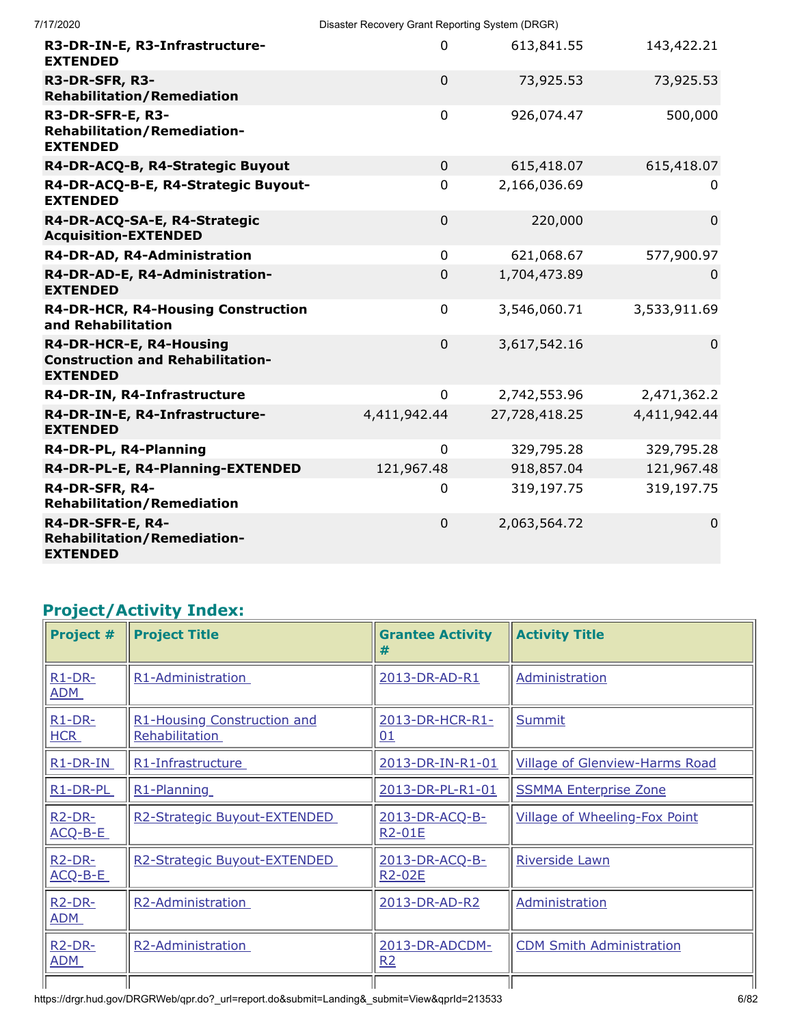| 7/17/2020                                                                             | Disaster Recovery Grant Reporting System (DRGR) |               |                |
|---------------------------------------------------------------------------------------|-------------------------------------------------|---------------|----------------|
| R3-DR-IN-E, R3-Infrastructure-<br><b>EXTENDED</b>                                     | 0                                               | 613,841.55    | 143,422.21     |
| R3-DR-SFR, R3-<br><b>Rehabilitation/Remediation</b>                                   | $\mathbf 0$                                     | 73,925.53     | 73,925.53      |
| R3-DR-SFR-E, R3-<br><b>Rehabilitation/Remediation-</b><br><b>EXTENDED</b>             | $\mathbf 0$                                     | 926,074.47    | 500,000        |
| R4-DR-ACQ-B, R4-Strategic Buyout                                                      | $\mathbf 0$                                     | 615,418.07    | 615,418.07     |
| R4-DR-ACQ-B-E, R4-Strategic Buyout-<br><b>EXTENDED</b>                                | 0                                               | 2,166,036.69  | $\Omega$       |
| R4-DR-ACQ-SA-E, R4-Strategic<br><b>Acquisition-EXTENDED</b>                           | $\mathbf 0$                                     | 220,000       | $\overline{0}$ |
| R4-DR-AD, R4-Administration                                                           | $\mathbf 0$                                     | 621,068.67    | 577,900.97     |
| R4-DR-AD-E, R4-Administration-<br><b>EXTENDED</b>                                     | 0                                               | 1,704,473.89  | $\Omega$       |
| R4-DR-HCR, R4-Housing Construction<br>and Rehabilitation                              | $\pmb{0}$                                       | 3,546,060.71  | 3,533,911.69   |
| R4-DR-HCR-E, R4-Housing<br><b>Construction and Rehabilitation-</b><br><b>EXTENDED</b> | $\mathbf 0$                                     | 3,617,542.16  | $\mathbf 0$    |
| R4-DR-IN, R4-Infrastructure                                                           | $\mathbf 0$                                     | 2,742,553.96  | 2,471,362.2    |
| R4-DR-IN-E, R4-Infrastructure-<br><b>EXTENDED</b>                                     | 4,411,942.44                                    | 27,728,418.25 | 4,411,942.44   |
| R4-DR-PL, R4-Planning                                                                 | $\mathbf 0$                                     | 329,795.28    | 329,795.28     |
| R4-DR-PL-E, R4-Planning-EXTENDED                                                      | 121,967.48                                      | 918,857.04    | 121,967.48     |
| R4-DR-SFR, R4-<br><b>Rehabilitation/Remediation</b>                                   | 0                                               | 319,197.75    | 319,197.75     |
| R4-DR-SFR-E, R4-<br><b>Rehabilitation/Remediation-</b><br><b>EXTENDED</b>             | 0                                               | 2,063,564.72  | $\mathbf 0$    |

# **Project/Activity Index:**

| Project #                         | <b>Project Title</b>                          | <b>Grantee Activity</b><br>#          | <b>Activity Title</b>                 |
|-----------------------------------|-----------------------------------------------|---------------------------------------|---------------------------------------|
| $R1-DR-$<br><b>ADM</b>            | R1-Administration                             | 2013-DR-AD-R1                         | Administration                        |
| $R1-DR-$<br><b>HCR</b>            | R1-Housing Construction and<br>Rehabilitation | 2013-DR-HCR-R1-<br>01                 | <b>Summit</b>                         |
| $R1$ -DR-IN                       | R1-Infrastructure                             | 2013-DR-IN-R1-01                      | <b>Village of Glenview-Harms Road</b> |
| R1-DR-PL                          | R1-Planning                                   | 2013-DR-PL-R1-01                      | <b>SSMMA Enterprise Zone</b>          |
| <b>R2-DR-</b><br>$ACQ-B-E$        | R2-Strategic Buyout-EXTENDED                  | 2013-DR-ACQ-B-<br><b>R2-01E</b>       | <b>Village of Wheeling-Fox Point</b>  |
| $R2-DR-$<br>ACQ-B-E               | R2-Strategic Buyout-EXTENDED                  | 2013-DR-ACQ-B-<br>R <sub>2</sub> -02E | <b>Riverside Lawn</b>                 |
| R <sub>2</sub> -DR-<br><b>ADM</b> | R2-Administration                             | 2013-DR-AD-R2                         | Administration                        |
| $R2-DR-$<br><b>ADM</b>            | R2-Administration                             | 2013-DR-ADCDM-<br>R2                  | <b>CDM Smith Administration</b>       |
|                                   |                                               |                                       |                                       |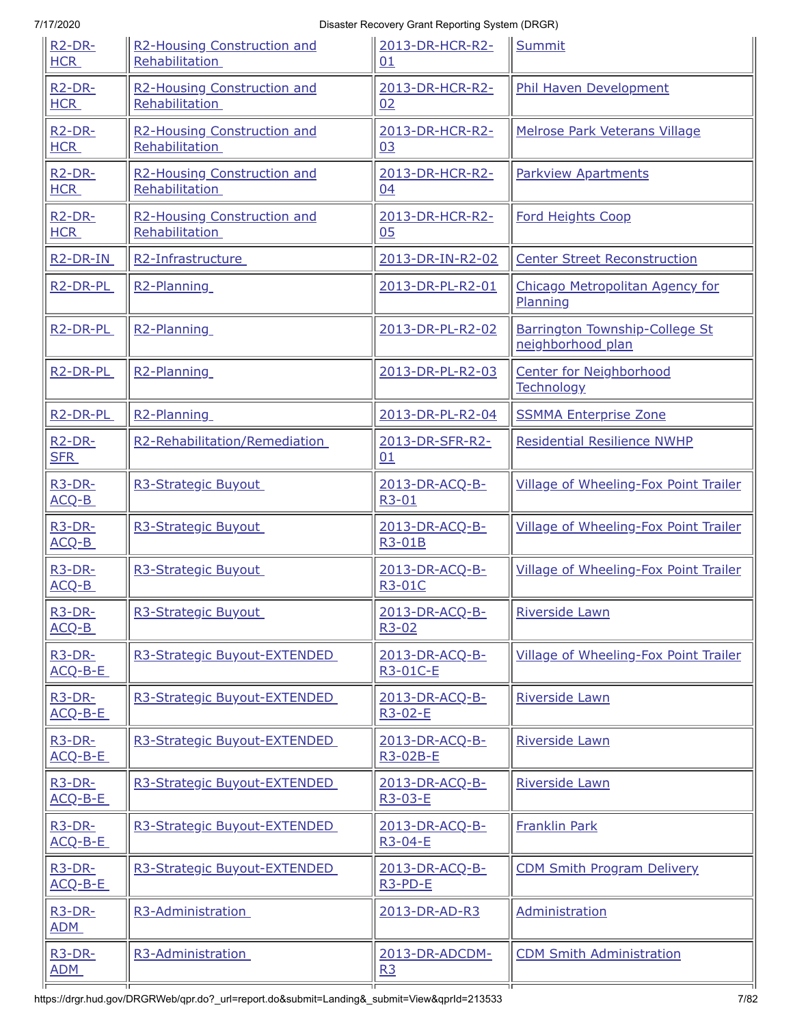| R <sub>2</sub> -DR-<br><b>HCR</b>   | R2-Housing Construction and<br>Rehabilitation | 2013-DR-HCR-R2-<br>01             | Summit                                              |
|-------------------------------------|-----------------------------------------------|-----------------------------------|-----------------------------------------------------|
| R <sub>2</sub> -DR-<br><b>HCR</b>   | R2-Housing Construction and<br>Rehabilitation | 2013-DR-HCR-R2-<br>02             | <b>Phil Haven Development</b>                       |
| $R2-DR-$<br><b>HCR</b>              | R2-Housing Construction and<br>Rehabilitation | 2013-DR-HCR-R2-<br>03             | Melrose Park Veterans Village                       |
| $R2-DR-$<br><b>HCR</b>              | R2-Housing Construction and<br>Rehabilitation | 2013-DR-HCR-R2-<br>04             | <b>Parkview Apartments</b>                          |
| $R2-DR-$<br><b>HCR</b>              | R2-Housing Construction and<br>Rehabilitation | 2013-DR-HCR-R2-<br>0 <sub>5</sub> | <b>Ford Heights Coop</b>                            |
| R <sub>2</sub> -DR-IN               | R2-Infrastructure                             | 2013-DR-IN-R2-02                  | <b>Center Street Reconstruction</b>                 |
| R <sub>2</sub> -DR-PL               | R2-Planning                                   | 2013-DR-PL-R2-01                  | Chicago Metropolitan Agency for<br>Planning         |
| R <sub>2</sub> -DR-PL               | R <sub>2</sub> -Planning                      | 2013-DR-PL-R2-02                  | Barrington Township-College St<br>neighborhood plan |
| R <sub>2</sub> -DR-PL               | R2-Planning                                   | 2013-DR-PL-R2-03                  | <b>Center for Neighborhood</b><br><b>Technology</b> |
| R <sub>2</sub> -DR-PL               | R2-Planning                                   | 2013-DR-PL-R2-04                  | <b>SSMMA Enterprise Zone</b>                        |
| $R2-DR-$<br><b>SFR</b>              | R2-Rehabilitation/Remediation                 | 2013-DR-SFR-R2-<br>01             | <b>Residential Resilience NWHP</b>                  |
| <b>R3-DR-</b><br>ACQ-B              | R3-Strategic Buyout                           | 2013-DR-ACQ-B-<br>R3-01           | <b>Village of Wheeling-Fox Point Trailer</b>        |
| $R3-DR-$<br>ACQ-B                   | R3-Strategic Buyout                           | 2013-DR-ACQ-B-<br>R3-01B          | <b>Village of Wheeling-Fox Point Trailer</b>        |
| R <sub>3</sub> -DR-<br><u>ACQ-B</u> | R3-Strategic Buyout                           | 2013-DR-ACQ-B-<br><b>R3-01C</b>   | <b>Village of Wheeling-Fox Point Trailer</b>        |
| R <sub>3</sub> -DR-<br>ACQ-B        | R3-Strategic Buyout                           | 2013-DR-ACQ-B-<br>$R3 - 02$       | Riverside Lawn                                      |
| $R3-DR-$<br>$ACQ-B-E$               | R3-Strategic Buyout-EXTENDED                  | 2013-DR-ACQ-B-<br>R3-01C-E        | Village of Wheeling-Fox Point Trailer               |
| $R3-DR-$<br>$ACQ-B-E$               | R3-Strategic Buyout-EXTENDED                  | 2013-DR-ACQ-B-<br>R3-02-E         | <b>Riverside Lawn</b>                               |
| $R3-DR-$<br>$ACQ-B-E$               | R3-Strategic Buyout-EXTENDED                  | 2013-DR-ACQ-B-<br>R3-02B-E        | Riverside Lawn                                      |
| $R3-DR-$<br>ACQ-B-E                 | R3-Strategic Buyout-EXTENDED                  | 2013-DR-ACQ-B-<br>R3-03-E         | <b>Riverside Lawn</b>                               |
| $R3-DR-$<br>ACQ-B-E                 | R3-Strategic Buyout-EXTENDED                  | 2013-DR-ACQ-B-<br>R3-04-E         | <b>Franklin Park</b>                                |
| $R3-DR-$<br>ACQ-B-E                 | R3-Strategic Buyout-EXTENDED                  | 2013-DR-ACQ-B-<br>R3-PD-E         | <b>CDM Smith Program Delivery</b>                   |
| $R3-DR-$<br><b>ADM</b>              | R3-Administration                             | 2013-DR-AD-R3                     | Administration                                      |
| $R3-DR-$                            |                                               | 2013-DR-ADCDM-                    | <b>CDM Smith Administration</b>                     |
| <b>ADM</b>                          | R3-Administration                             | R3                                |                                                     |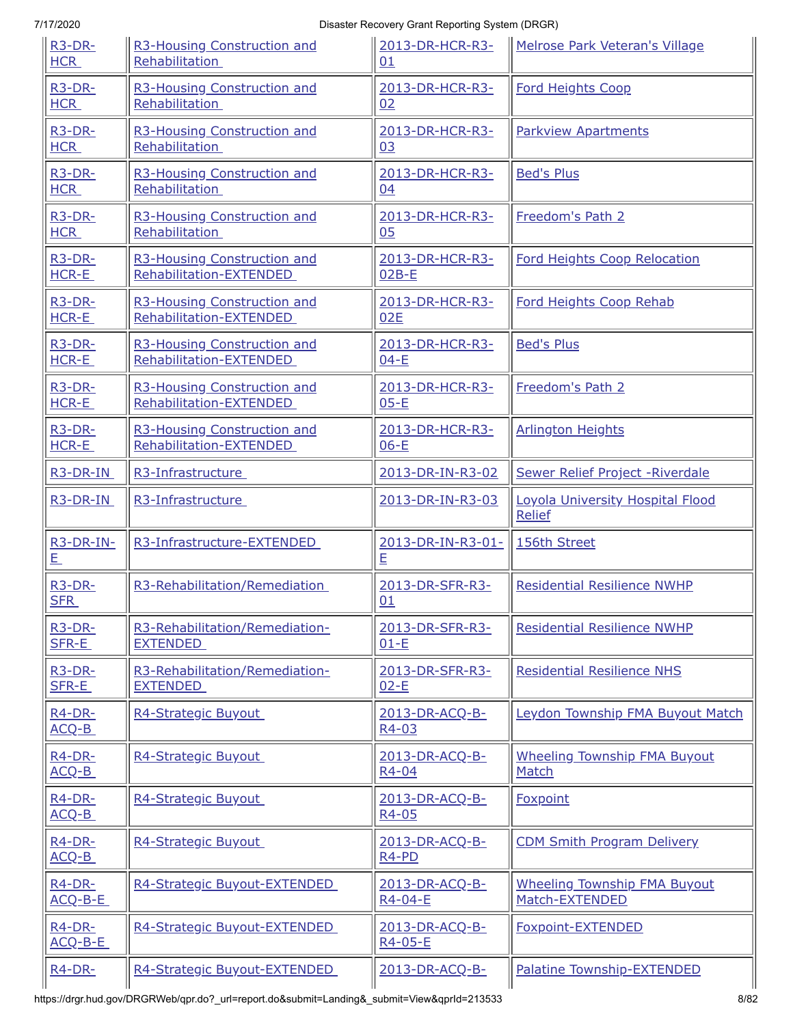| $R3-DR-$               | R3-Housing Construction and    | 2013-DR-HCR-R3-                                  | Melrose Park Veteran's Village                    |
|------------------------|--------------------------------|--------------------------------------------------|---------------------------------------------------|
| <b>HCR</b>             | Rehabilitation                 | 01                                               |                                                   |
| $R3-DR-$               | R3-Housing Construction and    | 2013-DR-HCR-R3-                                  | <b>Ford Heights Coop</b>                          |
| <b>HCR</b>             | Rehabilitation                 | 02                                               |                                                   |
| $R3-DR-$               | R3-Housing Construction and    | 2013-DR-HCR-R3-                                  | <b>Parkview Apartments</b>                        |
| <b>HCR</b>             | Rehabilitation                 | 03                                               |                                                   |
| $R3-DR-$               | R3-Housing Construction and    | 2013-DR-HCR-R3-                                  | <b>Bed's Plus</b>                                 |
| <b>HCR</b>             | Rehabilitation                 | 04                                               |                                                   |
| $R3-DR-$               | R3-Housing Construction and    | 2013-DR-HCR-R3-                                  | Freedom's Path 2                                  |
| <b>HCR</b>             | Rehabilitation                 | 0 <sub>5</sub>                                   |                                                   |
| $R3-DR-$               | R3-Housing Construction and    | 2013-DR-HCR-R3-                                  | <b>Ford Heights Coop Relocation</b>               |
| HCR-E                  | Rehabilitation-EXTENDED        | $02B-E$                                          |                                                   |
| $R3-DR-$               | R3-Housing Construction and    | 2013-DR-HCR-R3-                                  | Ford Heights Coop Rehab                           |
| HCR-E                  | Rehabilitation-EXTENDED        | 02E                                              |                                                   |
| <b>R3-DR-</b>          | R3-Housing Construction and    | 2013-DR-HCR-R3-                                  | <b>Bed's Plus</b>                                 |
| HCR-E                  | Rehabilitation-EXTENDED        | $04-E$                                           |                                                   |
| $R3-DR-$               | R3-Housing Construction and    | 2013-DR-HCR-R3-                                  | Freedom's Path 2                                  |
| HCR-E                  | Rehabilitation-EXTENDED        | $05-E$                                           |                                                   |
| $R3-DR-$               | R3-Housing Construction and    | 2013-DR-HCR-R3-                                  | <b>Arlington Heights</b>                          |
| HCR-E                  | Rehabilitation-EXTENDED        | $06-E$                                           |                                                   |
| R3-DR-IN               | R3-Infrastructure              | 2013-DR-IN-R3-02                                 | Sewer Relief Project - Riverdale                  |
| R3-DR-IN               | R3-Infrastructure              | 2013-DR-IN-R3-03                                 | Loyola University Hospital Flood<br><b>Relief</b> |
| R3-DR-IN-<br>旦         | R3-Infrastructure-EXTENDED     | 2013-DR-IN-R3-01-<br>E                           | 156th Street                                      |
| $R3-DR-$<br><b>SFR</b> | R3-Rehabilitation/Remediation  | 2013-DR-SFR-R3-<br>01                            | <b>Residential Resilience NWHP</b>                |
| R <sub>3</sub> -DR-    | R3-Rehabilitation/Remediation- | 2013-DR-SFR-R3-                                  | <b>Residential Resilience NWHP</b>                |
| SFR-E                  | <b>EXTENDED</b>                | $01-E$                                           |                                                   |
| $R3-DR-$               | R3-Rehabilitation/Remediation- | 2013-DR-SFR-R3-                                  | <b>Residential Resilience NHS</b>                 |
| SFR-E                  | <b>EXTENDED</b>                | $02-E$                                           |                                                   |
| $R4-DR-$<br>ACQ-B      | R4-Strategic Buyout            | 2013-DR-ACQ-B-<br>R4-03                          | Leydon Township FMA Buyout Match                  |
| $R4-DR-$               | R4-Strategic Buyout            | 2013-DR-ACQ-B-                                   | <b>Wheeling Township FMA Buyout</b>               |
| ACQ-B                  |                                | R4-04                                            | Match                                             |
| $R4-DR-$<br>ACQ-B      | R4-Strategic Buyout            | 2013-DR-ACQ-B-<br>R4-05                          | <b>Foxpoint</b>                                   |
| $R4-DR-$<br>ACQ-B      | R4-Strategic Buyout            | 2013-DR-ACQ-B-<br>R <sub>4</sub> -P <sub>D</sub> | <b>CDM Smith Program Delivery</b>                 |
| $R4-DR-$               | R4-Strategic Buyout-EXTENDED   | 2013-DR-ACQ-B-                                   | <b>Wheeling Township FMA Buyout</b>               |
| ACQ-B-E                |                                | R4-04-E                                          | Match-EXTENDED                                    |
| $R4-DR-$<br>ACQ-B-E    | R4-Strategic Buyout-EXTENDED   | 2013-DR-ACQ-B-<br>R4-05-E                        | Foxpoint-EXTENDED                                 |
| $R4-DR-$               | R4-Strategic Buyout-EXTENDED   | 2013-DR-ACQ-B-                                   | Palatine Township-EXTENDED                        |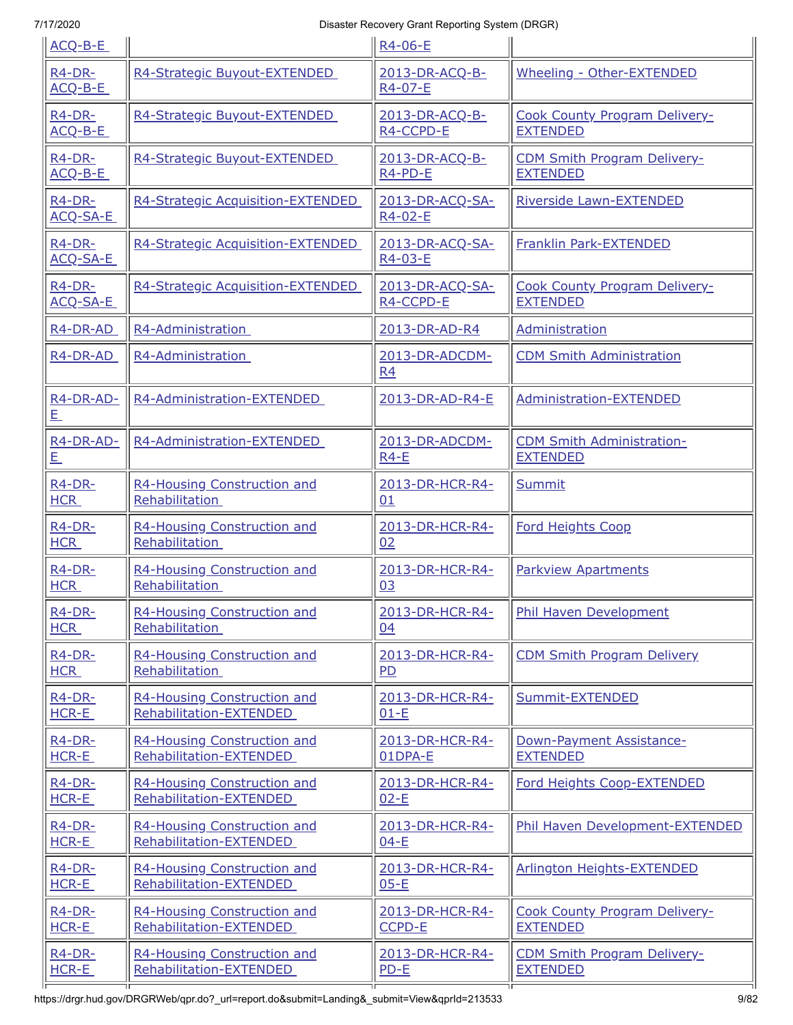| ACQ-B-E               |                                   | R4-06-E                     |                                      |
|-----------------------|-----------------------------------|-----------------------------|--------------------------------------|
| R4-DR-<br>ACQ-B-E     | R4-Strategic Buyout-EXTENDED      | 2013-DR-ACQ-B-<br>R4-07-E   | Wheeling - Other-EXTENDED            |
| R4-DR-                | R4-Strategic Buyout-EXTENDED      | 2013-DR-ACQ-B-              | <b>Cook County Program Delivery-</b> |
| $ACQ-B-E$             |                                   | R4-CCPD-E                   | <b>EXTENDED</b>                      |
| $R4-DR-$              | R4-Strategic Buyout-EXTENDED      | 2013-DR-ACQ-B-              | <b>CDM Smith Program Delivery-</b>   |
| ACQ-B-E               |                                   | R4-PD-E                     | <b>EXTENDED</b>                      |
| R4-DR-<br>ACQ-SA-E    | R4-Strategic Acquisition-EXTENDED | 2013-DR-ACQ-SA-<br>R4-02-E  | Riverside Lawn-EXTENDED              |
| $R4-DR-$<br>ACQ-SA-E  | R4-Strategic Acquisition-EXTENDED | 2013-DR-ACQ-SA-<br>R4-03-E  | Franklin Park-EXTENDED               |
| $R4-DR-$              | R4-Strategic Acquisition-EXTENDED | 2013-DR-ACQ-SA-             | <b>Cook County Program Delivery-</b> |
| ACQ-SA-E              |                                   | R4-CCPD-E                   | <b>EXTENDED</b>                      |
| R4-DR-AD              | R4-Administration                 | 2013-DR-AD-R4               | Administration                       |
| R4-DR-AD              | R4-Administration                 | 2013-DR-ADCDM-<br><b>R4</b> | <b>CDM Smith Administration</b>      |
| R4-DR-AD-<br><u>E</u> | R4-Administration-EXTENDED        | 2013-DR-AD-R4-E             | Administration-EXTENDED              |
| R4-DR-AD-             | R4-Administration-EXTENDED        | 2013-DR-ADCDM-              | <b>CDM Smith Administration-</b>     |
| <u>E</u>              |                                   | $R4-E$                      | <b>EXTENDED</b>                      |
| R4-DR-                | R4-Housing Construction and       | 2013-DR-HCR-R4-             | Summit                               |
| <b>HCR</b>            | Rehabilitation                    | 01                          |                                      |
| R4-DR-                | R4-Housing Construction and       | 2013-DR-HCR-R4-             | <b>Ford Heights Coop</b>             |
| <b>HCR</b>            | Rehabilitation                    | 02                          |                                      |
| $R4-DR-$              | R4-Housing Construction and       | 2013-DR-HCR-R4-             | <b>Parkview Apartments</b>           |
| <b>HCR</b>            | Rehabilitation                    | 03                          |                                      |
| R4-DR-                | R4-Housing Construction and       | 2013-DR-HCR-R4-             | Phil Haven Development               |
| <b>HCR</b>            | Rehabilitation                    | 04                          |                                      |
| $R4-DR-$              | R4-Housing Construction and       | 2013-DR-HCR-R4-             | <b>CDM Smith Program Delivery</b>    |
| <b>HCR</b>            | Rehabilitation                    | P <sub>D</sub>              |                                      |
| $R4-DR-$              | R4-Housing Construction and       | 2013-DR-HCR-R4-             | Summit-EXTENDED                      |
| HCR-E                 | Rehabilitation-EXTENDED           | $01-E$                      |                                      |
| $R4-DR-$              | R4-Housing Construction and       | 2013-DR-HCR-R4-             | Down-Payment Assistance-             |
| HCR-E                 | Rehabilitation-EXTENDED           | 01DPA-E                     | <b>EXTENDED</b>                      |
| R4-DR-                | R4-Housing Construction and       | 2013-DR-HCR-R4-             | Ford Heights Coop-EXTENDED           |
| HCR-E                 | Rehabilitation-EXTENDED           | $02-E$                      |                                      |
| $R4-DR-$              | R4-Housing Construction and       | 2013-DR-HCR-R4-             | Phil Haven Development-EXTENDED      |
| HCR-E                 | Rehabilitation-EXTENDED           | $04-E$                      |                                      |
| $R4-DR-$              | R4-Housing Construction and       | 2013-DR-HCR-R4-             | <b>Arlington Heights-EXTENDED</b>    |
| HCR-E                 | Rehabilitation-EXTENDED           | $05-E$                      |                                      |
| $R4-DR-$              | R4-Housing Construction and       | 2013-DR-HCR-R4-             | <b>Cook County Program Delivery-</b> |
| HCR-E                 | Rehabilitation-EXTENDED           | CCPD-E                      | <b>EXTENDED</b>                      |
| $R4-DR-$              | R4-Housing Construction and       | 2013-DR-HCR-R4-             | <b>CDM Smith Program Delivery-</b>   |
| HCR-E                 | Rehabilitation-EXTENDED           | $PD-E$                      | <b>EXTENDED</b>                      |
|                       |                                   |                             |                                      |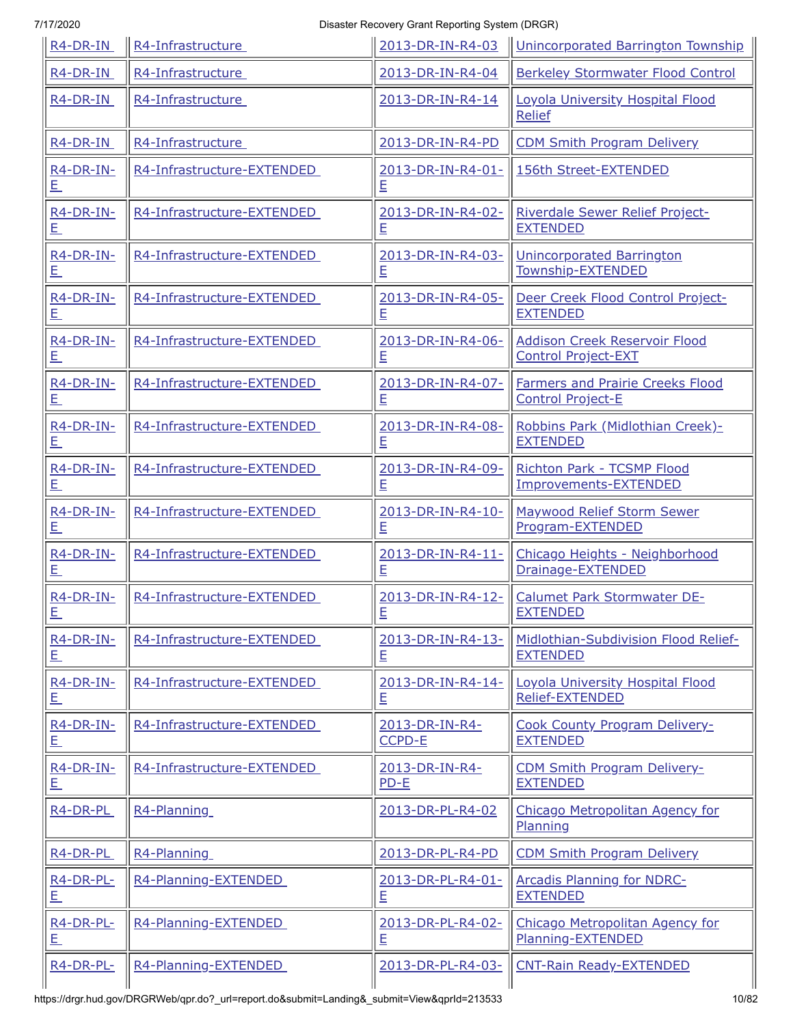| R4-DR-IN              | R4-Infrastructure          | 2013-DR-IN-R4-03       | Unincorporated Barrington Township                 |
|-----------------------|----------------------------|------------------------|----------------------------------------------------|
| $R4$ -DR-IN           | R4-Infrastructure          | 2013-DR-IN-R4-04       | <b>Berkeley Stormwater Flood Control</b>           |
| R <sub>4</sub> -DR-IN | R4-Infrastructure          | 2013-DR-IN-R4-14       | Loyola University Hospital Flood<br>Relief         |
| $R4$ -DR-IN           | R4-Infrastructure          | 2013-DR-IN-R4-PD       | <b>CDM Smith Program Delivery</b>                  |
| R4-DR-IN-<br><u>E</u> | R4-Infrastructure-EXTENDED | 2013-DR-IN-R4-01-<br>E | 156th Street-EXTENDED                              |
| $R4$ -DR-IN-          | R4-Infrastructure-EXTENDED | 2013-DR-IN-R4-02-      | Riverdale Sewer Relief Project-                    |
| <u>E</u>              |                            | E                      | <b>EXTENDED</b>                                    |
| $R4$ -DR-IN-          | R4-Infrastructure-EXTENDED | 2013-DR-IN-R4-03-      | <b>Unincorporated Barrington</b>                   |
| E,                    |                            | E                      | Township-EXTENDED                                  |
| R4-DR-IN-             | R4-Infrastructure-EXTENDED | 2013-DR-IN-R4-05-      | Deer Creek Flood Control Project-                  |
| <u>E</u>              |                            | E                      | <b>EXTENDED</b>                                    |
| R4-DR-IN-             | R4-Infrastructure-EXTENDED | 2013-DR-IN-R4-06-      | <b>Addison Creek Reservoir Flood</b>               |
| <u>E</u>              |                            | E                      | <b>Control Project-EXT</b>                         |
| R4-DR-IN-             | R4-Infrastructure-EXTENDED | 2013-DR-IN-R4-07-      | <b>Farmers and Prairie Creeks Flood</b>            |
| <u>E.</u>             |                            | E                      | <b>Control Project-E</b>                           |
| $R4-DR-IN-$           | R4-Infrastructure-EXTENDED | 2013-DR-IN-R4-08-      | Robbins Park (Midlothian Creek)-                   |
| E,                    |                            | E                      | <b>EXTENDED</b>                                    |
| $R4$ -DR-IN-          | R4-Infrastructure-EXTENDED | 2013-DR-IN-R4-09-      | Richton Park - TCSMP Flood                         |
| <u>E</u>              |                            | E                      | Improvements-EXTENDED                              |
| $R4-DR-IN-$           | R4-Infrastructure-EXTENDED | 2013-DR-IN-R4-10-      | <b>Maywood Relief Storm Sewer</b>                  |
| <u>E</u>              |                            | E                      | Program-EXTENDED                                   |
| R4-DR-IN-             | R4-Infrastructure-EXTENDED | 2013-DR-IN-R4-11-      | Chicago Heights - Neighborhood                     |
| <u>E</u>              |                            | E                      | Drainage-EXTENDED                                  |
| R4-DR-IN-             | R4-Infrastructure-EXTENDED | 2013-DR-IN-R4-12-      | Calumet Park Stormwater DE-                        |
| E,                    |                            | $\mathsf{E}% _{T}$     | <b>EXTENDED</b>                                    |
| $R4-DR-IN-$           | R4-Infrastructure-EXTENDED | 2013-DR-IN-R4-13-      | Midlothian-Subdivision Flood Relief-               |
| <u>E</u>              |                            | E                      | <b>EXTENDED</b>                                    |
| $R4-DR-IN-$           | R4-Infrastructure-EXTENDED | 2013-DR-IN-R4-14-      | Loyola University Hospital Flood                   |
| <u>E</u>              |                            | E                      | Relief-EXTENDED                                    |
| $R4$ -DR-IN-          | R4-Infrastructure-EXTENDED | 2013-DR-IN-R4-         | <b>Cook County Program Delivery-</b>               |
| <u>E</u>              |                            | <b>CCPD-E</b>          | <b>EXTENDED</b>                                    |
| $R4-DR-IN-$           | R4-Infrastructure-EXTENDED | 2013-DR-IN-R4-         | <b>CDM Smith Program Delivery-</b>                 |
| 旦                     |                            | $PD-E$                 | <b>EXTENDED</b>                                    |
| R4-DR-PL              | R4-Planning                | 2013-DR-PL-R4-02       | Chicago Metropolitan Agency for<br><b>Planning</b> |
| R4-DR-PL              | R4-Planning                | 2013-DR-PL-R4-PD       | <b>CDM Smith Program Delivery</b>                  |
| R4-DR-PL-             | R4-Planning-EXTENDED       | 2013-DR-PL-R4-01-      | <b>Arcadis Planning for NDRC-</b>                  |
| <u>E</u>              |                            | E                      | <b>EXTENDED</b>                                    |
| R4-DR-PL-             | R4-Planning-EXTENDED       | 2013-DR-PL-R4-02-      | Chicago Metropolitan Agency for                    |
| 旦                     |                            | E                      | Planning-EXTENDED                                  |
| R4-DR-PL-             | R4-Planning-EXTENDED       | 2013-DR-PL-R4-03-      | <b>CNT-Rain Ready-EXTENDED</b>                     |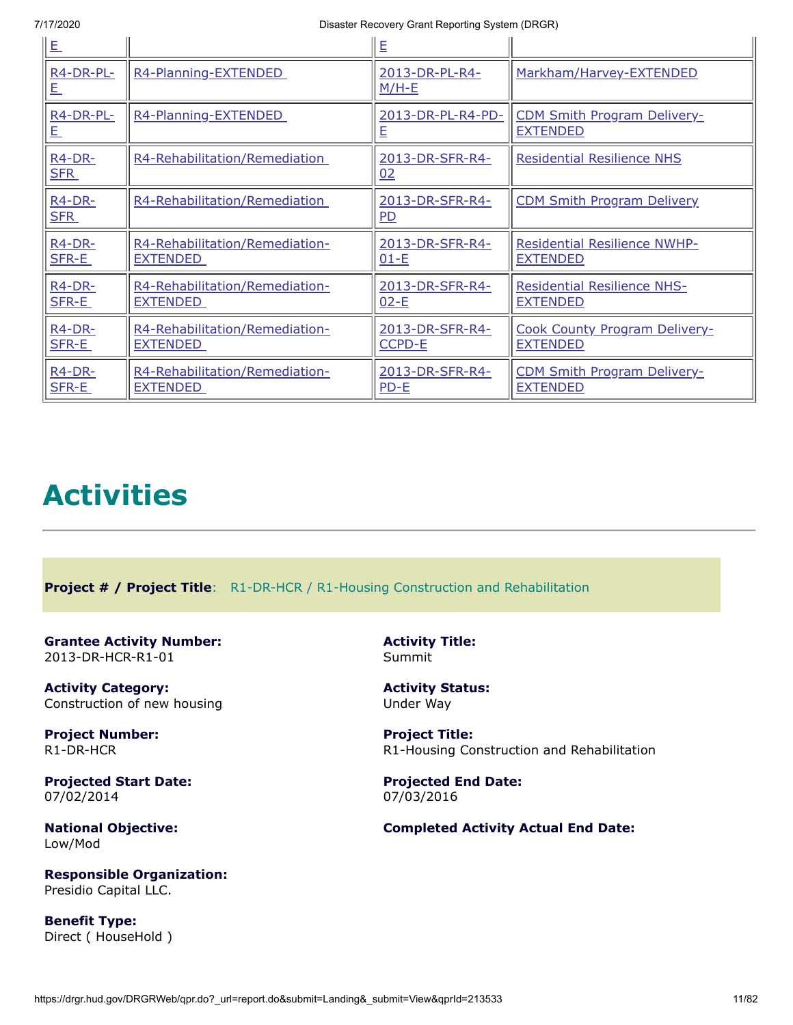| <u>E</u>                     |                                | E                                 |                                      |
|------------------------------|--------------------------------|-----------------------------------|--------------------------------------|
| <b>R4-DR-PL-</b><br><u>E</u> | R4-Planning-EXTENDED           | 2013-DR-PL-R4-<br>$M/H-E$         | Markham/Harvey-EXTENDED              |
| R4-DR-PL-                    | R4-Planning-EXTENDED           | 2013-DR-PL-R4-PD-                 | <b>CDM Smith Program Delivery-</b>   |
| <u>E</u>                     |                                | E                                 | <b>EXTENDED</b>                      |
| $R4-DR-$<br><b>SFR</b>       | R4-Rehabilitation/Remediation  | 2013-DR-SFR-R4-<br>02             | <b>Residential Resilience NHS</b>    |
| $R4-DR-$<br><b>SFR</b>       | R4-Rehabilitation/Remediation  | 2013-DR-SFR-R4-<br>P <sub>D</sub> | <b>CDM Smith Program Delivery</b>    |
| $R4-DR-$                     | R4-Rehabilitation/Remediation- | 2013-DR-SFR-R4-                   | <b>Residential Resilience NWHP-</b>  |
| SFR-E                        | EXTENDED                       | $01-E$                            | <b>EXTENDED</b>                      |
| R4-DR-                       | R4-Rehabilitation/Remediation- | 2013-DR-SFR-R4-                   | <b>Residential Resilience NHS-</b>   |
| SFR-E                        | <b>EXTENDED</b>                | $02-E$                            | <b>EXTENDED</b>                      |
| $R4-DR-$                     | R4-Rehabilitation/Remediation- | 2013-DR-SFR-R4-                   | <b>Cook County Program Delivery-</b> |
| SFR-E                        | EXTENDED                       | <b>CCPD-E</b>                     | <b>EXTENDED</b>                      |
| $R4-DR-$                     | R4-Rehabilitation/Remediation- | 2013-DR-SFR-R4-                   | <b>CDM Smith Program Delivery-</b>   |
| SFR-E                        | <b>EXTENDED</b>                | $PD-E$                            | <b>EXTENDED</b>                      |

# **Activities**

<span id="page-10-0"></span>**Project # / Project Title**: R1-DR-HCR / R1-Housing Construction and Rehabilitation

<span id="page-10-1"></span>**Grantee Activity Number:** 2013-DR-HCR-R1-01

**Activity Category:** Construction of new housing

**Project Number:** R1-DR-HCR

**Projected Start Date:** 07/02/2014

**National Objective:** Low/Mod

**Responsible Organization:** Presidio Capital LLC.

**Benefit Type:** Direct ( HouseHold ) **Activity Title:** Summit

**Activity Status:** Under Way

**Project Title:** R1-Housing Construction and Rehabilitation

**Projected End Date:** 07/03/2016

#### **Completed Activity Actual End Date:**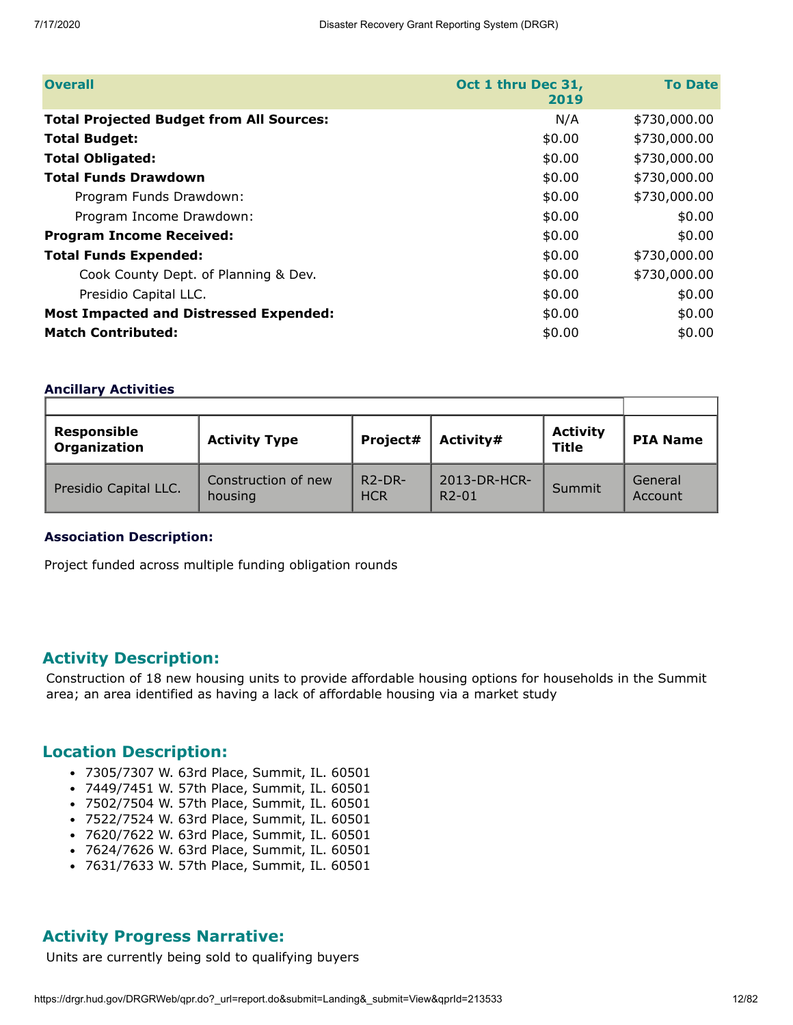| <b>Overall</b>                                  | Oct 1 thru Dec 31,<br>2019 | <b>To Date</b> |
|-------------------------------------------------|----------------------------|----------------|
| <b>Total Projected Budget from All Sources:</b> | N/A                        | \$730,000.00   |
| <b>Total Budget:</b>                            | \$0.00                     | \$730,000.00   |
| <b>Total Obligated:</b>                         | \$0.00                     | \$730,000.00   |
| <b>Total Funds Drawdown</b>                     | \$0.00                     | \$730,000.00   |
| Program Funds Drawdown:                         | \$0.00                     | \$730,000.00   |
| Program Income Drawdown:                        | \$0.00                     | \$0.00         |
| <b>Program Income Received:</b>                 | \$0.00                     | \$0.00         |
| <b>Total Funds Expended:</b>                    | \$0.00                     | \$730,000.00   |
| Cook County Dept. of Planning & Dev.            | \$0.00                     | \$730,000.00   |
| Presidio Capital LLC.                           | \$0.00                     | \$0.00         |
| <b>Most Impacted and Distressed Expended:</b>   | \$0.00                     | \$0.00         |
| <b>Match Contributed:</b>                       | \$0.00                     | \$0.00         |

#### **Ancillary Activities**

| <b>Responsible</b><br><b>Organization</b> | <b>Activity Type</b>           | Project#                            | Activity#               | <b>Activity</b><br>Title | <b>PIA Name</b>    |
|-------------------------------------------|--------------------------------|-------------------------------------|-------------------------|--------------------------|--------------------|
| Presidio Capital LLC.                     | Construction of new<br>housing | $R$ <sup>2</sup> -DR-<br><b>HCR</b> | 2013-DR-HCR-<br>$R2-01$ | Summit                   | General<br>Account |

#### **Association Description:**

Project funded across multiple funding obligation rounds

#### **Activity Description:**

Construction of 18 new housing units to provide affordable housing options for households in the Summit area; an area identified as having a lack of affordable housing via a market study

#### **Location Description:**

- 7305/7307 W. 63rd Place, Summit, IL. 60501
- 7449/7451 W. 57th Place, Summit, IL. 60501
- 7502/7504 W. 57th Place, Summit, IL. 60501
- 7522/7524 W. 63rd Place, Summit, IL. 60501
- 7620/7622 W. 63rd Place, Summit, IL. 60501
- 7624/7626 W. 63rd Place, Summit, IL. 60501
- 7631/7633 W. 57th Place, Summit, IL. 60501

#### **Activity Progress Narrative:**

Units are currently being sold to qualifying buyers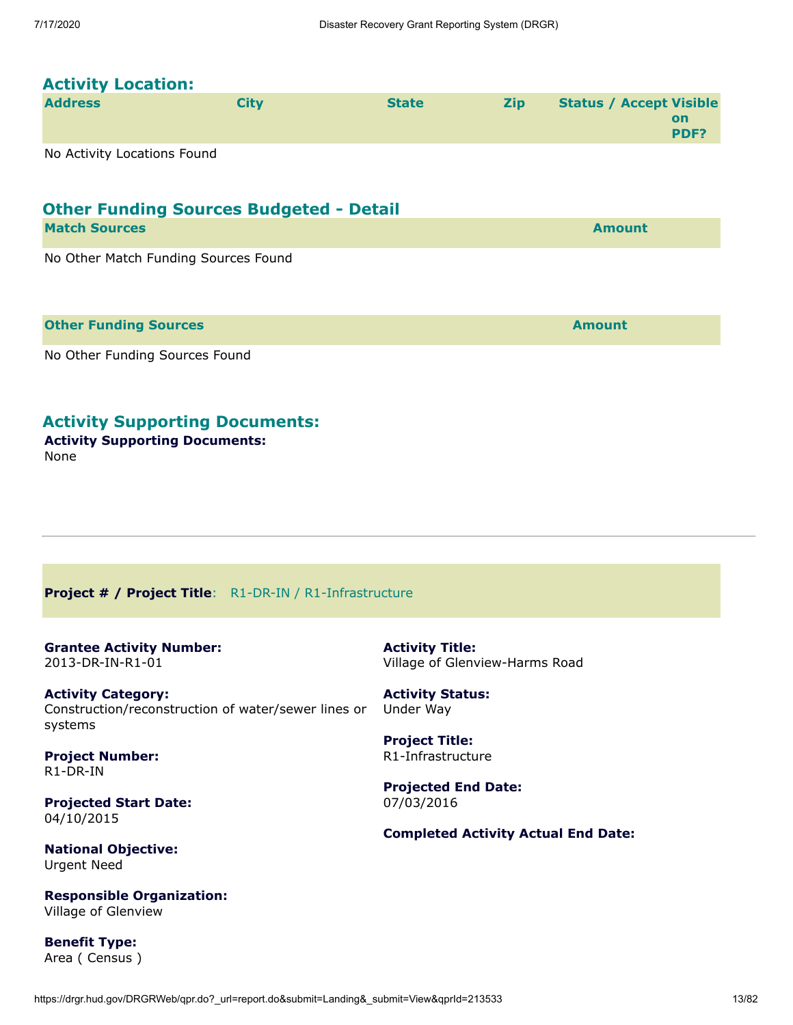# **Activity Location:**

| <b>Address</b>               | City | <b>State</b> | <b>Zip</b> | <b>Status / Accept Visible</b> |
|------------------------------|------|--------------|------------|--------------------------------|
|                              |      |              |            | on                             |
|                              |      |              |            | <b>PDF?</b>                    |
| No Astribute castings From d |      |              |            |                                |

No Activity Locations Found

# **Other Funding Sources Budgeted - Detail**

| <b>Match Sources</b>                 | <b>Amount</b> |
|--------------------------------------|---------------|
| No Other Match Funding Sources Found |               |

| <b>Other Funding Sources</b>   | <b>Amount</b> |
|--------------------------------|---------------|
| No Other Funding Sources Found |               |

**Activity Supporting Documents:**

**Activity Supporting Documents:** None

#### <span id="page-12-0"></span>**Project # / Project Title**: R1-DR-IN / R1-Infrastructure

#### <span id="page-12-1"></span>**Grantee Activity Number:** 2013-DR-IN-R1-01

**Activity Category:** Construction/reconstruction of water/sewer lines or systems

**Project Number:** R1-DR-IN

**Projected Start Date:** 04/10/2015

**National Objective:** Urgent Need

**Responsible Organization:** Village of Glenview

**Benefit Type:** Area ( Census ) **Activity Title:** Village of Glenview-Harms Road

**Activity Status:** Under Way

**Project Title:** R1-Infrastructure

**Projected End Date:** 07/03/2016

**Completed Activity Actual End Date:**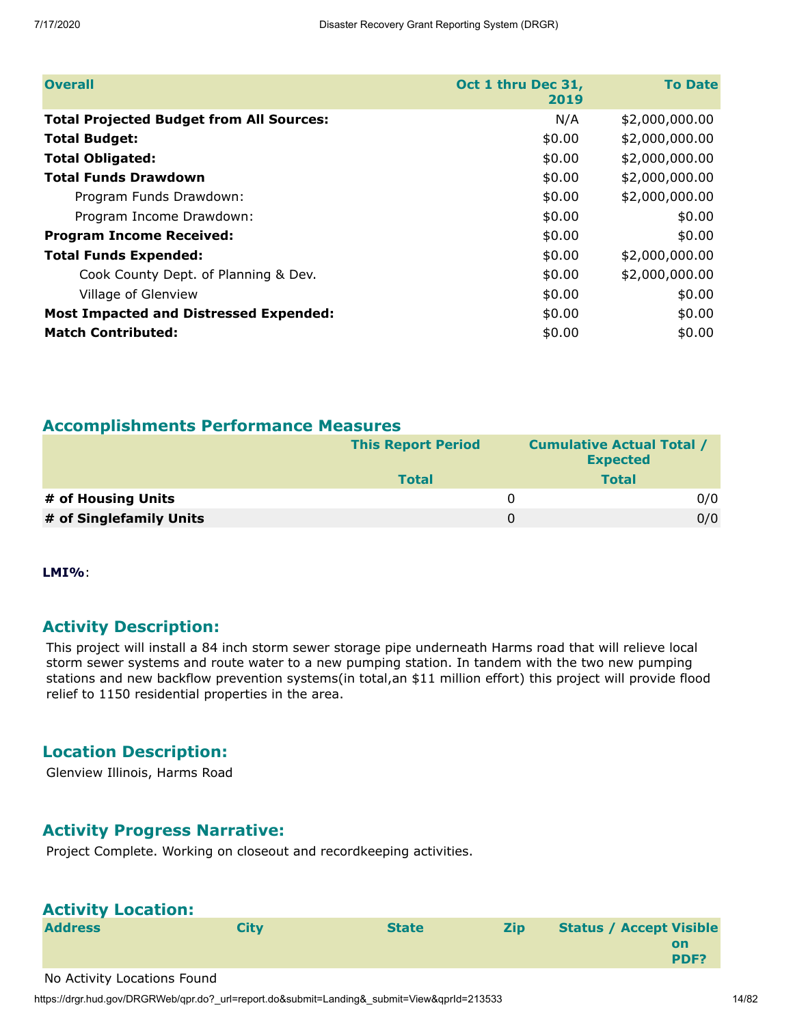| <b>Overall</b>                                  | Oct 1 thru Dec 31,<br>2019 | <b>To Date</b> |
|-------------------------------------------------|----------------------------|----------------|
| <b>Total Projected Budget from All Sources:</b> | N/A                        | \$2,000,000.00 |
| <b>Total Budget:</b>                            | \$0.00                     | \$2,000,000.00 |
| <b>Total Obligated:</b>                         | \$0.00                     | \$2,000,000.00 |
| <b>Total Funds Drawdown</b>                     | \$0.00                     | \$2,000,000.00 |
| Program Funds Drawdown:                         | \$0.00                     | \$2,000,000.00 |
| Program Income Drawdown:                        | \$0.00                     | \$0.00         |
| <b>Program Income Received:</b>                 | \$0.00                     | \$0.00         |
| <b>Total Funds Expended:</b>                    | \$0.00                     | \$2,000,000.00 |
| Cook County Dept. of Planning & Dev.            | \$0.00                     | \$2,000,000.00 |
| Village of Glenview                             | \$0.00                     | \$0.00         |
| <b>Most Impacted and Distressed Expended:</b>   | \$0.00                     | \$0.00         |
| <b>Match Contributed:</b>                       | \$0.00                     | \$0.00         |

#### **Accomplishments Performance Measures**

|                         | <b>This Report Period</b> | <b>Cumulative Actual Total /</b><br><b>Expected</b> |     |
|-------------------------|---------------------------|-----------------------------------------------------|-----|
|                         | <b>Total</b>              | <b>Total</b>                                        |     |
| # of Housing Units      |                           | $\Omega$                                            | 0/0 |
| # of Singlefamily Units |                           | 0                                                   | 0/0 |

**LMI%**:

#### **Activity Description:**

This project will install a 84 inch storm sewer storage pipe underneath Harms road that will relieve local storm sewer systems and route water to a new pumping station. In tandem with the two new pumping stations and new backflow prevention systems(in total,an \$11 million effort) this project will provide flood relief to 1150 residential properties in the area.

#### **Location Description:**

Glenview Illinois, Harms Road

#### **Activity Progress Narrative:**

Project Complete. Working on closeout and recordkeeping activities.

| <b>Activity Location:</b>   |             |              |            |                                              |
|-----------------------------|-------------|--------------|------------|----------------------------------------------|
| <b>Address</b>              | <b>City</b> | <b>State</b> | <b>Zip</b> | <b>Status / Accept Visible</b><br>on<br>PDF? |
| No Activity Locations Found |             |              |            |                                              |

https://drgr.hud.gov/DRGRWeb/qpr.do?\_url=report.do&submit=Landing&\_submit=View&qprId=213533 14/82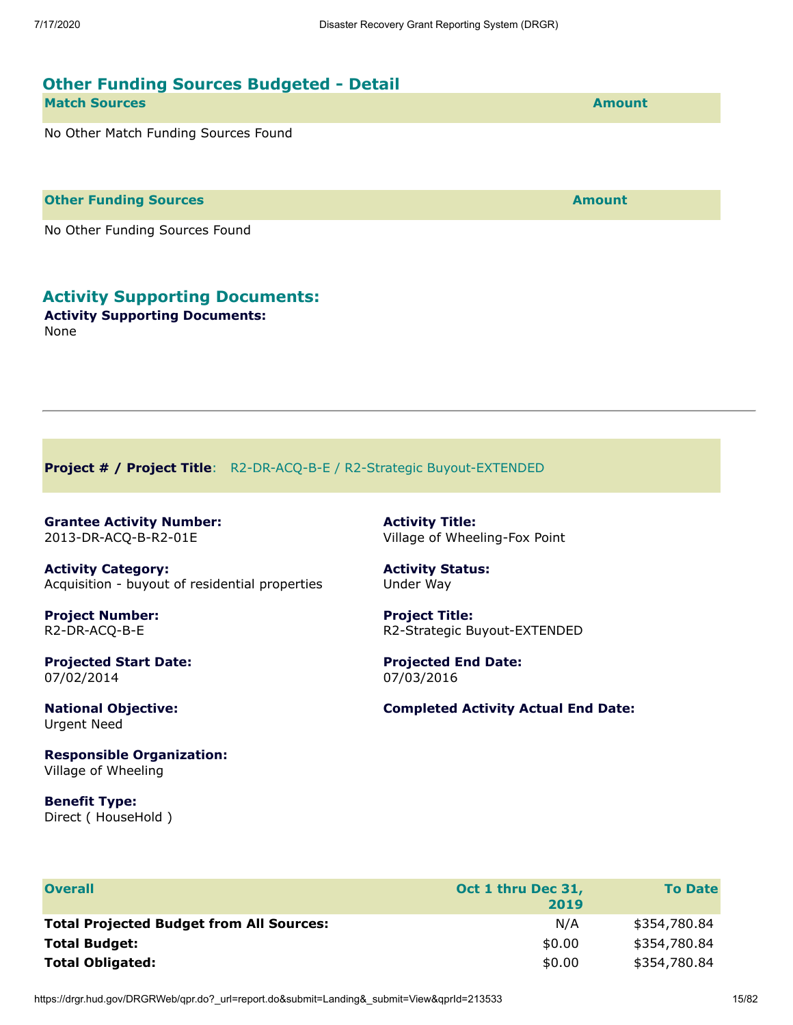# **Other Funding Sources Budgeted - Detail Match Sources Amount** No Other Match Funding Sources Found

**Other Funding Sources and Sources and Sources and Source Amount** 

No Other Funding Sources Found

#### **Activity Supporting Documents:**

**Activity Supporting Documents:** None

<span id="page-14-0"></span>**Project # / Project Title**: R2-DR-ACQ-B-E / R2-Strategic Buyout-EXTENDED

<span id="page-14-1"></span>**Grantee Activity Number:** 2013-DR-ACQ-B-R2-01E

**Activity Category:** Acquisition - buyout of residential properties

**Project Number:** R2-DR-ACQ-B-E

**Projected Start Date:** 07/02/2014

**National Objective:** Urgent Need

**Responsible Organization:** Village of Wheeling

**Benefit Type:** Direct ( HouseHold ) **Activity Title:** Village of Wheeling-Fox Point

#### **Activity Status:** Under Way

**Project Title:** R2-Strategic Buyout-EXTENDED

**Projected End Date:** 07/03/2016

**Completed Activity Actual End Date:**

| <b>Overall</b>                                  | Oct 1 thru Dec 31,<br>2019 | <b>To Date</b> |
|-------------------------------------------------|----------------------------|----------------|
| <b>Total Projected Budget from All Sources:</b> | N/A                        | \$354,780.84   |
| <b>Total Budget:</b>                            | \$0.00                     | \$354,780.84   |
| <b>Total Obligated:</b>                         | \$0.00                     | \$354,780.84   |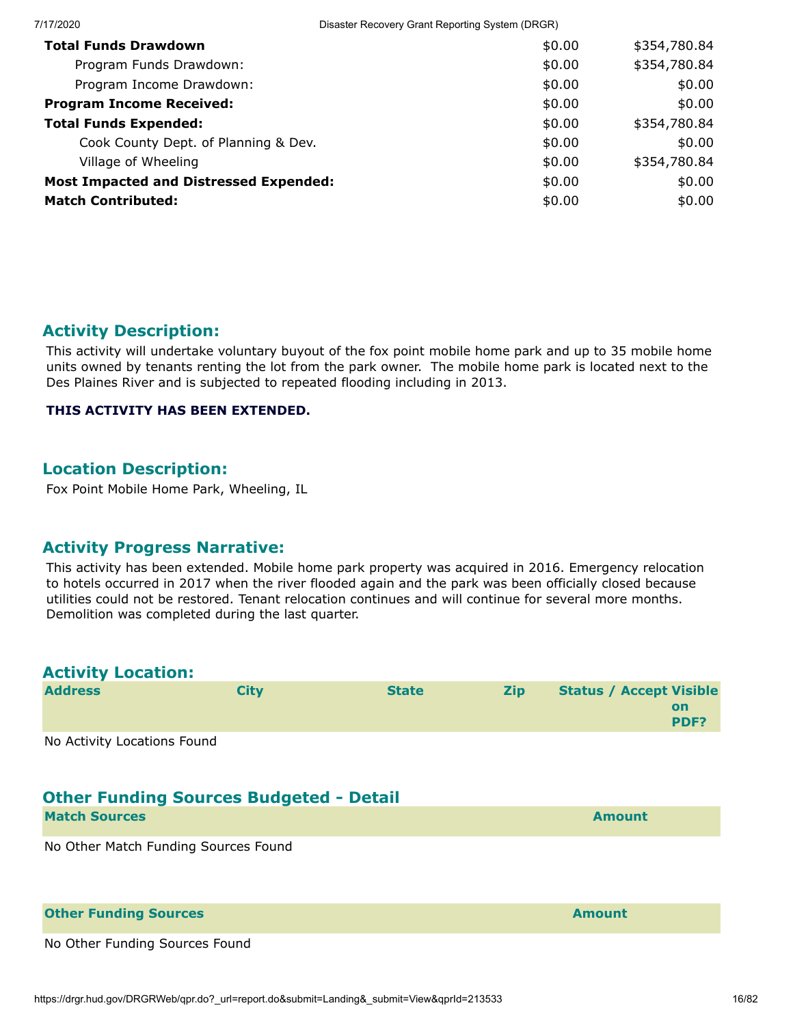| Disaster Recovery Grant Reporting System (DRGR) |                                                                                       |
|-------------------------------------------------|---------------------------------------------------------------------------------------|
| \$0.00                                          | \$354,780.84                                                                          |
| \$0.00                                          | \$354,780.84                                                                          |
| \$0.00                                          | \$0.00                                                                                |
| \$0.00                                          | \$0.00                                                                                |
| \$0.00                                          | \$354,780.84                                                                          |
| \$0.00                                          | \$0.00                                                                                |
| \$0.00                                          | \$354,780.84                                                                          |
| \$0.00                                          | \$0.00                                                                                |
| \$0.00                                          | \$0.00                                                                                |
|                                                 | Cook County Dept. of Planning & Dev.<br><b>Most Impacted and Distressed Expended:</b> |

#### **Activity Description:**

This activity will undertake voluntary buyout of the fox point mobile home park and up to 35 mobile home units owned by tenants renting the lot from the park owner. The mobile home park is located next to the Des Plaines River and is subjected to repeated flooding including in 2013.

#### **THIS ACTIVITY HAS BEEN EXTENDED.**

#### **Location Description:**

Fox Point Mobile Home Park, Wheeling, IL

#### **Activity Progress Narrative:**

This activity has been extended. Mobile home park property was acquired in 2016. Emergency relocation to hotels occurred in 2017 when the river flooded again and the park was been officially closed because utilities could not be restored. Tenant relocation continues and will continue for several more months. Demolition was completed during the last quarter.

| <b>Activity Location:</b>                      |             |              |            |                                                     |
|------------------------------------------------|-------------|--------------|------------|-----------------------------------------------------|
| <b>Address</b>                                 | <b>City</b> | <b>State</b> | <b>Zip</b> | <b>Status / Accept Visible</b><br><b>on</b><br>PDF? |
| No Activity Locations Found                    |             |              |            |                                                     |
| <b>Other Funding Sources Budgeted - Detail</b> |             |              |            |                                                     |
| <b>Match Sources</b>                           |             |              |            | <b>Amount</b>                                       |
| No Other Match Funding Sources Found           |             |              |            |                                                     |
| <b>Other Funding Sources</b>                   |             |              |            | <b>Amount</b>                                       |
| No Other Funding Sources Found                 |             |              |            |                                                     |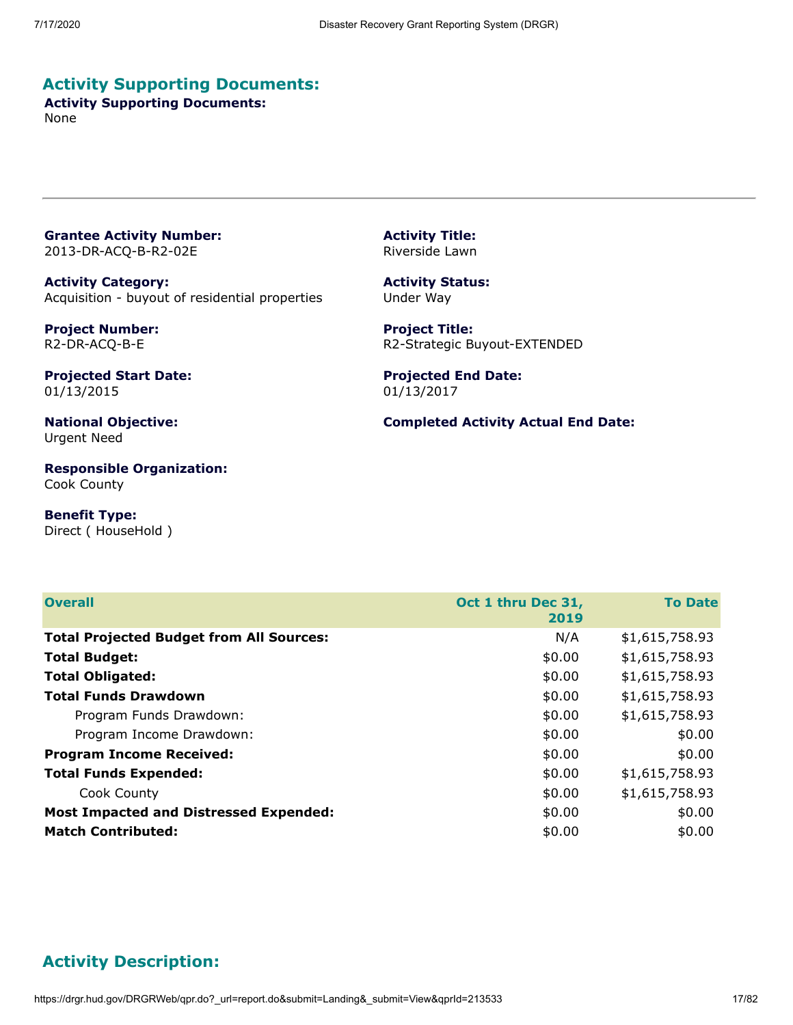### **Activity Supporting Documents:**

**Activity Supporting Documents:** None

<span id="page-16-0"></span>**Grantee Activity Number:** 2013-DR-ACQ-B-R2-02E

**Activity Category:** Acquisition - buyout of residential properties

**Project Number:** R2-DR-ACQ-B-E

**Projected Start Date:** 01/13/2015

**National Objective:** Urgent Need

**Responsible Organization:** Cook County

**Benefit Type:** Direct ( HouseHold ) **Activity Title:** Riverside Lawn

**Activity Status:** Under Way

**Project Title:** R2-Strategic Buyout-EXTENDED

**Projected End Date:** 01/13/2017

**Completed Activity Actual End Date:**

| <b>Overall</b>                                  | Oct 1 thru Dec 31,<br>2019 | <b>To Date</b> |
|-------------------------------------------------|----------------------------|----------------|
| <b>Total Projected Budget from All Sources:</b> | N/A                        | \$1,615,758.93 |
| <b>Total Budget:</b>                            | \$0.00                     | \$1,615,758.93 |
| <b>Total Obligated:</b>                         | \$0.00                     | \$1,615,758.93 |
| <b>Total Funds Drawdown</b>                     | \$0.00                     | \$1,615,758.93 |
| Program Funds Drawdown:                         | \$0.00                     | \$1,615,758.93 |
| Program Income Drawdown:                        | \$0.00                     | \$0.00         |
| <b>Program Income Received:</b>                 | \$0.00                     | \$0.00         |
| <b>Total Funds Expended:</b>                    | \$0.00                     | \$1,615,758.93 |
| Cook County                                     | \$0.00                     | \$1,615,758.93 |
| <b>Most Impacted and Distressed Expended:</b>   | \$0.00                     | \$0.00         |
| <b>Match Contributed:</b>                       | \$0.00                     | \$0.00         |

# **Activity Description:**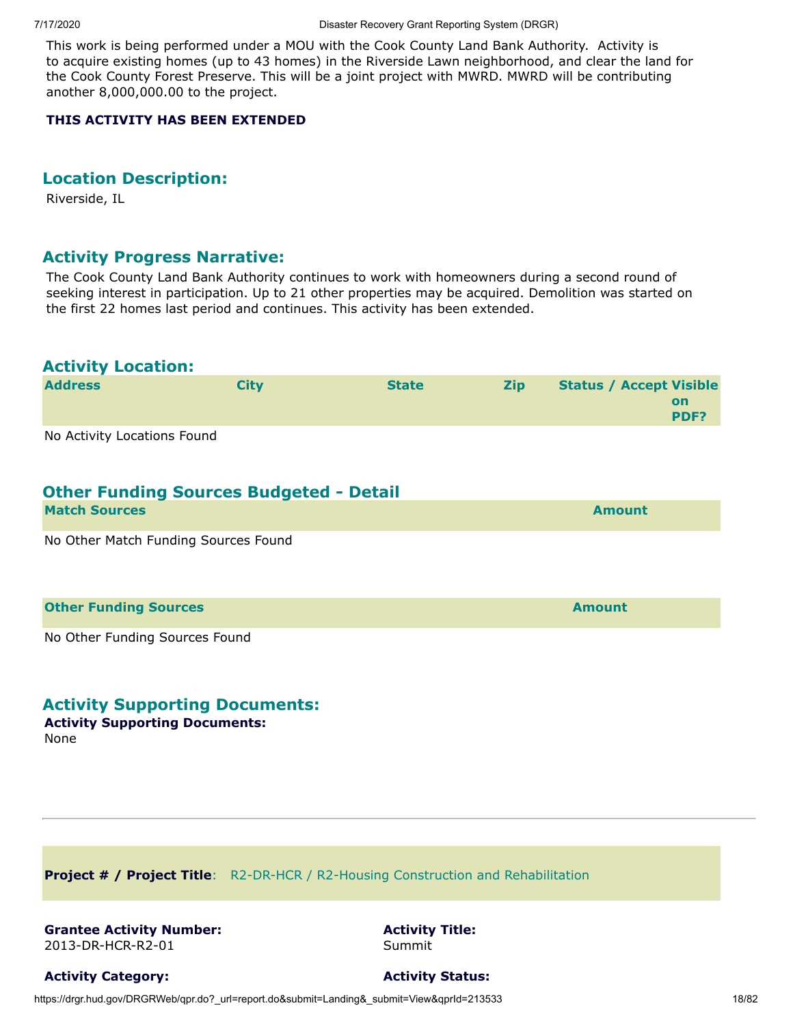This work is being performed under a MOU with the Cook County Land Bank Authority. Activity is to acquire existing homes (up to 43 homes) in the Riverside Lawn neighborhood, and clear the land for the Cook County Forest Preserve. This will be a joint project with MWRD. MWRD will be contributing another 8,000,000.00 to the project.

#### **THIS ACTIVITY HAS BEEN EXTENDED**

#### **Location Description:**

Riverside, IL

#### **Activity Progress Narrative:**

The Cook County Land Bank Authority continues to work with homeowners during a second round of seeking interest in participation. Up to 21 other properties may be acquired. Demolition was started on the first 22 homes last period and continues. This activity has been extended.

| <b>Activity Location:</b>                      |             |              |            |                                                     |
|------------------------------------------------|-------------|--------------|------------|-----------------------------------------------------|
| <b>Address</b>                                 | <b>City</b> | <b>State</b> | <b>Zip</b> | <b>Status / Accept Visible</b><br><b>on</b><br>PDF? |
| No Activity Locations Found                    |             |              |            |                                                     |
| <b>Other Funding Sources Budgeted - Detail</b> |             |              |            |                                                     |
| <b>Match Sources</b>                           |             |              |            | <b>Amount</b>                                       |
| No Other Match Funding Sources Found           |             |              |            |                                                     |
| <b>Other Funding Sources</b>                   |             |              |            | <b>Amount</b>                                       |
| No Other Funding Sources Found<br>.            |             |              |            |                                                     |

#### **Activity Supporting Documents:**

**Activity Supporting Documents:** None

<span id="page-17-0"></span>**Project # / Project Title**: R2-DR-HCR / R2-Housing Construction and Rehabilitation

#### <span id="page-17-1"></span>**Grantee Activity Number:** 2013-DR-HCR-R2-01

**Activity Title:** Summit

**Activity Category:**

**Activity Status:**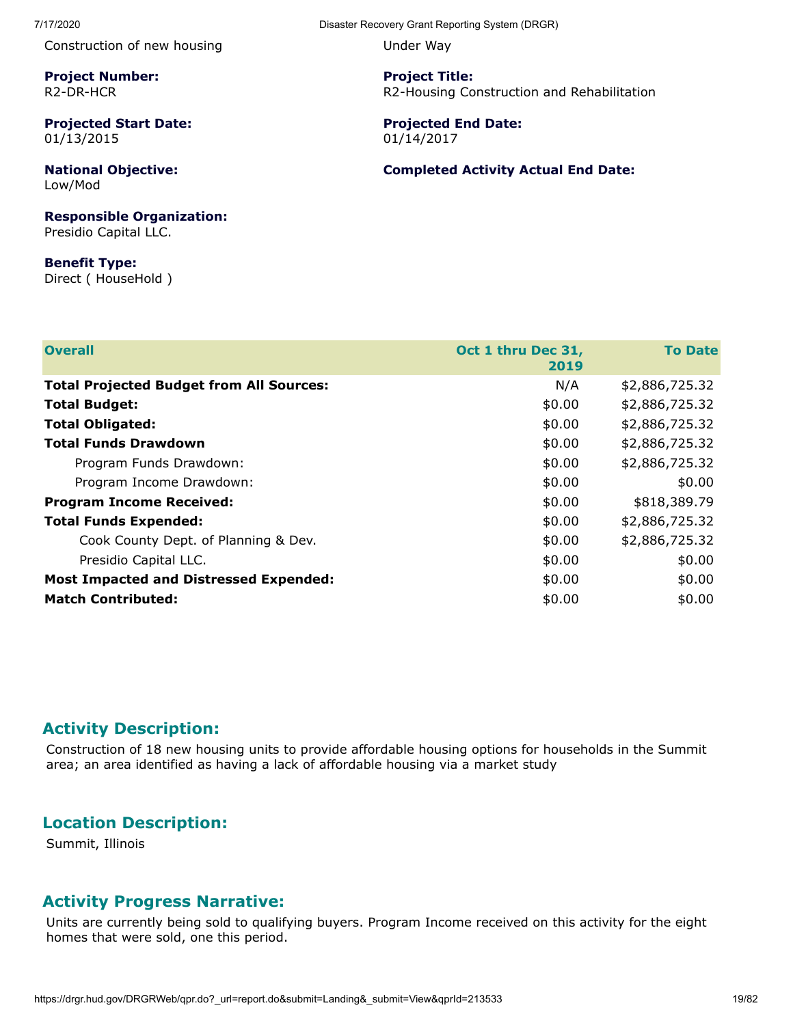Construction of new housing

**Project Number:** R2-DR-HCR

**Projected Start Date:** 01/13/2015

**National Objective:** Low/Mod

**Responsible Organization:** Presidio Capital LLC.

**Benefit Type:** Direct ( HouseHold ) Under Way

**Project Title:** R2-Housing Construction and Rehabilitation

**Projected End Date:** 01/14/2017

**Completed Activity Actual End Date:**

| <b>Overall</b>                                  | Oct 1 thru Dec 31,<br>2019 | <b>To Date</b> |
|-------------------------------------------------|----------------------------|----------------|
| <b>Total Projected Budget from All Sources:</b> | N/A                        | \$2,886,725.32 |
| <b>Total Budget:</b>                            | \$0.00                     | \$2,886,725.32 |
| <b>Total Obligated:</b>                         | \$0.00                     | \$2,886,725.32 |
| <b>Total Funds Drawdown</b>                     | \$0.00                     | \$2,886,725.32 |
| Program Funds Drawdown:                         | \$0.00                     | \$2,886,725.32 |
| Program Income Drawdown:                        | \$0.00                     | \$0.00         |
| <b>Program Income Received:</b>                 | \$0.00                     | \$818,389.79   |
| <b>Total Funds Expended:</b>                    | \$0.00                     | \$2,886,725.32 |
| Cook County Dept. of Planning & Dev.            | \$0.00                     | \$2,886,725.32 |
| Presidio Capital LLC.                           | \$0.00                     | \$0.00         |
| <b>Most Impacted and Distressed Expended:</b>   | \$0.00                     | \$0.00         |
| <b>Match Contributed:</b>                       | \$0.00                     | \$0.00         |

#### **Activity Description:**

Construction of 18 new housing units to provide affordable housing options for households in the Summit area; an area identified as having a lack of affordable housing via a market study

#### **Location Description:**

Summit, Illinois

#### **Activity Progress Narrative:**

Units are currently being sold to qualifying buyers. Program Income received on this activity for the eight homes that were sold, one this period.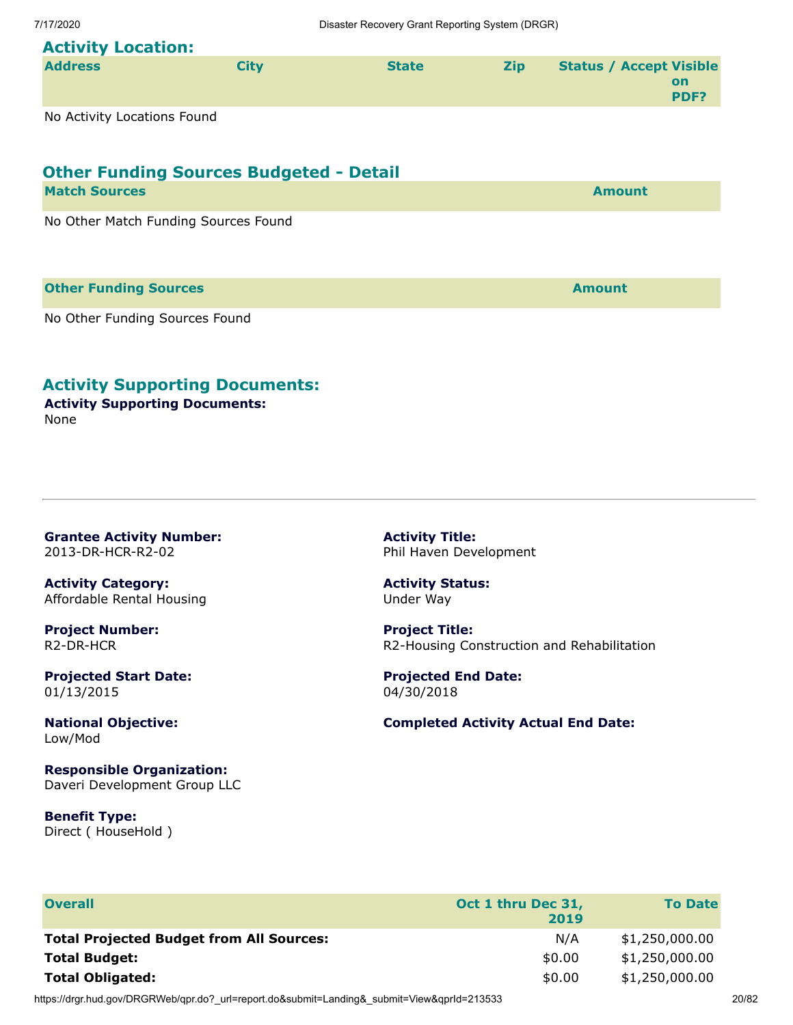# **Activity Location:**

| <b>Address</b> | Citv | <b>State</b> | <b>Zip</b> | <b>Status / Accept Visible</b> |                   |
|----------------|------|--------------|------------|--------------------------------|-------------------|
|                |      |              |            |                                | on<br><b>PDF?</b> |
|                |      |              |            |                                |                   |

No Activity Locations Found

# **Other Funding Sources Budgeted - Detail**

| <b>Match Sources</b>                 | <b>Amount</b> |
|--------------------------------------|---------------|
| No Other Match Funding Sources Found |               |
|                                      |               |

#### **Other Funding Sources Amount**

No Other Funding Sources Found

### **Activity Supporting Documents:**

**Activity Supporting Documents:** None

<span id="page-19-0"></span>**Grantee Activity Number:** 2013-DR-HCR-R2-02

**Activity Category:** Affordable Rental Housing

**Project Number:** R2-DR-HCR

**Projected Start Date:** 01/13/2015

**National Objective:** Low/Mod

**Responsible Organization:** Daveri Development Group LLC

**Benefit Type:** Direct ( HouseHold ) **Activity Title:** Phil Haven Development

**Activity Status:** Under Way

**Project Title:** R2-Housing Construction and Rehabilitation

**Projected End Date:** 04/30/2018

#### **Completed Activity Actual End Date:**

| <b>Overall</b>                                  | Oct 1 thru Dec 31,<br>2019 | <b>To Date</b> |
|-------------------------------------------------|----------------------------|----------------|
| <b>Total Projected Budget from All Sources:</b> | N/A                        | \$1,250,000.00 |
| <b>Total Budget:</b>                            | \$0.00                     | \$1,250,000.00 |
| <b>Total Obligated:</b>                         | \$0.00                     | \$1,250,000.00 |

https://drgr.hud.gov/DRGRWeb/qpr.do?\_url=report.do&submit=Landing&\_submit=View&qprId=213533 20/82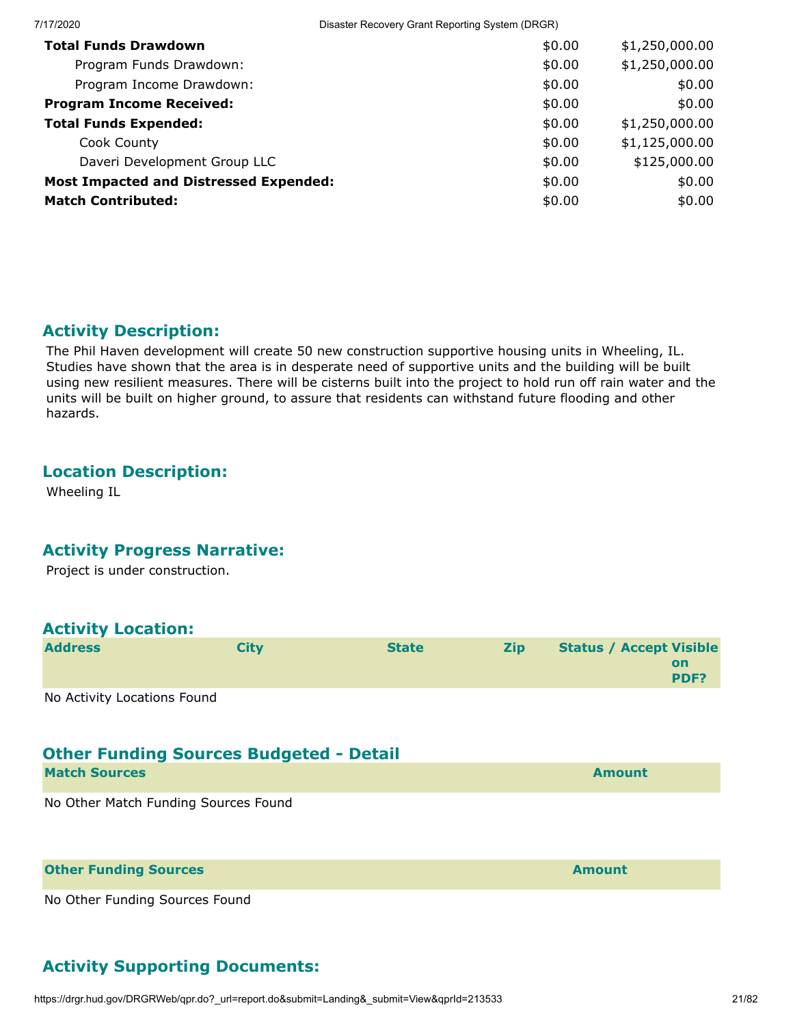| 7/17/2020                                     | Disaster Recovery Grant Reporting System (DRGR) |                |
|-----------------------------------------------|-------------------------------------------------|----------------|
| <b>Total Funds Drawdown</b>                   | \$0.00                                          | \$1,250,000.00 |
| Program Funds Drawdown:                       | \$0.00                                          | \$1,250,000.00 |
| Program Income Drawdown:                      | \$0.00                                          | \$0.00         |
| <b>Program Income Received:</b>               | \$0.00                                          | \$0.00         |
| <b>Total Funds Expended:</b>                  | \$0.00                                          | \$1,250,000.00 |
| Cook County                                   | \$0.00                                          | \$1,125,000.00 |
| Daveri Development Group LLC                  | \$0.00                                          | \$125,000.00   |
| <b>Most Impacted and Distressed Expended:</b> | \$0.00                                          | \$0.00         |
| <b>Match Contributed:</b>                     | \$0.00                                          | \$0.00         |
|                                               |                                                 |                |

### **Activity Description:**

The Phil Haven development will create 50 new construction supportive housing units in Wheeling, IL. Studies have shown that the area is in desperate need of supportive units and the building will be built using new resilient measures. There will be cisterns built into the project to hold run off rain water and the units will be built on higher ground, to assure that residents can withstand future flooding and other hazards.

#### **Location Description:**

Wheeling IL

#### **Activity Progress Narrative:**

Project is under construction.

#### **Activity Location:**

| <b>Address</b> | <b>City</b> | <b>State</b> | <b>Zip</b> | <b>Status / Accept Visible</b> |             |
|----------------|-------------|--------------|------------|--------------------------------|-------------|
|                |             |              |            |                                | <b>on</b>   |
|                |             |              |            |                                | <b>PDF?</b> |
|                |             |              |            |                                |             |

No Activity Locations Found

# **Other Funding Sources Budgeted - Detail**

| <b>Match Sources</b>                 | <b>Amount</b> |
|--------------------------------------|---------------|
| No Other Match Funding Sources Found |               |
| <b>Other Funding Sources</b>         | <b>Amount</b> |

No Other Funding Sources Found

# **Activity Supporting Documents:**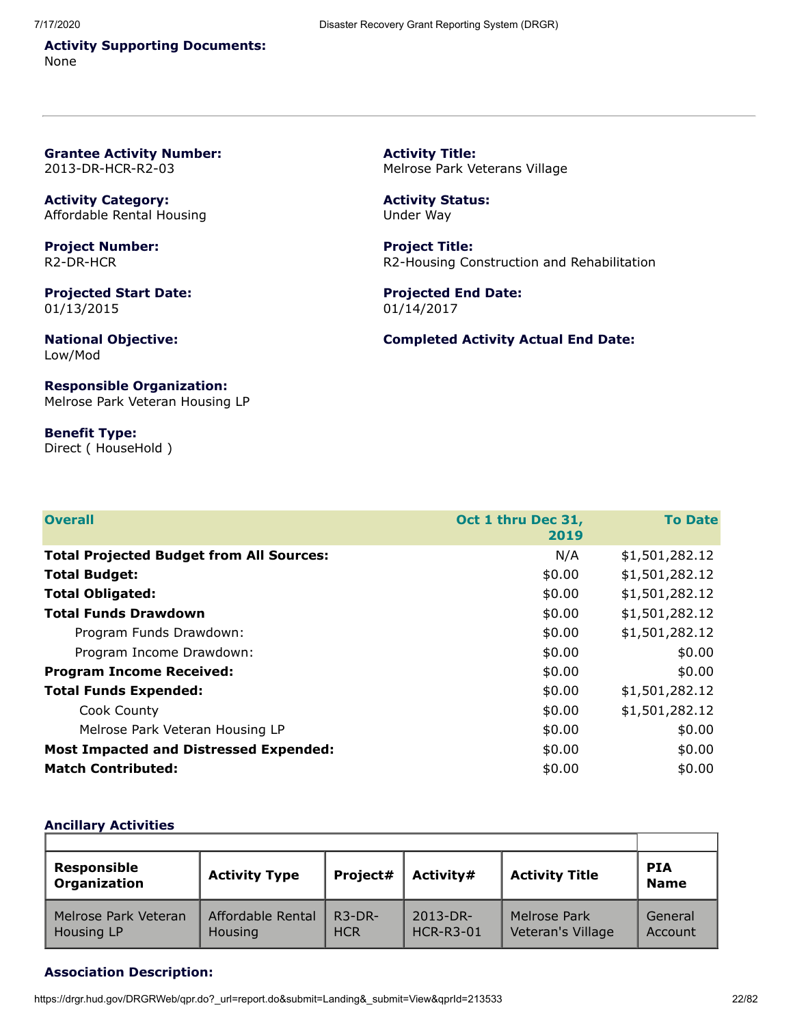**Activity Supporting Documents:** None

<span id="page-21-0"></span>**Grantee Activity Number:** 2013-DR-HCR-R2-03

**Activity Category:** Affordable Rental Housing

**Project Number:** R2-DR-HCR

**Projected Start Date:** 01/13/2015

**National Objective:** Low/Mod

**Responsible Organization:** Melrose Park Veteran Housing LP

**Benefit Type:** Direct ( HouseHold ) **Activity Title:** Melrose Park Veterans Village

**Activity Status:** Under Way

**Project Title:** R2-Housing Construction and Rehabilitation

**Projected End Date:** 01/14/2017

**Completed Activity Actual End Date:**

| <b>Overall</b>                                  | Oct 1 thru Dec 31,<br>2019 | <b>To Date</b> |
|-------------------------------------------------|----------------------------|----------------|
| <b>Total Projected Budget from All Sources:</b> | N/A                        | \$1,501,282.12 |
| <b>Total Budget:</b>                            | \$0.00                     | \$1,501,282.12 |
| <b>Total Obligated:</b>                         | \$0.00                     | \$1,501,282.12 |
| <b>Total Funds Drawdown</b>                     | \$0.00                     | \$1,501,282.12 |
| Program Funds Drawdown:                         | \$0.00                     | \$1,501,282.12 |
| Program Income Drawdown:                        | \$0.00                     | \$0.00         |
| <b>Program Income Received:</b>                 | \$0.00                     | \$0.00         |
| <b>Total Funds Expended:</b>                    | \$0.00                     | \$1,501,282.12 |
| Cook County                                     | \$0.00                     | \$1,501,282.12 |
| Melrose Park Veteran Housing LP                 | \$0.00                     | \$0.00         |
| <b>Most Impacted and Distressed Expended:</b>   | \$0.00                     | \$0.00         |
| <b>Match Contributed:</b>                       | \$0.00                     | \$0.00         |

#### **Ancillary Activities**

| <b>Responsible</b><br>Organization | <b>Activity Type</b>                | Project#               | Activity#                         | <b>Activity Title</b>             | <b>PIA</b><br><b>Name</b> |
|------------------------------------|-------------------------------------|------------------------|-----------------------------------|-----------------------------------|---------------------------|
| Melrose Park Veteran<br>Housing LP | Affordable Rental<br><b>Housing</b> | $R3-DR-$<br><b>HCR</b> | $2013 - DR -$<br><b>HCR-R3-01</b> | Melrose Park<br>Veteran's Village | General<br>Account        |

#### **Association Description:**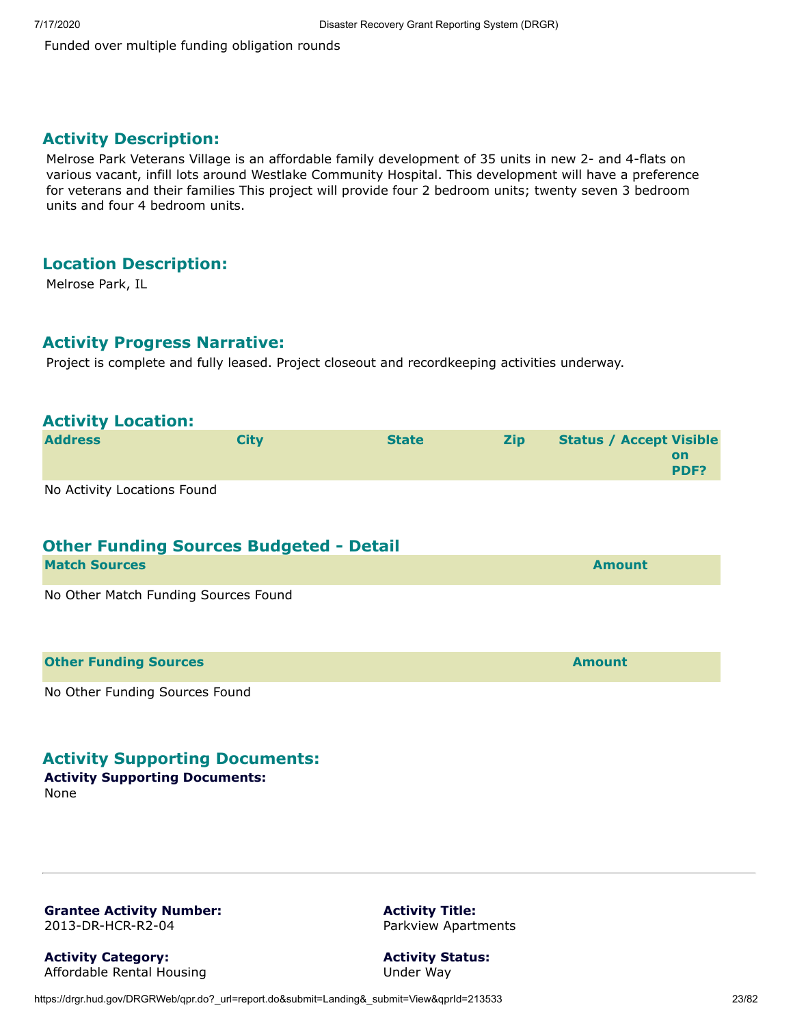Funded over multiple funding obligation rounds

#### **Activity Description:**

Melrose Park Veterans Village is an affordable family development of 35 units in new 2- and 4-flats on various vacant, infill lots around Westlake Community Hospital. This development will have a preference for veterans and their families This project will provide four 2 bedroom units; twenty seven 3 bedroom units and four 4 bedroom units.

### **Location Description:**

Melrose Park, IL

#### **Activity Progress Narrative:**

Project is complete and fully leased. Project closeout and recordkeeping activities underway.

| <b>Activity Location:</b>                      |             |              |     |                                                     |
|------------------------------------------------|-------------|--------------|-----|-----------------------------------------------------|
| <b>Address</b>                                 | <b>City</b> | <b>State</b> | Zip | <b>Status / Accept Visible</b><br><b>on</b><br>PDF? |
| No Activity Locations Found                    |             |              |     |                                                     |
| <b>Other Funding Sources Budgeted - Detail</b> |             |              |     |                                                     |
| <b>Match Sources</b>                           |             |              |     | <b>Amount</b>                                       |
| No Other Match Funding Sources Found           |             |              |     |                                                     |
| <b>Other Funding Sources</b>                   |             |              |     | <b>Amount</b>                                       |
| No Other Funding Sources Found                 |             |              |     |                                                     |

#### **Activity Supporting Documents:**

**Activity Supporting Documents:** None

<span id="page-22-0"></span>**Grantee Activity Number:** 2013-DR-HCR-R2-04

**Activity Category:** Affordable Rental Housing **Activity Title:** Parkview Apartments

**Activity Status:** Under Way

https://drgr.hud.gov/DRGRWeb/qpr.do?\_url=report.do&submit=Landing&\_submit=View&qprId=213533 23/82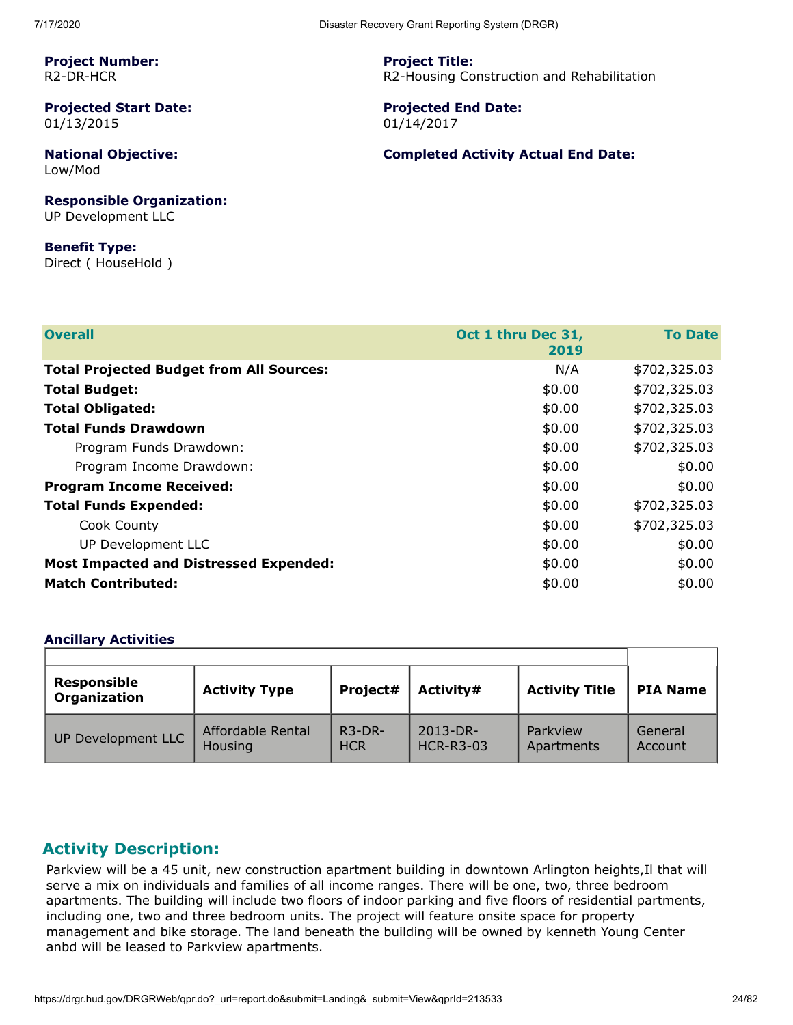**Project Number:** R2-DR-HCR

**Projected Start Date:** 01/13/2015

**National Objective:** Low/Mod

**Responsible Organization:** UP Development LLC

**Benefit Type:** Direct ( HouseHold ) **Project Title:** R2-Housing Construction and Rehabilitation

**Projected End Date:** 01/14/2017

#### **Completed Activity Actual End Date:**

| <b>Overall</b>                                  | Oct 1 thru Dec 31, | <b>To Date</b> |
|-------------------------------------------------|--------------------|----------------|
|                                                 | 2019               |                |
| <b>Total Projected Budget from All Sources:</b> | N/A                | \$702,325.03   |
| <b>Total Budget:</b>                            | \$0.00             | \$702,325.03   |
| <b>Total Obligated:</b>                         | \$0.00             | \$702,325.03   |
| <b>Total Funds Drawdown</b>                     | \$0.00             | \$702,325.03   |
| Program Funds Drawdown:                         | \$0.00             | \$702,325.03   |
| Program Income Drawdown:                        | \$0.00             | \$0.00         |
| <b>Program Income Received:</b>                 | \$0.00             | \$0.00         |
| <b>Total Funds Expended:</b>                    | \$0.00             | \$702,325.03   |
| Cook County                                     | \$0.00             | \$702,325.03   |
| UP Development LLC                              | \$0.00             | \$0.00         |
| <b>Most Impacted and Distressed Expended:</b>   | \$0.00             | \$0.00         |
| <b>Match Contributed:</b>                       | \$0.00             | \$0.00         |
|                                                 |                    |                |

#### **Ancillary Activities**

| <b>Responsible</b><br><b>Organization</b> | <b>Activity Type</b> | Project#   | Activity#        | <b>Activity Title</b> | <b>PIA Name</b> |
|-------------------------------------------|----------------------|------------|------------------|-----------------------|-----------------|
| UP Development LLC                        | Affordable Rental    | $R3-DR-$   | $2013 - DR -$    | Parkview              | General         |
|                                           | Housing              | <b>HCR</b> | <b>HCR-R3-03</b> | Apartments            | Account         |

#### **Activity Description:**

Parkview will be a 45 unit, new construction apartment building in downtown Arlington heights,Il that will serve a mix on individuals and families of all income ranges. There will be one, two, three bedroom apartments. The building will include two floors of indoor parking and five floors of residential partments, including one, two and three bedroom units. The project will feature onsite space for property management and bike storage. The land beneath the building will be owned by kenneth Young Center anbd will be leased to Parkview apartments.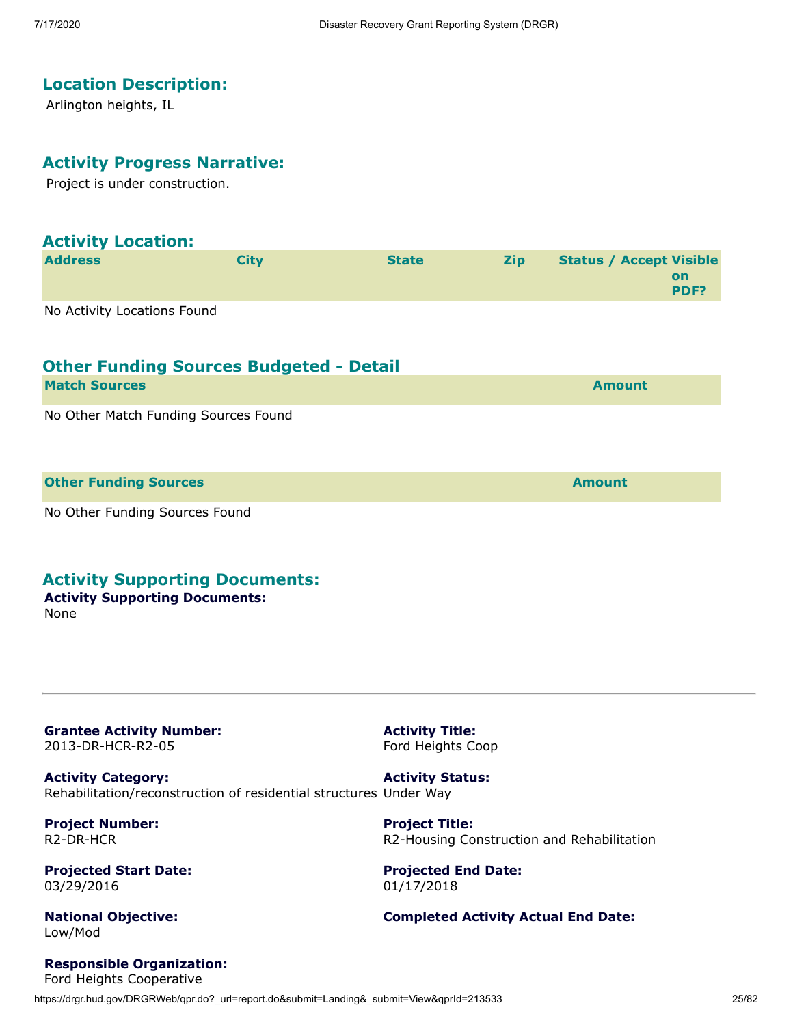### **Location Description:**

Arlington heights, IL

#### **Activity Progress Narrative:**

Project is under construction.

| <b>Activity Location:</b>   |      |              |            |                                |            |
|-----------------------------|------|--------------|------------|--------------------------------|------------|
| <b>Address</b>              | City | <b>State</b> | <b>Zip</b> | <b>Status / Accept Visible</b> | on<br>PDF? |
| No Activity Locations Found |      |              |            |                                |            |

| <b>Other Funding Sources Budgeted - Detail</b> |               |
|------------------------------------------------|---------------|
| <b>Match Sources</b>                           | <b>Amount</b> |
| No Other Match Funding Sources Found           |               |
| <b>Other Funding Sources</b>                   | <b>Amount</b> |
| No Other Funding Sources Found                 |               |

#### **Activity Supporting Documents:**

#### **Activity Supporting Documents:** None

<span id="page-24-0"></span>**Grantee Activity Number:** 2013-DR-HCR-R2-05

**Activity Title:** Ford Heights Coop

**Project Title:**

01/17/2018

**Projected End Date:**

**Activity Category:** Rehabilitation/reconstruction of residential structures Under Way **Activity Status:**

**Project Number:** R2-DR-HCR

**Projected Start Date:** 03/29/2016

**National Objective:** Low/Mod

**Responsible Organization:**

**Completed Activity Actual End Date:**

R2-Housing Construction and Rehabilitation

https://drgr.hud.gov/DRGRWeb/qpr.do?\_url=report.do&submit=Landing&\_submit=View&gprId=213533 25/82 Ford Heights Cooperative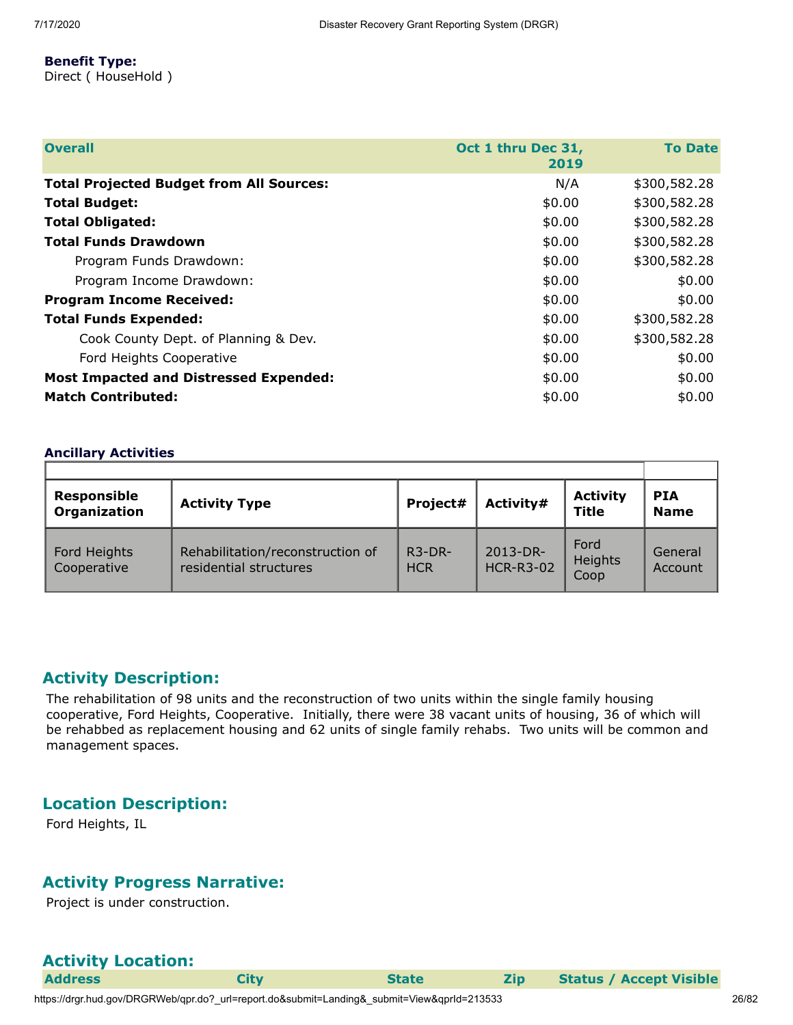#### **Benefit Type:**

Direct ( HouseHold )

| <b>Overall</b>                                  | Oct 1 thru Dec 31,<br>2019 | <b>To Date</b> |
|-------------------------------------------------|----------------------------|----------------|
| <b>Total Projected Budget from All Sources:</b> | N/A                        | \$300,582.28   |
| <b>Total Budget:</b>                            | \$0.00                     | \$300,582.28   |
| <b>Total Obligated:</b>                         | \$0.00                     | \$300,582.28   |
| <b>Total Funds Drawdown</b>                     | \$0.00                     | \$300,582.28   |
| Program Funds Drawdown:                         | \$0.00                     | \$300,582.28   |
| Program Income Drawdown:                        | \$0.00                     | \$0.00         |
| <b>Program Income Received:</b>                 | \$0.00                     | \$0.00         |
| <b>Total Funds Expended:</b>                    | \$0.00                     | \$300,582.28   |
| Cook County Dept. of Planning & Dev.            | \$0.00                     | \$300,582.28   |
| Ford Heights Cooperative                        | \$0.00                     | \$0.00         |
| <b>Most Impacted and Distressed Expended:</b>   | \$0.00                     | \$0.00         |
| <b>Match Contributed:</b>                       | \$0.00                     | \$0.00         |

#### **Ancillary Activities**

| Responsible<br>Organization | <b>Activity Type</b>                                       | Project#               | Activity#                    | <b>Activity</b><br><b>Title</b> | <b>PIA</b><br><b>Name</b> |
|-----------------------------|------------------------------------------------------------|------------------------|------------------------------|---------------------------------|---------------------------|
| Ford Heights<br>Cooperative | Rehabilitation/reconstruction of<br>residential structures | $R3-DR-$<br><b>HCR</b> | 2013-DR-<br><b>HCR-R3-02</b> | Ford<br>Heights<br>Coop         | General<br>Account        |

#### **Activity Description:**

The rehabilitation of 98 units and the reconstruction of two units within the single family housing cooperative, Ford Heights, Cooperative. Initially, there were 38 vacant units of housing, 36 of which will be rehabbed as replacement housing and 62 units of single family rehabs. Two units will be common and management spaces.

#### **Location Description:**

Ford Heights, IL

#### **Activity Progress Narrative:**

Project is under construction.

| <b>Activity Location:</b> |
|---------------------------|
|                           |

**Address City State Zip Status / Accept Visible**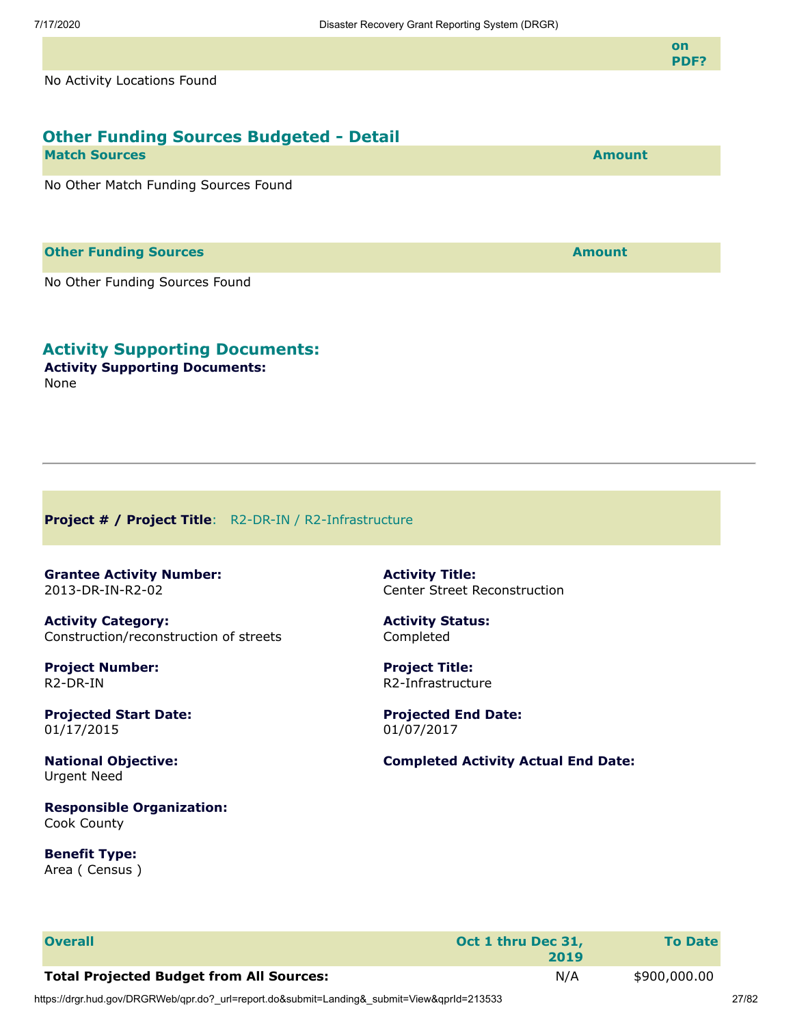**on PDF?**

No Activity Locations Found

| <b>Other Funding Sources Budgeted - Detail</b> |               |
|------------------------------------------------|---------------|
| <b>Match Sources</b>                           | <b>Amount</b> |
| No Other Match Funding Sources Found           |               |

#### **Other Funding Sources and Sources and Sources and Source Amount**

No Other Funding Sources Found

#### **Activity Supporting Documents:**

**Activity Supporting Documents:** None

<span id="page-26-0"></span>**Project # / Project Title**: R2-DR-IN / R2-Infrastructure

<span id="page-26-1"></span>**Grantee Activity Number:** 2013-DR-IN-R2-02

**Activity Category:** Construction/reconstruction of streets

**Project Number:** R2-DR-IN

**Projected Start Date:** 01/17/2015

**National Objective:** Urgent Need

**Responsible Organization:** Cook County

**Benefit Type:** Area ( Census ) **Activity Title:** Center Street Reconstruction

**Activity Status:** Completed

**Project Title:** R2-Infrastructure

**Projected End Date:** 01/07/2017

**Completed Activity Actual End Date:**

| <b>Overall</b>                                  | Oct 1 thru Dec 31,<br>2019 | <b>To Date</b> |
|-------------------------------------------------|----------------------------|----------------|
| <b>Total Projected Budget from All Sources:</b> | N/A                        | \$900,000.00   |

https://drgr.hud.gov/DRGRWeb/qpr.do?\_url=report.do&submit=Landing&\_submit=View&qprId=213533 27/82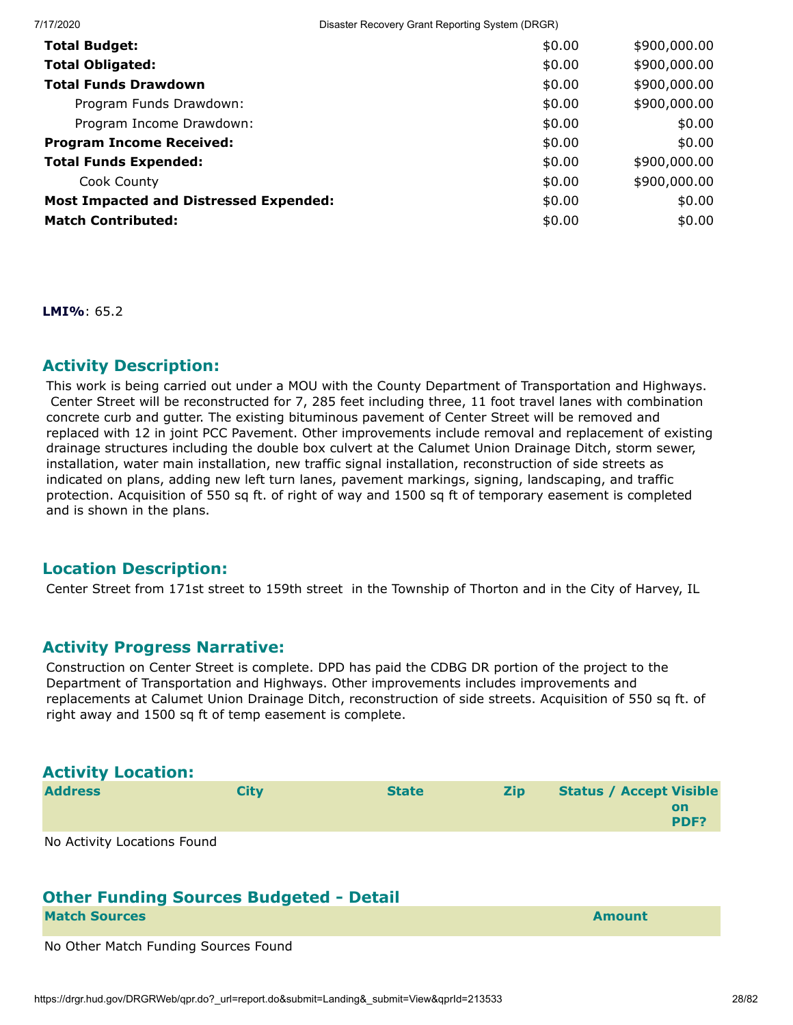7/17/2020 Disaster Recovery Grant Reporting System (DRGR) **Total Budget:**  $\text{\$900,000.00}$ **Total Obligated:**  $\text{\$900,000.00}$ **Total Funds Drawdown**  $\text{\$0.00} \qquad \text{\$900,000.00}$ Program Funds Drawdown:  $$0.00$  \$900,000.00 Program Income Drawdown:  $$0.00$  \$0.00 \$0.00 **Program Income Received:**  $\text{\$0.00\$0.00}$ **Total Funds Expended:**  $\text{\$900,000.00}$  $\text{Cook County}$  \$0.00 \$900,000.00 **Most Impacted and Distressed Expended:**  $\text{\$0.00}\$   $\text{\$0.00}$   $\text{\$0.00}$ **Match Contributed:**  $\text{\$0.00\$0.00}$ 

**LMI%**: 65.2

#### **Activity Description:**

This work is being carried out under a MOU with the County Department of Transportation and Highways. Center Street will be reconstructed for 7, 285 feet including three, 11 foot travel lanes with combination concrete curb and gutter. The existing bituminous pavement of Center Street will be removed and replaced with 12 in joint PCC Pavement. Other improvements include removal and replacement of existing drainage structures including the double box culvert at the Calumet Union Drainage Ditch, storm sewer, installation, water main installation, new traffic signal installation, reconstruction of side streets as indicated on plans, adding new left turn lanes, pavement markings, signing, landscaping, and traffic protection. Acquisition of 550 sq ft. of right of way and 1500 sq ft of temporary easement is completed and is shown in the plans.

#### **Location Description:**

Center Street from 171st street to 159th street in the Township of Thorton and in the City of Harvey, IL

#### **Activity Progress Narrative:**

Construction on Center Street is complete. DPD has paid the CDBG DR portion of the project to the Department of Transportation and Highways. Other improvements includes improvements and replacements at Calumet Union Drainage Ditch, reconstruction of side streets. Acquisition of 550 sq ft. of right away and 1500 sq ft of temp easement is complete.

| <b>Activity Location:</b>   |             |              |            |                                |            |
|-----------------------------|-------------|--------------|------------|--------------------------------|------------|
| <b>Address</b>              | <b>City</b> | <b>State</b> | <b>Zip</b> | <b>Status / Accept Visible</b> | on<br>PDF? |
| No Activity Locations Found |             |              |            |                                |            |

#### **Other Funding Sources Budgeted - Detail Match Sources Amount**

No Other Match Funding Sources Found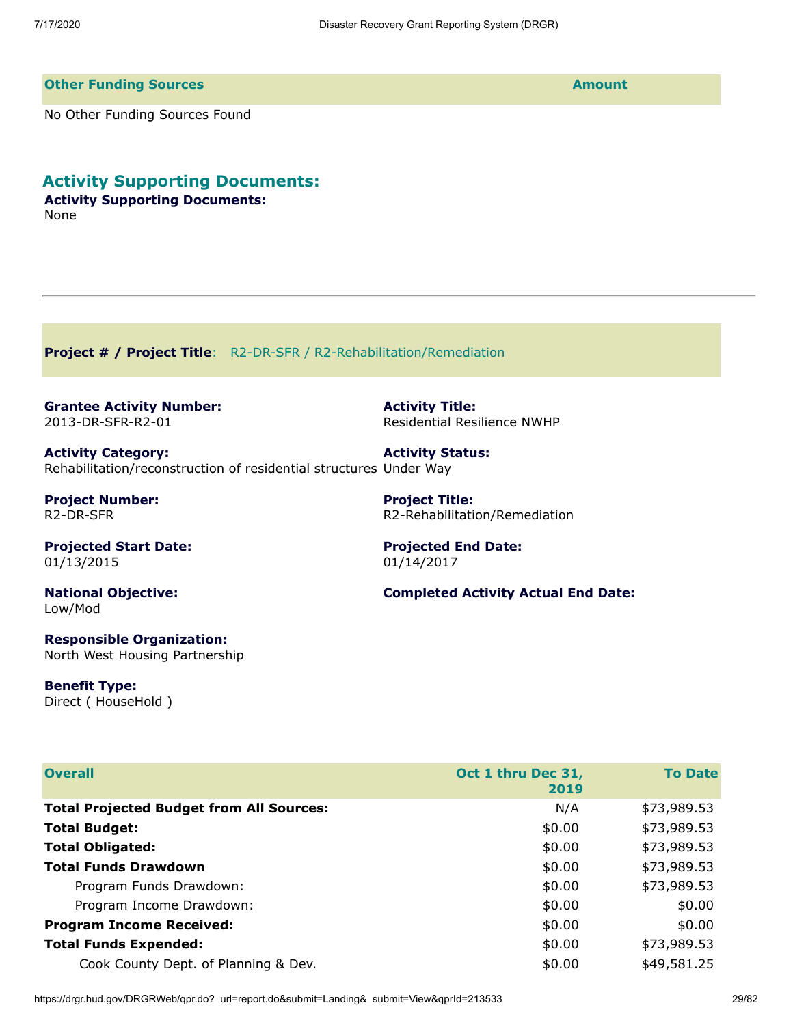#### **Other Funding Sources Amount**

No Other Funding Sources Found

**Activity Supporting Documents:**

**Activity Supporting Documents:** None

<span id="page-28-0"></span>**Project # / Project Title**: R2-DR-SFR / R2-Rehabilitation/Remediation

<span id="page-28-1"></span>**Grantee Activity Number:** 2013-DR-SFR-R2-01

**Activity Category:** Rehabilitation/reconstruction of residential structures Under Way

**Project Number:** R2-DR-SFR

**Projected Start Date:** 01/13/2015

**National Objective:** Low/Mod

**Responsible Organization:** North West Housing Partnership

**Benefit Type:** Direct ( HouseHold ) **Activity Title:** Residential Resilience NWHP

**Activity Status:**

**Project Title:** R2-Rehabilitation/Remediation

**Projected End Date:** 01/14/2017

**Completed Activity Actual End Date:**

| <b>Overall</b>                                  | Oct 1 thru Dec 31,<br>2019 | <b>To Date</b> |
|-------------------------------------------------|----------------------------|----------------|
| <b>Total Projected Budget from All Sources:</b> | N/A                        | \$73,989.53    |
| <b>Total Budget:</b>                            | \$0.00                     | \$73,989.53    |
| <b>Total Obligated:</b>                         | \$0.00                     | \$73,989.53    |
| <b>Total Funds Drawdown</b>                     | \$0.00                     | \$73,989.53    |
| Program Funds Drawdown:                         | \$0.00                     | \$73,989.53    |
| Program Income Drawdown:                        | \$0.00                     | \$0.00         |
| <b>Program Income Received:</b>                 | \$0.00                     | \$0.00         |
| <b>Total Funds Expended:</b>                    | \$0.00                     | \$73,989.53    |
| Cook County Dept. of Planning & Dev.            | \$0.00                     | \$49,581.25    |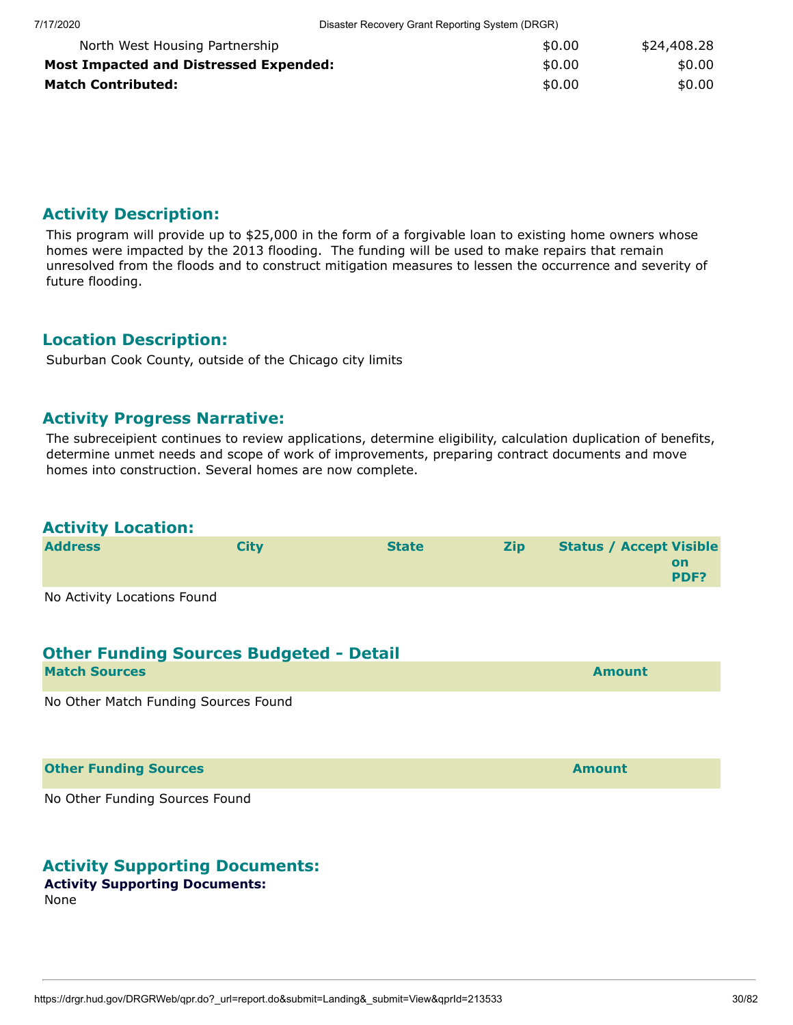| North West Housing Partnership                | \$0.00 | \$24,408.28 |
|-----------------------------------------------|--------|-------------|
| <b>Most Impacted and Distressed Expended:</b> | \$0.00 | \$0.00      |
| <b>Match Contributed:</b>                     | \$0.00 | \$0.00      |

#### **Activity Description:**

This program will provide up to \$25,000 in the form of a forgivable loan to existing home owners whose homes were impacted by the 2013 flooding. The funding will be used to make repairs that remain unresolved from the floods and to construct mitigation measures to lessen the occurrence and severity of future flooding.

#### **Location Description:**

Suburban Cook County, outside of the Chicago city limits

#### **Activity Progress Narrative:**

The subreceipient continues to review applications, determine eligibility, calculation duplication of benefits, determine unmet needs and scope of work of improvements, preparing contract documents and move homes into construction. Several homes are now complete.

# **Activity Location:**

| <b>Address</b>              | Citv | <b>State</b> | <b>Zip</b> | <b>Status / Accept Visible</b> |            |
|-----------------------------|------|--------------|------------|--------------------------------|------------|
|                             |      |              |            |                                | on<br>PDF? |
| No Activity Locations Found |      |              |            |                                |            |

#### **Other Funding Sources Budgeted - Detail**

| <b>Match Sources</b>                    | <b>Amount</b> |
|-----------------------------------------|---------------|
| Ne Other Metals Frieding Corners Ferred |               |

No Other Match Funding Sources Found

**Other Funding Sources and Sources and Sources and Source Amount** 

No Other Funding Sources Found

#### **Activity Supporting Documents:**

#### **Activity Supporting Documents:** None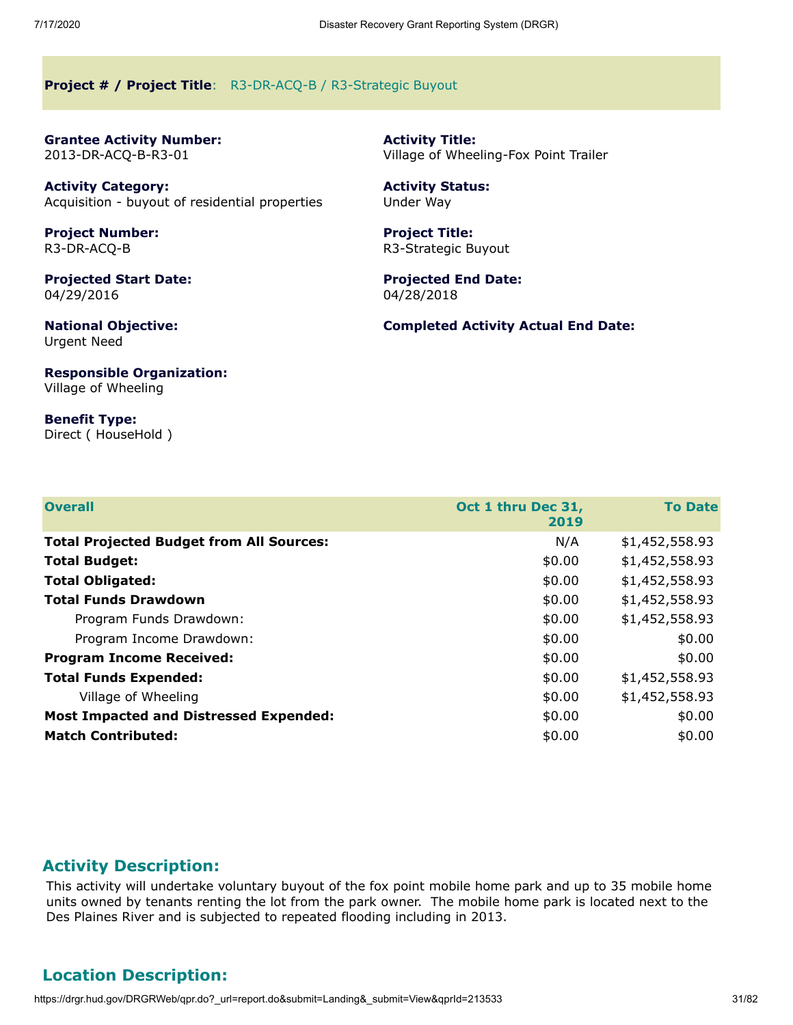#### <span id="page-30-0"></span>**Project # / Project Title**: R3-DR-ACQ-B / R3-Strategic Buyout

<span id="page-30-1"></span>**Grantee Activity Number:** 2013-DR-ACQ-B-R3-01

**Activity Category:** Acquisition - buyout of residential properties

**Project Number:** R3-DR-ACQ-B

**Projected Start Date:** 04/29/2016

**National Objective:** Urgent Need

**Responsible Organization:** Village of Wheeling

**Benefit Type:** Direct ( HouseHold ) **Activity Title:** Village of Wheeling-Fox Point Trailer

**Activity Status:** Under Way

**Project Title:** R3-Strategic Buyout

**Projected End Date:** 04/28/2018

**Completed Activity Actual End Date:**

| <b>Overall</b>                                  | Oct 1 thru Dec 31,<br>2019 | <b>To Date</b> |
|-------------------------------------------------|----------------------------|----------------|
| <b>Total Projected Budget from All Sources:</b> | N/A                        | \$1,452,558.93 |
| <b>Total Budget:</b>                            | \$0.00                     | \$1,452,558.93 |
| <b>Total Obligated:</b>                         | \$0.00                     | \$1,452,558.93 |
| <b>Total Funds Drawdown</b>                     | \$0.00                     | \$1,452,558.93 |
| Program Funds Drawdown:                         | \$0.00                     | \$1,452,558.93 |
| Program Income Drawdown:                        | \$0.00                     | \$0.00         |
| <b>Program Income Received:</b>                 | \$0.00                     | \$0.00         |
| <b>Total Funds Expended:</b>                    | \$0.00                     | \$1,452,558.93 |
| Village of Wheeling                             | \$0.00                     | \$1,452,558.93 |
| <b>Most Impacted and Distressed Expended:</b>   | \$0.00                     | \$0.00         |
| <b>Match Contributed:</b>                       | \$0.00                     | \$0.00         |

#### **Activity Description:**

This activity will undertake voluntary buyout of the fox point mobile home park and up to 35 mobile home units owned by tenants renting the lot from the park owner. The mobile home park is located next to the Des Plaines River and is subjected to repeated flooding including in 2013.

#### **Location Description:**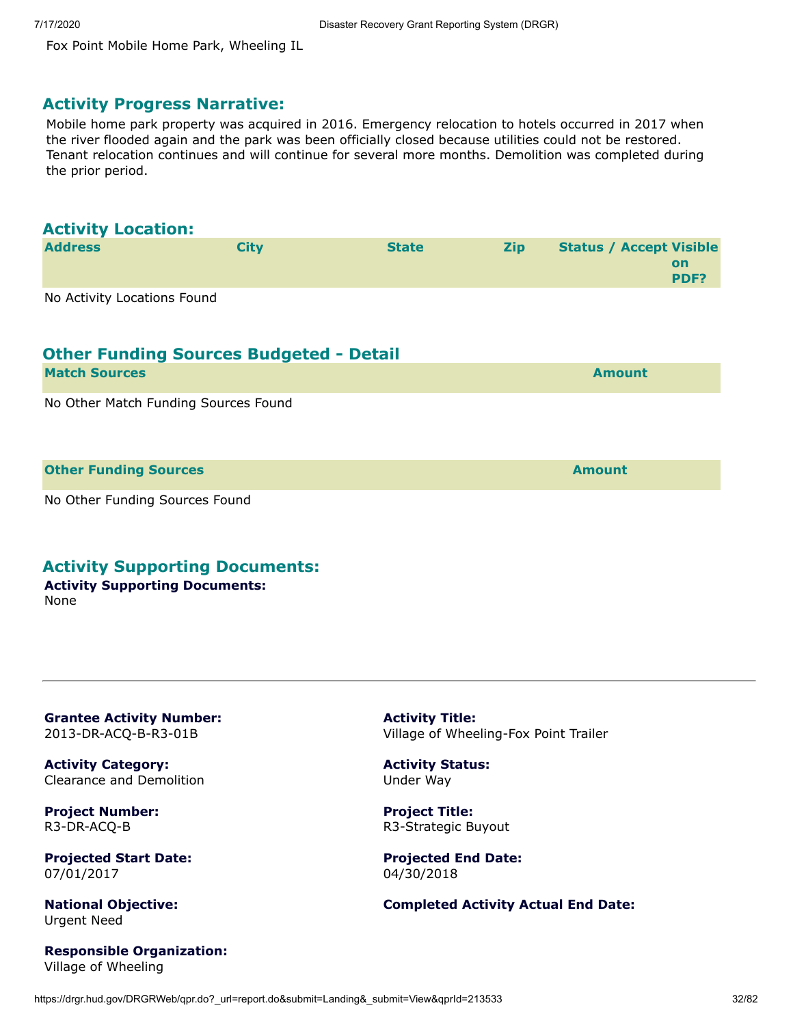Fox Point Mobile Home Park, Wheeling IL

#### **Activity Progress Narrative:**

Mobile home park property was acquired in 2016. Emergency relocation to hotels occurred in 2017 when the river flooded again and the park was been officially closed because utilities could not be restored. Tenant relocation continues and will continue for several more months. Demolition was completed during the prior period.

#### **Activity Location:**

| <b>Address</b>              | <b>City</b> | <b>State</b> | <b>Zip</b> | <b>Status / Accept Visible</b> |      |
|-----------------------------|-------------|--------------|------------|--------------------------------|------|
|                             |             |              |            |                                | on   |
|                             |             |              |            |                                | PDF? |
| No Activity Locations Found |             |              |            |                                |      |

### **Other Funding Sources Budgeted - Detail**

| <b>Match Sources</b>                                                    | <b>Amount</b> |
|-------------------------------------------------------------------------|---------------|
| 그 사람들은 그 사람들은 그 사람들은 그 사람들을 만들고 있다. 그 사람들은 그 사람들은 그 사람들은 그 사람들을 만들고 있다. |               |

No Other Match Funding Sources Found

**Other Funding Sources Amount** 

No Other Funding Sources Found

#### **Activity Supporting Documents:**

**Activity Supporting Documents:** None

<span id="page-31-0"></span>**Grantee Activity Number:** 2013-DR-ACQ-B-R3-01B

**Activity Category:** Clearance and Demolition

**Project Number:** R3-DR-ACQ-B

**Projected Start Date:** 07/01/2017

**National Objective:** Urgent Need

**Responsible Organization:** Village of Wheeling

**Activity Title:** Village of Wheeling-Fox Point Trailer

**Activity Status:** Under Way

**Project Title:** R3-Strategic Buyout

**Projected End Date:** 04/30/2018

#### **Completed Activity Actual End Date:**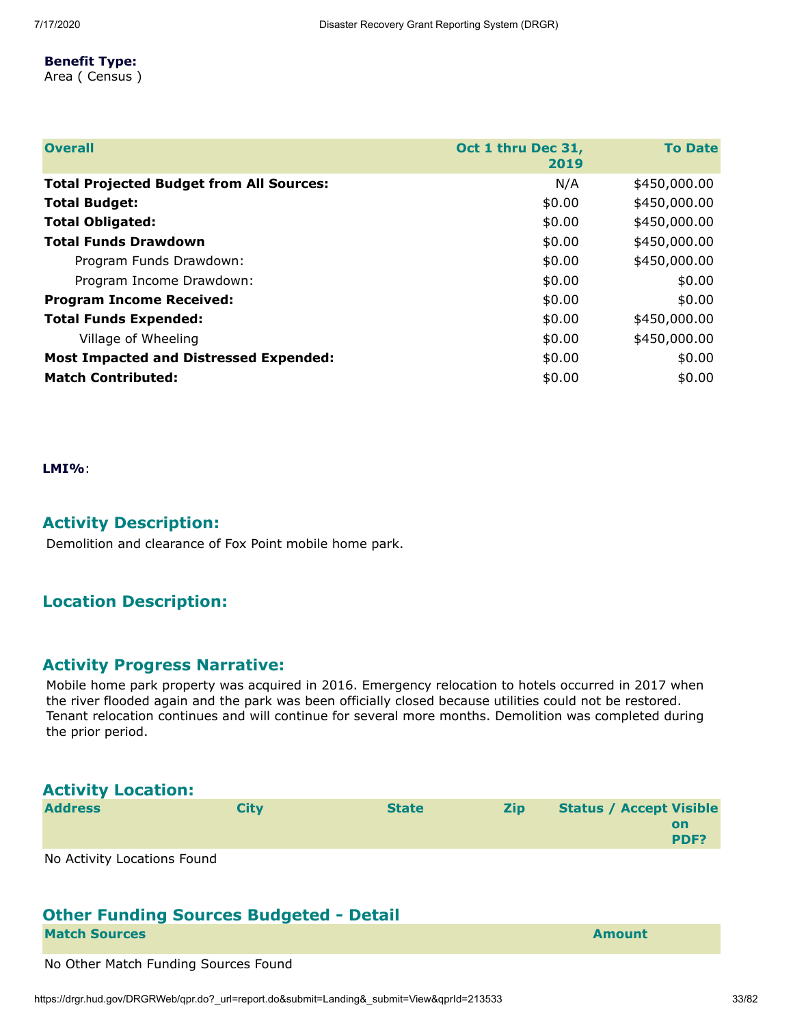#### **Benefit Type:**

Area ( Census )

| <b>Overall</b>                                  | Oct 1 thru Dec 31,<br>2019 | <b>To Date</b> |
|-------------------------------------------------|----------------------------|----------------|
| <b>Total Projected Budget from All Sources:</b> | N/A                        | \$450,000.00   |
| <b>Total Budget:</b>                            | \$0.00                     | \$450,000.00   |
| <b>Total Obligated:</b>                         | \$0.00                     | \$450,000.00   |
| <b>Total Funds Drawdown</b>                     | \$0.00                     | \$450,000.00   |
| Program Funds Drawdown:                         | \$0.00                     | \$450,000.00   |
| Program Income Drawdown:                        | \$0.00                     | \$0.00         |
| <b>Program Income Received:</b>                 | \$0.00                     | \$0.00         |
| <b>Total Funds Expended:</b>                    | \$0.00                     | \$450,000.00   |
| Village of Wheeling                             | \$0.00                     | \$450,000.00   |
| <b>Most Impacted and Distressed Expended:</b>   | \$0.00                     | \$0.00         |
| <b>Match Contributed:</b>                       | \$0.00                     | \$0.00         |

**LMI%**:

#### **Activity Description:**

Demolition and clearance of Fox Point mobile home park.

#### **Location Description:**

### **Activity Progress Narrative:**

Mobile home park property was acquired in 2016. Emergency relocation to hotels occurred in 2017 when the river flooded again and the park was been officially closed because utilities could not be restored. Tenant relocation continues and will continue for several more months. Demolition was completed during the prior period.

| <b>Activity Location:</b>   |             |              |            |                                |                   |
|-----------------------------|-------------|--------------|------------|--------------------------------|-------------------|
| <b>Address</b>              | <b>City</b> | <b>State</b> | <b>Zip</b> | <b>Status / Accept Visible</b> | <b>on</b><br>PDF? |
| No Activity Locations Found |             |              |            |                                |                   |

# **Other Funding Sources Budgeted - Detail**

**Match Sources Amount** 

No Other Match Funding Sources Found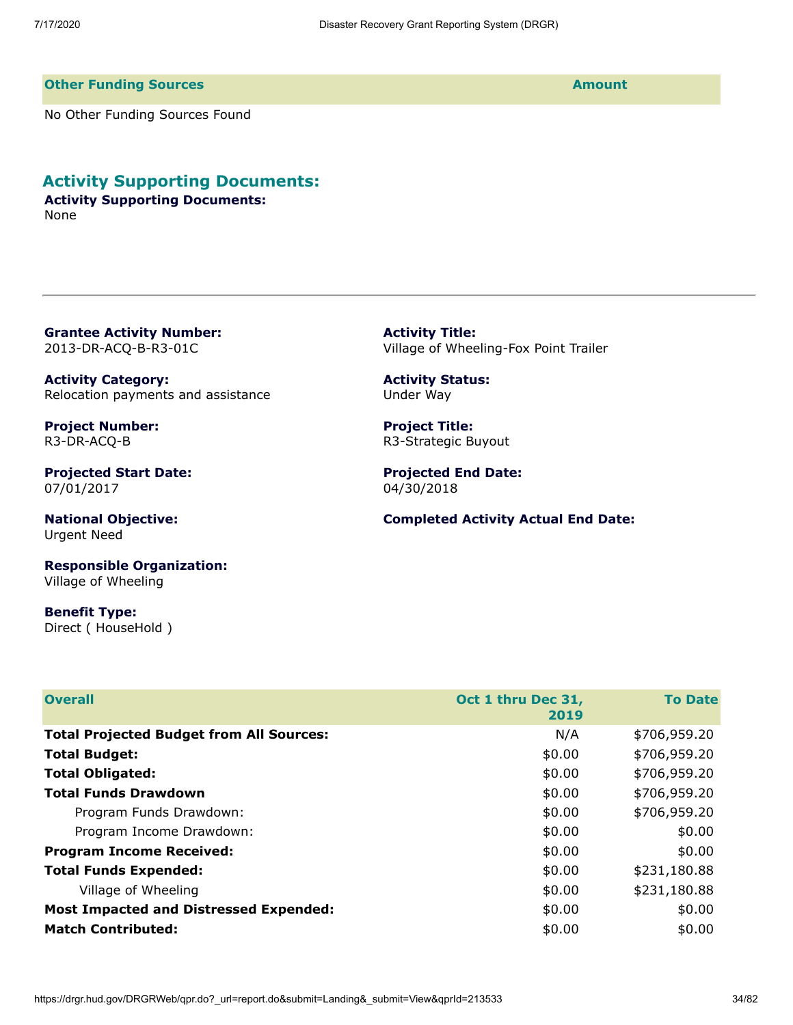#### **Other Funding Sources Amount**

No Other Funding Sources Found

#### **Activity Supporting Documents:**

**Activity Supporting Documents:** None

<span id="page-33-0"></span>**Grantee Activity Number:** 2013-DR-ACQ-B-R3-01C

**Activity Category:** Relocation payments and assistance

**Project Number:** R3-DR-ACQ-B

**Projected Start Date:** 07/01/2017

**National Objective:** Urgent Need

**Responsible Organization:** Village of Wheeling

**Benefit Type:** Direct ( HouseHold ) **Activity Title:** Village of Wheeling-Fox Point Trailer

**Activity Status:** Under Way

**Project Title:** R3-Strategic Buyout

**Projected End Date:** 04/30/2018

**Completed Activity Actual End Date:**

| <b>Overall</b>                                  | Oct 1 thru Dec 31,<br>2019 | <b>To Date</b> |
|-------------------------------------------------|----------------------------|----------------|
| <b>Total Projected Budget from All Sources:</b> | N/A                        | \$706,959.20   |
| <b>Total Budget:</b>                            | \$0.00                     | \$706,959.20   |
| <b>Total Obligated:</b>                         | \$0.00                     | \$706,959.20   |
| <b>Total Funds Drawdown</b>                     | \$0.00                     | \$706,959.20   |
| Program Funds Drawdown:                         | \$0.00                     | \$706,959.20   |
| Program Income Drawdown:                        | \$0.00                     | \$0.00         |
| <b>Program Income Received:</b>                 | \$0.00                     | \$0.00         |
| <b>Total Funds Expended:</b>                    | \$0.00                     | \$231,180.88   |
| Village of Wheeling                             | \$0.00                     | \$231,180.88   |
| <b>Most Impacted and Distressed Expended:</b>   | \$0.00                     | \$0.00         |
| <b>Match Contributed:</b>                       | \$0.00                     | \$0.00         |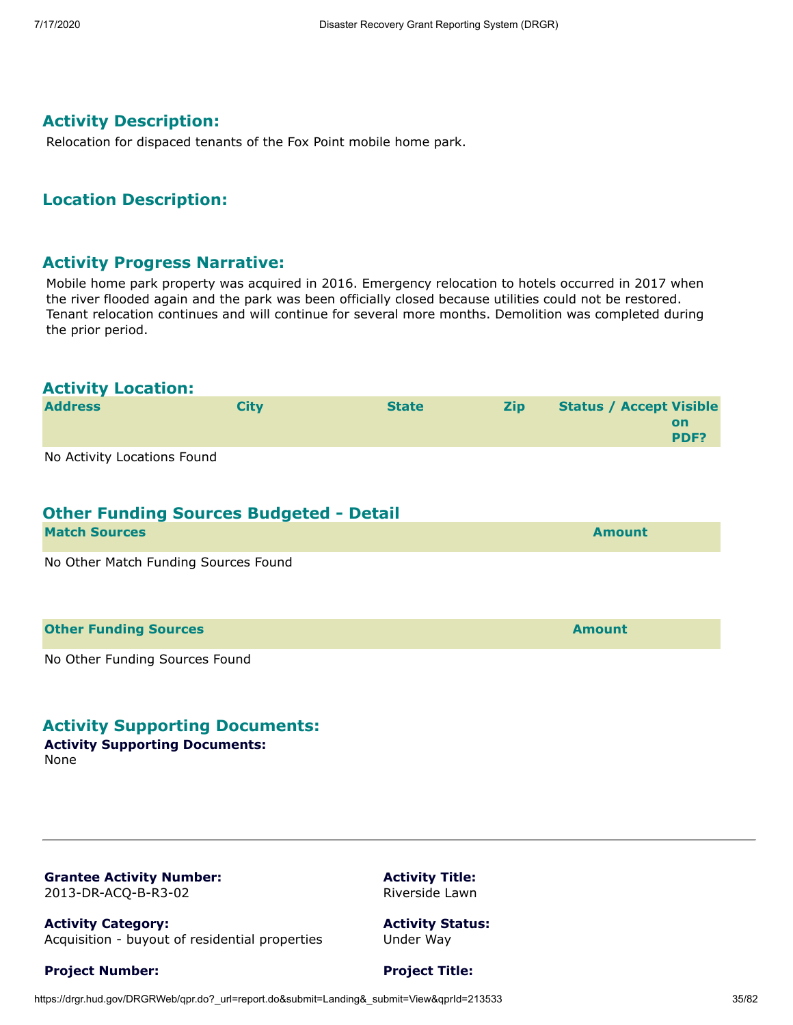#### **Activity Description:**

Relocation for dispaced tenants of the Fox Point mobile home park.

#### **Location Description:**

#### **Activity Progress Narrative:**

Mobile home park property was acquired in 2016. Emergency relocation to hotels occurred in 2017 when the river flooded again and the park was been officially closed because utilities could not be restored. Tenant relocation continues and will continue for several more months. Demolition was completed during the prior period.

#### **Activity Location:**

| <b>Address</b>              | City | <b>State</b> | <b>Zip</b> | <b>Status / Accept Visible</b> |
|-----------------------------|------|--------------|------------|--------------------------------|
|                             |      |              |            | on<br>PDF?                     |
| No Activity Locations Found |      |              |            |                                |

No Activity Locations Found

# **Other Funding Sources Budgeted - Detail**

| <b>Match Sources</b>                 | <b>Amount</b> |
|--------------------------------------|---------------|
| No Other Match Funding Sources Found |               |
|                                      |               |
| <b>Other Funding Sources</b>         | <b>Amount</b> |

No Other Funding Sources Found

#### **Activity Supporting Documents:**

**Activity Supporting Documents:**

None

<span id="page-34-0"></span>**Grantee Activity Number:** 2013-DR-ACQ-B-R3-02

**Activity Category:** Acquisition - buyout of residential properties

**Project Number:**

**Activity Title:** Riverside Lawn

**Activity Status:** Under Way

**Project Title:**

#### https://drgr.hud.gov/DRGRWeb/qpr.do?\_url=report.do&submit=Landing&\_submit=View&gprId=213533 35/82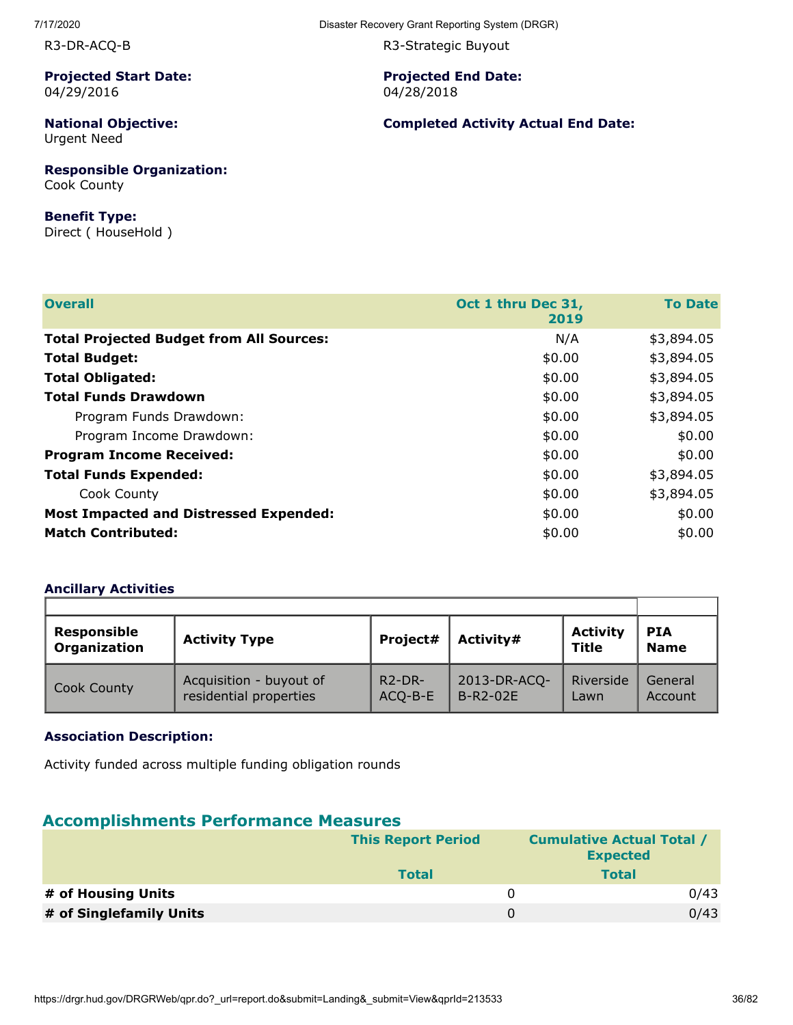R3-DR-ACQ-B

**Projected Start Date:** 04/29/2016

**National Objective:** Urgent Need

**Responsible Organization:** Cook County

#### **Benefit Type:**

Direct ( HouseHold )

R3-Strategic Buyout

**Projected End Date:** 04/28/2018

**Completed Activity Actual End Date:**

| <b>Overall</b>                                  | Oct 1 thru Dec 31,<br>2019 | <b>To Date</b> |
|-------------------------------------------------|----------------------------|----------------|
| <b>Total Projected Budget from All Sources:</b> | N/A                        | \$3,894.05     |
| <b>Total Budget:</b>                            | \$0.00                     | \$3,894.05     |
| <b>Total Obligated:</b>                         | \$0.00                     | \$3,894.05     |
| <b>Total Funds Drawdown</b>                     | \$0.00                     | \$3,894.05     |
| Program Funds Drawdown:                         | \$0.00                     | \$3,894.05     |
| Program Income Drawdown:                        | \$0.00                     | \$0.00         |
| <b>Program Income Received:</b>                 | \$0.00                     | \$0.00         |
| <b>Total Funds Expended:</b>                    | \$0.00                     | \$3,894.05     |
| Cook County                                     | \$0.00                     | \$3,894.05     |
| <b>Most Impacted and Distressed Expended:</b>   | \$0.00                     | \$0.00         |
| <b>Match Contributed:</b>                       | \$0.00                     | \$0.00         |

#### **Ancillary Activities**

| <b>Responsible</b><br>Organization | <b>Activity Type</b>                              | Project#            | Activity#                | <b>Activity</b><br>Title | <b>PIA</b><br><b>Name</b> |
|------------------------------------|---------------------------------------------------|---------------------|--------------------------|--------------------------|---------------------------|
| Cook County                        | Acquisition - buyout of<br>residential properties | $R2-DR-$<br>ACQ-B-E | 2013-DR-ACQ-<br>B-R2-02E | Riverside<br>Lawn        | General<br>Account        |

#### **Association Description:**

Activity funded across multiple funding obligation rounds

### **Accomplishments Performance Measures**

|                         | <b>This Report Period</b> | <b>Cumulative Actual Total /</b><br><b>Expected</b> |      |
|-------------------------|---------------------------|-----------------------------------------------------|------|
|                         | <b>Total</b>              | <b>Total</b>                                        |      |
| # of Housing Units      |                           | $\Omega$                                            | 0/43 |
| # of Singlefamily Units |                           | $\Omega$                                            | 0/43 |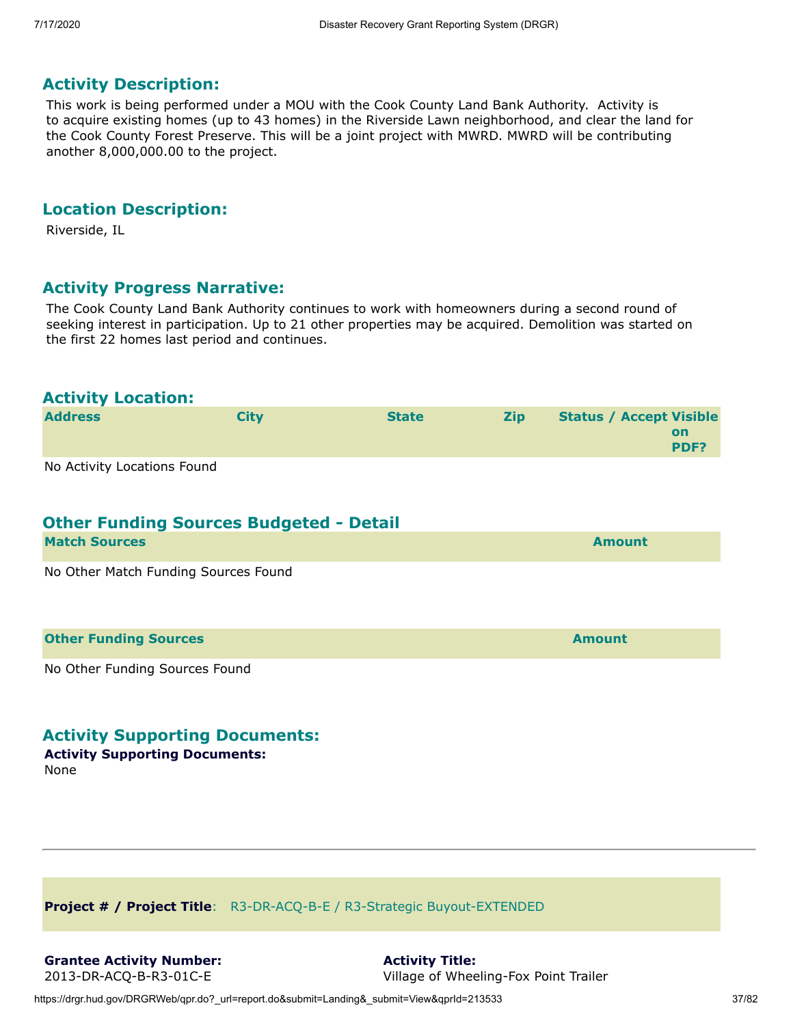This work is being performed under a MOU with the Cook County Land Bank Authority. Activity is to acquire existing homes (up to 43 homes) in the Riverside Lawn neighborhood, and clear the land for the Cook County Forest Preserve. This will be a joint project with MWRD. MWRD will be contributing another 8,000,000.00 to the project.

#### **Location Description:**

Riverside, IL

#### **Activity Progress Narrative:**

The Cook County Land Bank Authority continues to work with homeowners during a second round of seeking interest in participation. Up to 21 other properties may be acquired. Demolition was started on the first 22 homes last period and continues.

#### **Activity Location:**

| <b>Address</b>              | Citv | <b>State</b> | <b>Zip</b> | <b>Status / Accept Visible</b> |             |
|-----------------------------|------|--------------|------------|--------------------------------|-------------|
|                             |      |              |            |                                | on          |
|                             |      |              |            |                                | <b>PDF?</b> |
| No Activity Locations Found |      |              |            |                                |             |

# **Other Funding Sources Budgeted - Detail**

| <b>Match Sources</b>                 | <b>Amount</b> |
|--------------------------------------|---------------|
| No Other Match Funding Sources Found |               |
|                                      |               |
| <b>Other Funding Sources</b>         | <b>Amount</b> |

No Other Funding Sources Found

## **Activity Supporting Documents:**

**Activity Supporting Documents:** None

**Project # / Project Title**: R3-DR-ACQ-B-E / R3-Strategic Buyout-EXTENDED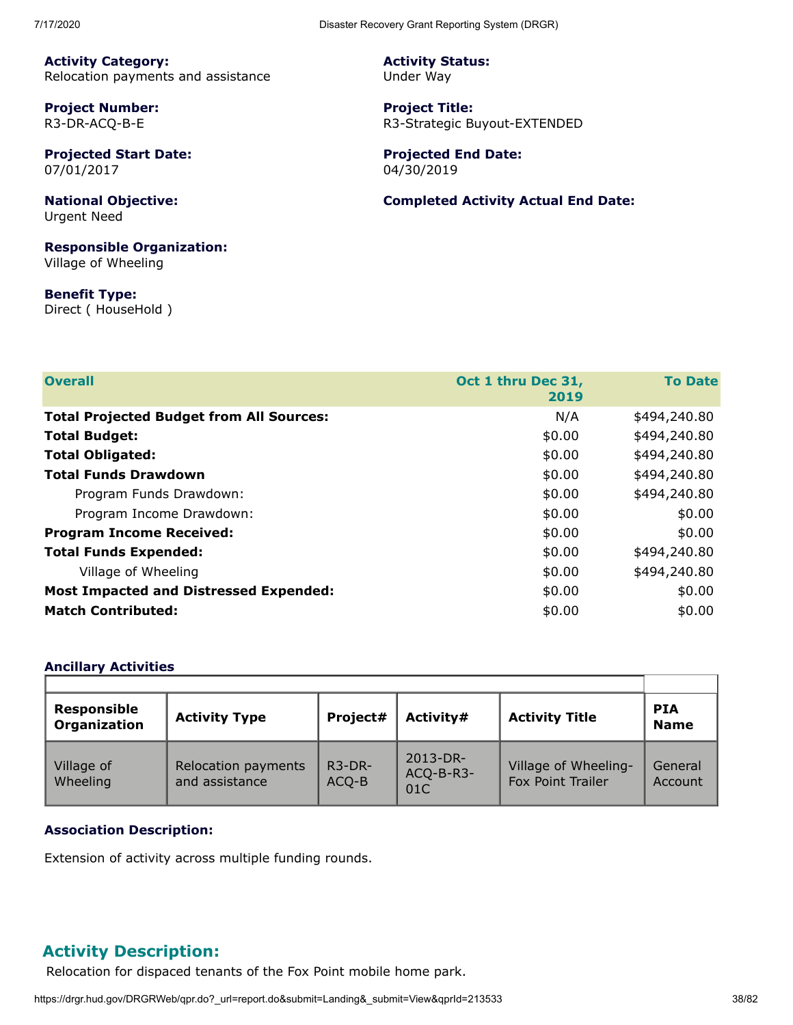**Activity Category:** Relocation payments and assistance

**Project Number:** R3-DR-ACQ-B-E

**Projected Start Date:** 07/01/2017

**National Objective:** Urgent Need

**Responsible Organization:** Village of Wheeling

**Benefit Type:** Direct ( HouseHold ) **Activity Status:** Under Way

**Project Title:** R3-Strategic Buyout-EXTENDED

**Projected End Date:** 04/30/2019

**Completed Activity Actual End Date:**

| <b>Overall</b>                                  | Oct 1 thru Dec 31, | <b>To Date</b> |
|-------------------------------------------------|--------------------|----------------|
|                                                 | 2019               |                |
| <b>Total Projected Budget from All Sources:</b> | N/A                | \$494,240.80   |
|                                                 |                    |                |
| <b>Total Budget:</b>                            | \$0.00             | \$494,240.80   |
| <b>Total Obligated:</b>                         | \$0.00             | \$494,240.80   |
| <b>Total Funds Drawdown</b>                     | \$0.00             | \$494,240.80   |
| Program Funds Drawdown:                         | \$0.00             | \$494,240.80   |
| Program Income Drawdown:                        | \$0.00             | \$0.00         |
| <b>Program Income Received:</b>                 | \$0.00             | \$0.00         |
| <b>Total Funds Expended:</b>                    | \$0.00             | \$494,240.80   |
| Village of Wheeling                             | \$0.00             | \$494,240.80   |
| <b>Most Impacted and Distressed Expended:</b>   | \$0.00             | \$0.00         |
| <b>Match Contributed:</b>                       | \$0.00             | \$0.00         |

#### **Ancillary Activities**

| <b>Responsible</b><br><b>Organization</b> | <b>Activity Type</b>                  | Project#          | Activity#                    | <b>Activity Title</b>                            | <b>PIA</b><br><b>Name</b> |
|-------------------------------------------|---------------------------------------|-------------------|------------------------------|--------------------------------------------------|---------------------------|
| Village of<br>Wheeling                    | Relocation payments<br>and assistance | $R3-DR-$<br>ACQ-B | 2013-DR-<br>ACQ-B-R3-<br>01C | Village of Wheeling-<br><b>Fox Point Trailer</b> | General<br>Account        |

#### **Association Description:**

Extension of activity across multiple funding rounds.

## **Activity Description:**

Relocation for dispaced tenants of the Fox Point mobile home park.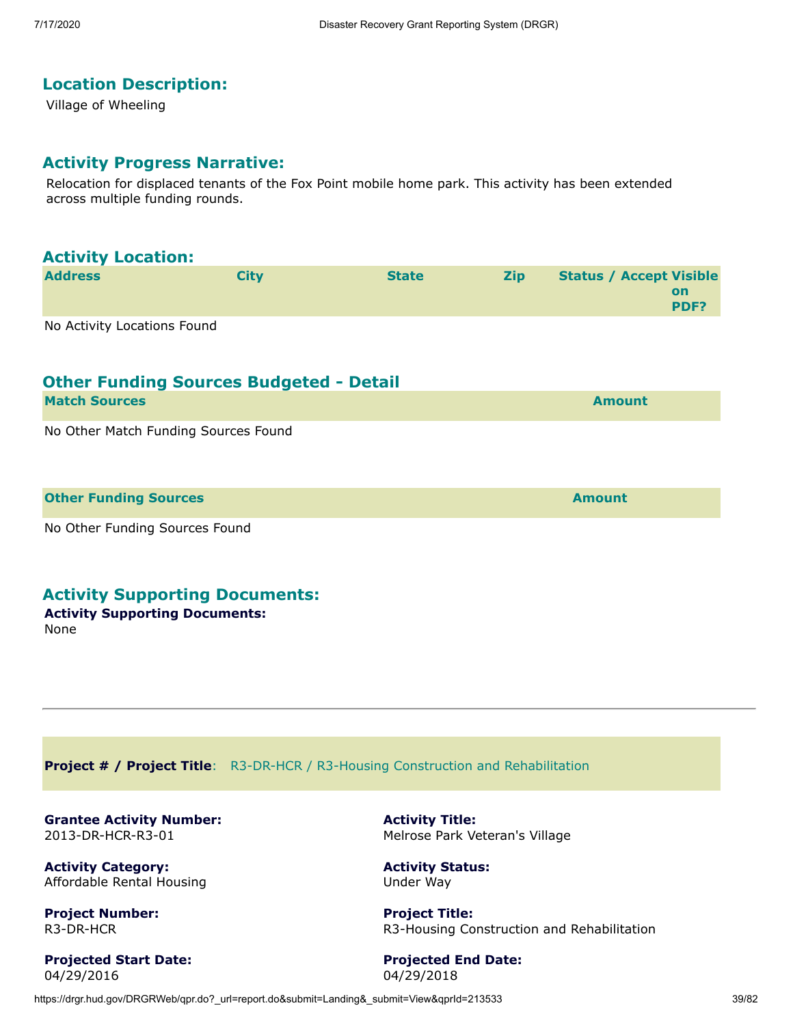# **Location Description:**

Village of Wheeling

#### **Activity Progress Narrative:**

Relocation for displaced tenants of the Fox Point mobile home park. This activity has been extended across multiple funding rounds.

| <b>Activity Location:</b>            |                                                |              |            |                                                     |
|--------------------------------------|------------------------------------------------|--------------|------------|-----------------------------------------------------|
| <b>Address</b>                       | <b>City</b>                                    | <b>State</b> | <b>Zip</b> | <b>Status / Accept Visible</b><br><b>on</b><br>PDF? |
| No Activity Locations Found          |                                                |              |            |                                                     |
|                                      | <b>Other Funding Sources Budgeted - Detail</b> |              |            |                                                     |
| <b>Match Sources</b>                 |                                                |              |            | <b>Amount</b>                                       |
| No Other Match Funding Sources Found |                                                |              |            |                                                     |

| <b>Other Funding Sources</b>                                                                                    | <b>Amount</b> |
|-----------------------------------------------------------------------------------------------------------------|---------------|
|                                                                                                                 |               |
| the contract of the contract of the contract of the contract of the contract of the contract of the contract of |               |

No Other Funding Sources Found

## **Activity Supporting Documents:**

**Activity Supporting Documents:** None

**Project # / Project Title**: R3-DR-HCR / R3-Housing Construction and Rehabilitation

**Grantee Activity Number:** 2013-DR-HCR-R3-01

**Activity Category:** Affordable Rental Housing

**Project Number:** R3-DR-HCR

**Projected Start Date:** 04/29/2016

**Activity Title:** Melrose Park Veteran's Village

**Activity Status:** Under Way

**Project Title:** R3-Housing Construction and Rehabilitation

**Projected End Date:** 04/29/2018

https://drgr.hud.gov/DRGRWeb/qpr.do?\_url=report.do&submit=Landing&\_submit=View&qprId=213533 39/82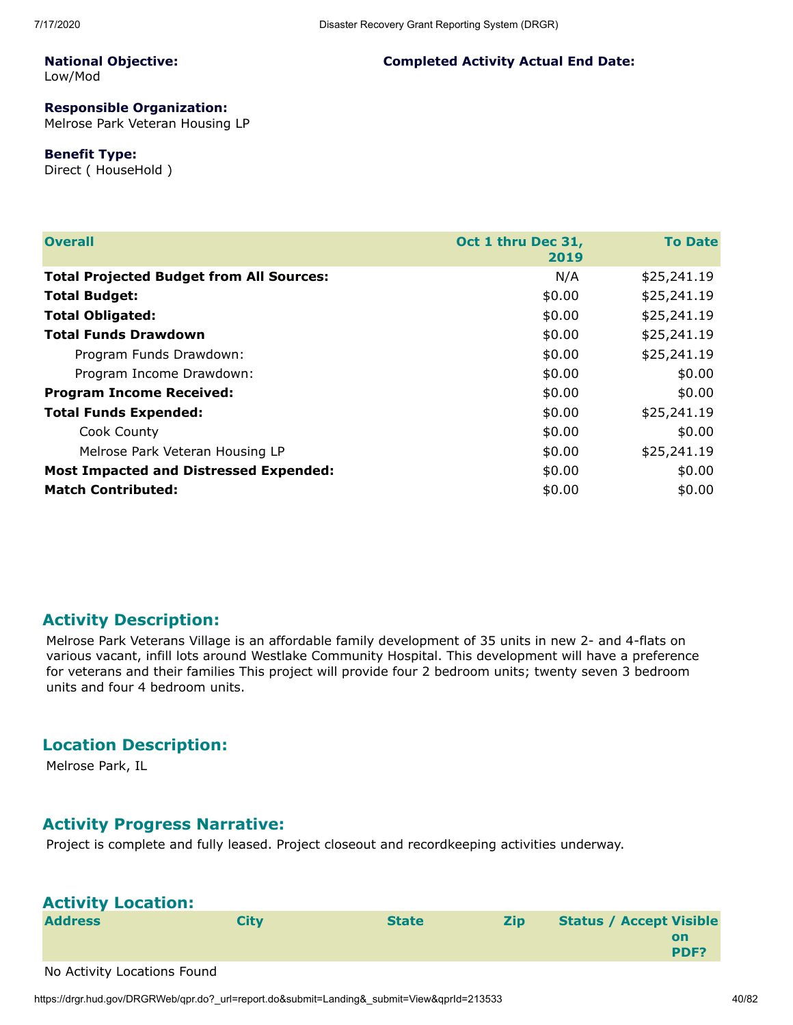**Completed Activity Actual End Date:**

#### **National Objective:** Low/Mod

# **Responsible Organization:**

Melrose Park Veteran Housing LP

#### **Benefit Type:**

Direct ( HouseHold )

| <b>Overall</b>                                  | Oct 1 thru Dec 31,<br>2019 | <b>To Date</b> |
|-------------------------------------------------|----------------------------|----------------|
| <b>Total Projected Budget from All Sources:</b> | N/A                        | \$25,241.19    |
| <b>Total Budget:</b>                            | \$0.00                     | \$25,241.19    |
| <b>Total Obligated:</b>                         | \$0.00                     | \$25,241.19    |
| <b>Total Funds Drawdown</b>                     | \$0.00                     | \$25,241.19    |
| Program Funds Drawdown:                         | \$0.00                     | \$25,241.19    |
| Program Income Drawdown:                        | \$0.00                     | \$0.00         |
| <b>Program Income Received:</b>                 | \$0.00                     | \$0.00         |
| <b>Total Funds Expended:</b>                    | \$0.00                     | \$25,241.19    |
| Cook County                                     | \$0.00                     | \$0.00         |
| Melrose Park Veteran Housing LP                 | \$0.00                     | \$25,241.19    |
| <b>Most Impacted and Distressed Expended:</b>   | \$0.00                     | \$0.00         |
| <b>Match Contributed:</b>                       | \$0.00                     | \$0.00         |

#### **Activity Description:**

Melrose Park Veterans Village is an affordable family development of 35 units in new 2- and 4-flats on various vacant, infill lots around Westlake Community Hospital. This development will have a preference for veterans and their families This project will provide four 2 bedroom units; twenty seven 3 bedroom units and four 4 bedroom units.

#### **Location Description:**

Melrose Park, IL

#### **Activity Progress Narrative:**

Project is complete and fully leased. Project closeout and recordkeeping activities underway.

| <b>Activity Location:</b>   |             |              |            |                                |            |
|-----------------------------|-------------|--------------|------------|--------------------------------|------------|
| <b>Address</b>              | <b>City</b> | <b>State</b> | <b>Zip</b> | <b>Status / Accept Visible</b> | on<br>PDF? |
| No Activity Locations Found |             |              |            |                                |            |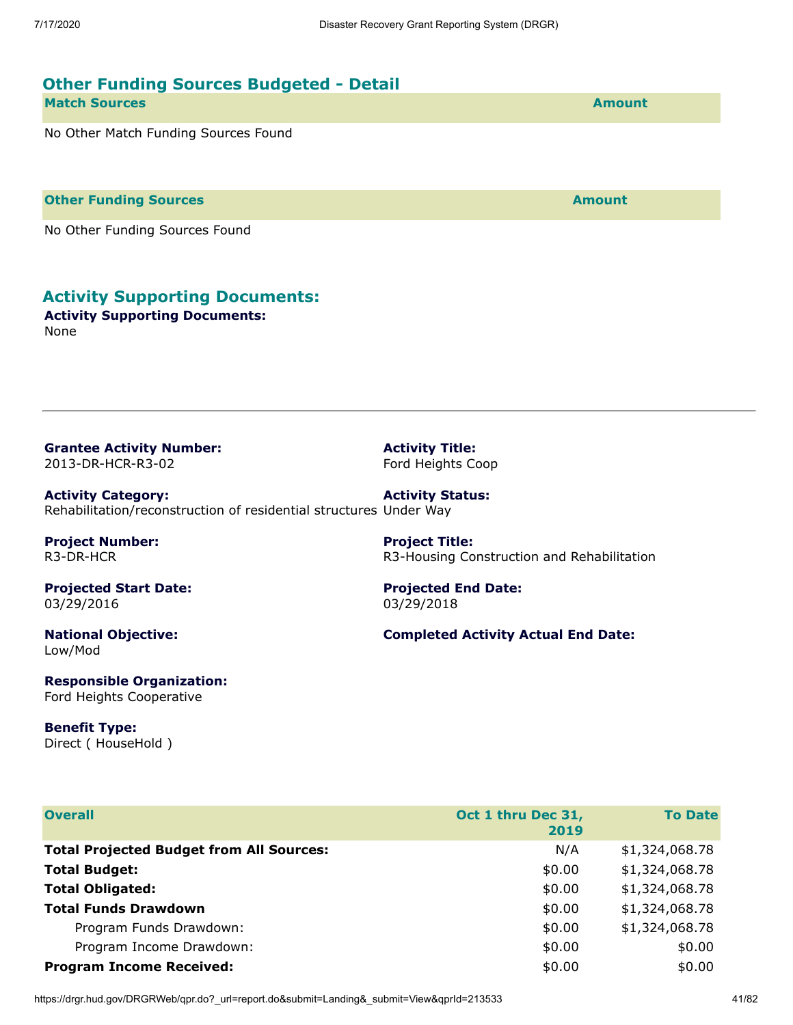**Activity Title:** Ford Heights Coop

**Project Title:**

03/29/2018

**Projected End Date:**

| <b>Other Funding Sources Budgeted - Detail</b> |               |
|------------------------------------------------|---------------|
| <b>Match Sources</b>                           | <b>Amount</b> |
| No Other Match Funding Sources Found           |               |

**Other Funding Sources and Sources and Sources and Source Amount** 

No Other Funding Sources Found

# **Activity Supporting Documents:**

**Activity Supporting Documents:** None

**Grantee Activity Number:** 2013-DR-HCR-R3-02

**Activity Category:** Rehabilitation/reconstruction of residential structures Under Way **Activity Status:**

**Project Number:** R3-DR-HCR

**Projected Start Date:** 03/29/2016

**National Objective:** Low/Mod

**Completed Activity Actual End Date:**

R3-Housing Construction and Rehabilitation

**Responsible Organization:** Ford Heights Cooperative

**Benefit Type:** Direct ( HouseHold )

| <b>Overall</b>                                  | Oct 1 thru Dec 31,<br>2019 | <b>To Date</b> |
|-------------------------------------------------|----------------------------|----------------|
| <b>Total Projected Budget from All Sources:</b> | N/A                        | \$1,324,068.78 |
| <b>Total Budget:</b>                            | \$0.00                     | \$1,324,068.78 |
| <b>Total Obligated:</b>                         | \$0.00                     | \$1,324,068.78 |
| <b>Total Funds Drawdown</b>                     | \$0.00                     | \$1,324,068.78 |
| Program Funds Drawdown:                         | \$0.00                     | \$1,324,068.78 |
| Program Income Drawdown:                        | \$0.00                     | \$0.00         |
| <b>Program Income Received:</b>                 | \$0.00                     | \$0.00         |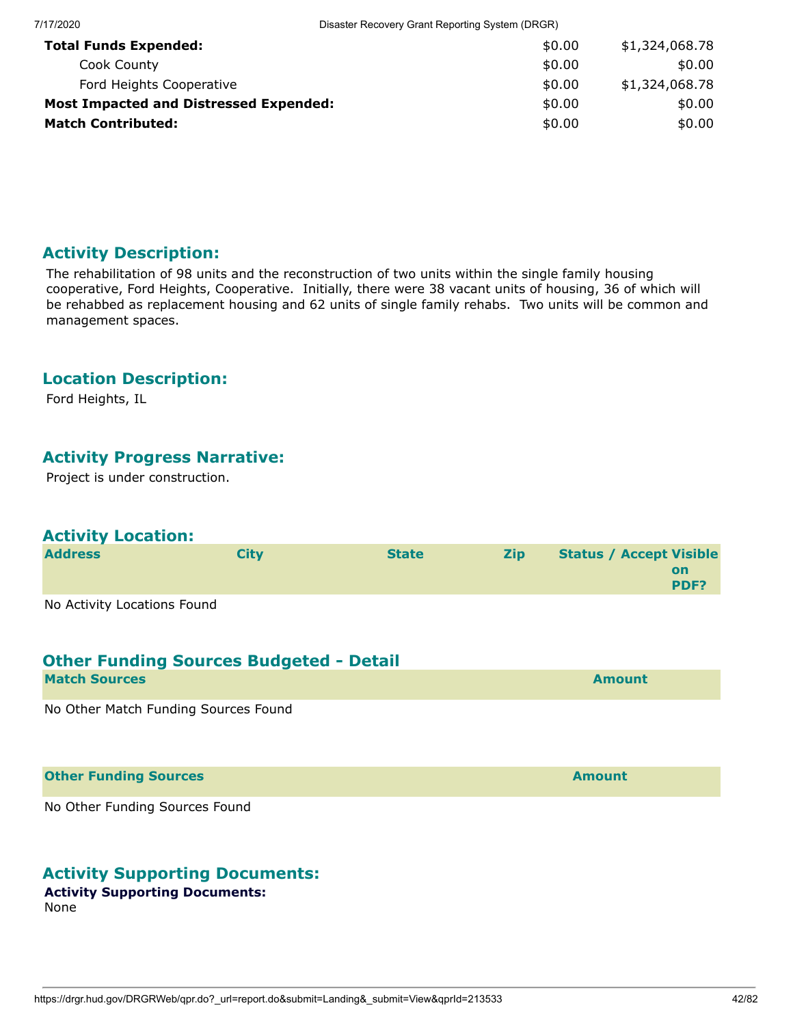| 7/17/2020                                     | Disaster Recovery Grant Reporting System (DRGR) |                |  |  |  |
|-----------------------------------------------|-------------------------------------------------|----------------|--|--|--|
| <b>Total Funds Expended:</b>                  | \$0.00                                          | \$1,324,068.78 |  |  |  |
| Cook County                                   | \$0.00                                          | \$0.00         |  |  |  |
| Ford Heights Cooperative                      | \$0.00                                          | \$1,324,068.78 |  |  |  |
| <b>Most Impacted and Distressed Expended:</b> | \$0.00                                          | \$0.00         |  |  |  |
| <b>Match Contributed:</b>                     | \$0.00                                          | \$0.00         |  |  |  |

The rehabilitation of 98 units and the reconstruction of two units within the single family housing cooperative, Ford Heights, Cooperative. Initially, there were 38 vacant units of housing, 36 of which will be rehabbed as replacement housing and 62 units of single family rehabs. Two units will be common and management spaces.

## **Location Description:**

Ford Heights, IL

# **Activity Progress Narrative:**

Project is under construction.

## **Activity Location:**

| <b>Address</b>              | Citv | <b>State</b> | <b>Zip</b> | <b>Status / Accept Visible</b> |                   |
|-----------------------------|------|--------------|------------|--------------------------------|-------------------|
|                             |      |              |            |                                | on<br><b>PDF?</b> |
| No Activity Locations Found |      |              |            |                                |                   |

## **Other Funding Sources Budgeted - Detail**

| <b>Match Sources</b>                                                                                           | <b>Amount</b> |
|----------------------------------------------------------------------------------------------------------------|---------------|
| 그 아이들은 그 사람들은 그 사람들을 만들고 있다. 그 사람들은 그 사람들은 그 사람들은 아이들이 아니라 아이들이 아니라 아이들이 아니라 아니라 아니라 아니라 아니라 아니라 아니라 아니라 아니라 아 |               |

No Other Match Funding Sources Found

#### **Other Funding Sources and Sources and Sources and Source Amount**

No Other Funding Sources Found

## **Activity Supporting Documents:**

#### **Activity Supporting Documents:**

None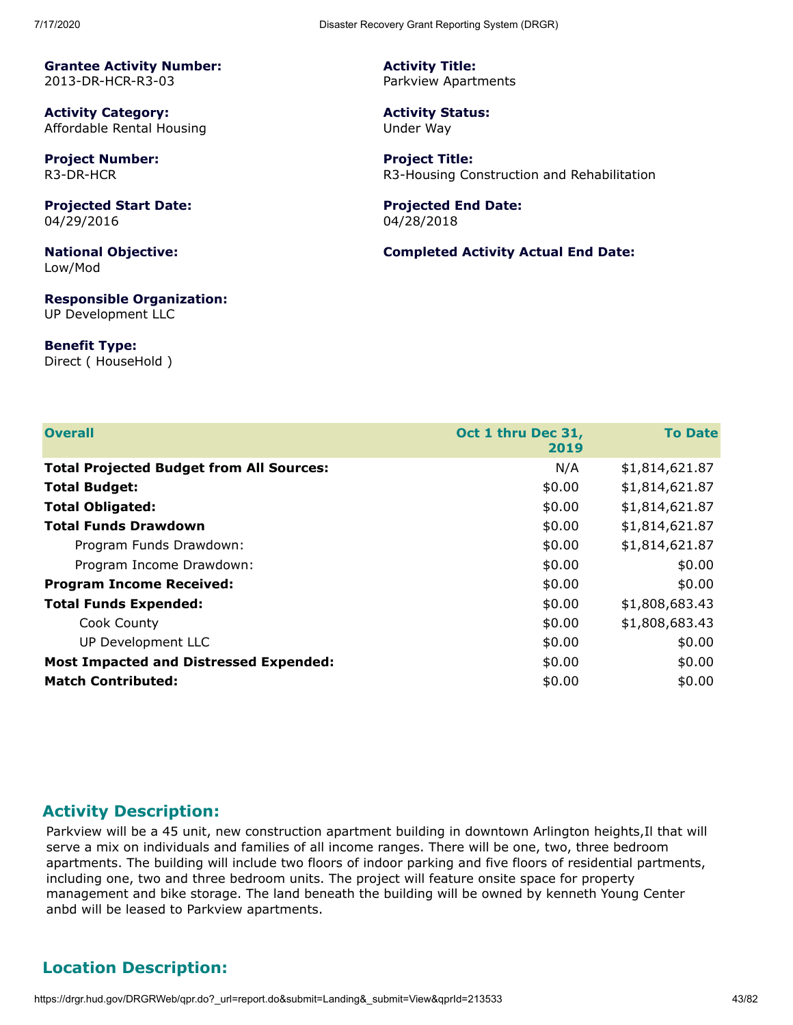**Activity Category:** Affordable Rental Housing

**Project Number:** R3-DR-HCR

**Projected Start Date:** 04/29/2016

**National Objective:** Low/Mod

**Responsible Organization:** UP Development LLC

**Benefit Type:** Direct ( HouseHold ) **Activity Title:** Parkview Apartments

**Activity Status:** Under Way

**Project Title:** R3-Housing Construction and Rehabilitation

**Projected End Date:** 04/28/2018

**Completed Activity Actual End Date:**

| <b>Overall</b>                                  | Oct 1 thru Dec 31,<br>2019 | <b>To Date</b> |
|-------------------------------------------------|----------------------------|----------------|
| <b>Total Projected Budget from All Sources:</b> | N/A                        | \$1,814,621.87 |
| <b>Total Budget:</b>                            | \$0.00                     | \$1,814,621.87 |
| <b>Total Obligated:</b>                         | \$0.00                     | \$1,814,621.87 |
| <b>Total Funds Drawdown</b>                     | \$0.00                     | \$1,814,621.87 |
| Program Funds Drawdown:                         | \$0.00                     | \$1,814,621.87 |
| Program Income Drawdown:                        | \$0.00                     | \$0.00         |
| <b>Program Income Received:</b>                 | \$0.00                     | \$0.00         |
| <b>Total Funds Expended:</b>                    | \$0.00                     | \$1,808,683.43 |
| Cook County                                     | \$0.00                     | \$1,808,683.43 |
| UP Development LLC                              | \$0.00                     | \$0.00         |
| <b>Most Impacted and Distressed Expended:</b>   | \$0.00                     | \$0.00         |
| <b>Match Contributed:</b>                       | \$0.00                     | \$0.00         |

## **Activity Description:**

Parkview will be a 45 unit, new construction apartment building in downtown Arlington heights, Il that will serve a mix on individuals and families of all income ranges. There will be one, two, three bedroom apartments. The building will include two floors of indoor parking and five floors of residential partments, including one, two and three bedroom units. The project will feature onsite space for property management and bike storage. The land beneath the building will be owned by kenneth Young Center anbd will be leased to Parkview apartments.

# **Location Description:**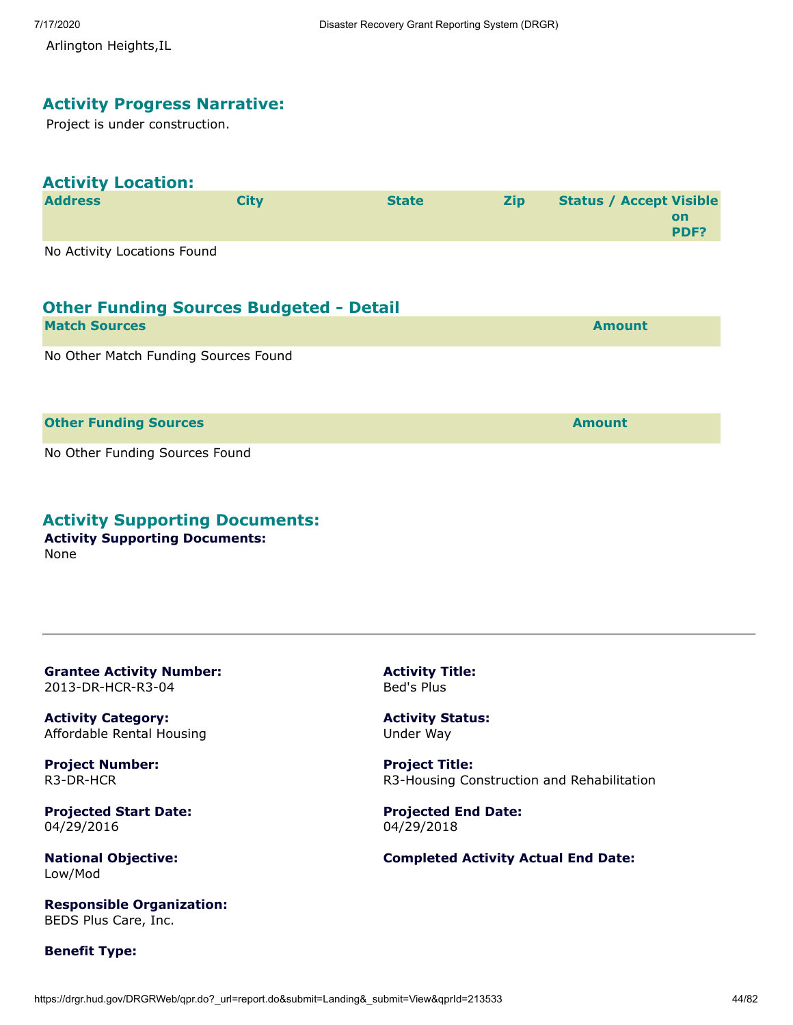Arlington Heights,IL

#### **Activity Progress Narrative:**

Project is under construction.

# **Activity Location:**

| <b>Address</b>              | Citv | <b>State</b> | <b>Zip</b> | <b>Status / Accept Visible</b> |            |
|-----------------------------|------|--------------|------------|--------------------------------|------------|
|                             |      |              |            |                                | on<br>PDF? |
| No Activity Locations Found |      |              |            |                                |            |

| <b>Other Funding Sources Budgeted - Detail</b> |        |
|------------------------------------------------|--------|
| <b>Match Sources</b>                           | Amount |

No Other Match Funding Sources Found

#### **Other Funding Sources and Sources and Sources and Source Amount**

No Other Funding Sources Found

## **Activity Supporting Documents:**

**Activity Supporting Documents:** None

**Grantee Activity Number:** 2013-DR-HCR-R3-04

**Activity Category:** Affordable Rental Housing

**Project Number:** R3-DR-HCR

**Projected Start Date:** 04/29/2016

**National Objective:** Low/Mod

**Responsible Organization:** BEDS Plus Care, Inc.

**Benefit Type:**

**Activity Title:** Bed's Plus

**Activity Status:** Under Way

**Project Title:** R3-Housing Construction and Rehabilitation

**Projected End Date:** 04/29/2018

**Completed Activity Actual End Date:**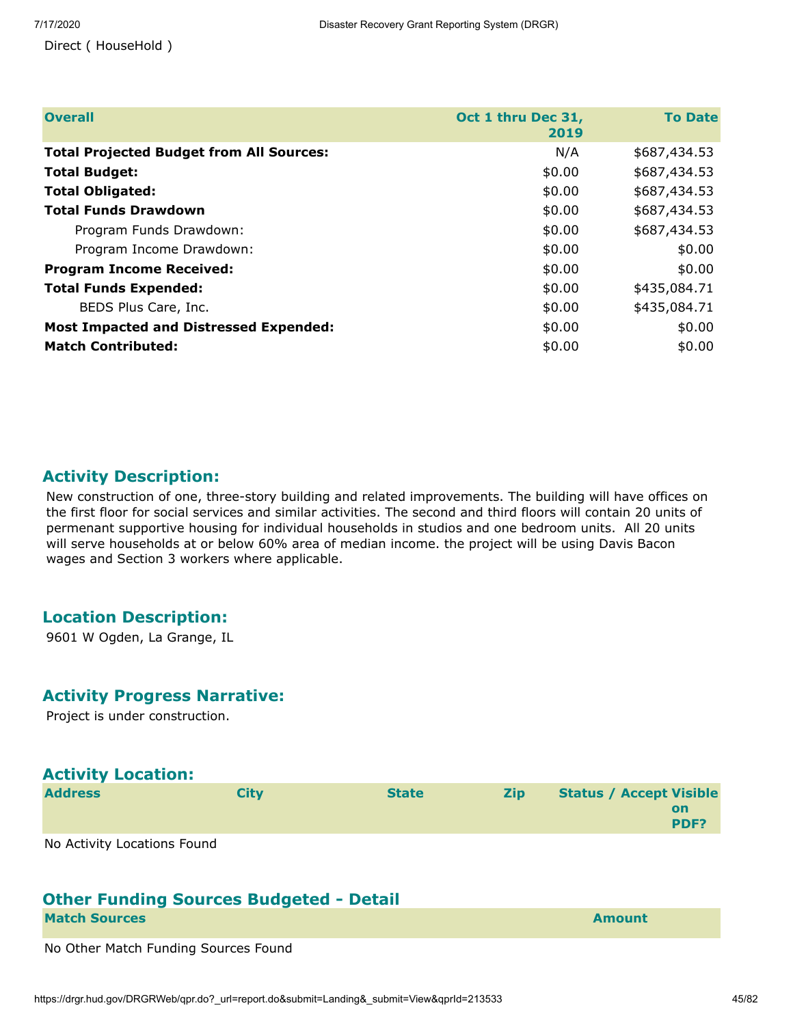Direct ( HouseHold )

| <b>Overall</b>                                  | Oct 1 thru Dec 31,<br>2019 | <b>To Date</b> |
|-------------------------------------------------|----------------------------|----------------|
| <b>Total Projected Budget from All Sources:</b> | N/A                        | \$687,434.53   |
| <b>Total Budget:</b>                            | \$0.00                     | \$687,434.53   |
| <b>Total Obligated:</b>                         | \$0.00                     | \$687,434.53   |
| <b>Total Funds Drawdown</b>                     | \$0.00                     | \$687,434.53   |
| Program Funds Drawdown:                         | \$0.00                     | \$687,434.53   |
| Program Income Drawdown:                        | \$0.00                     | \$0.00         |
| <b>Program Income Received:</b>                 | \$0.00                     | \$0.00         |
| <b>Total Funds Expended:</b>                    | \$0.00                     | \$435,084.71   |
| BEDS Plus Care, Inc.                            | \$0.00                     | \$435,084.71   |
| <b>Most Impacted and Distressed Expended:</b>   | \$0.00                     | \$0.00         |
| <b>Match Contributed:</b>                       | \$0.00                     | \$0.00         |

# **Activity Description:**

New construction of one, three-story building and related improvements. The building will have offices on the first floor for social services and similar activities. The second and third floors will contain 20 units of permenant supportive housing for individual households in studios and one bedroom units. All 20 units will serve households at or below 60% area of median income. the project will be using Davis Bacon wages and Section 3 workers where applicable.

## **Location Description:**

9601 W Ogden, La Grange, IL

#### **Activity Progress Narrative:**

Project is under construction.

| <b>Activity Location:</b> |
|---------------------------|
|                           |

| <b>Address</b>              | <b>City</b> | <b>State</b> | <b>Zip</b> | <b>Status / Accept Visible</b> |            |
|-----------------------------|-------------|--------------|------------|--------------------------------|------------|
|                             |             |              |            |                                | on<br>PDF? |
| No Activity Locations Found |             |              |            |                                |            |

# **Other Funding Sources Budgeted - Detail**

| <b>Match Sources</b> |  | <b>Amount</b> |  |
|----------------------|--|---------------|--|
|                      |  |               |  |

No Other Match Funding Sources Found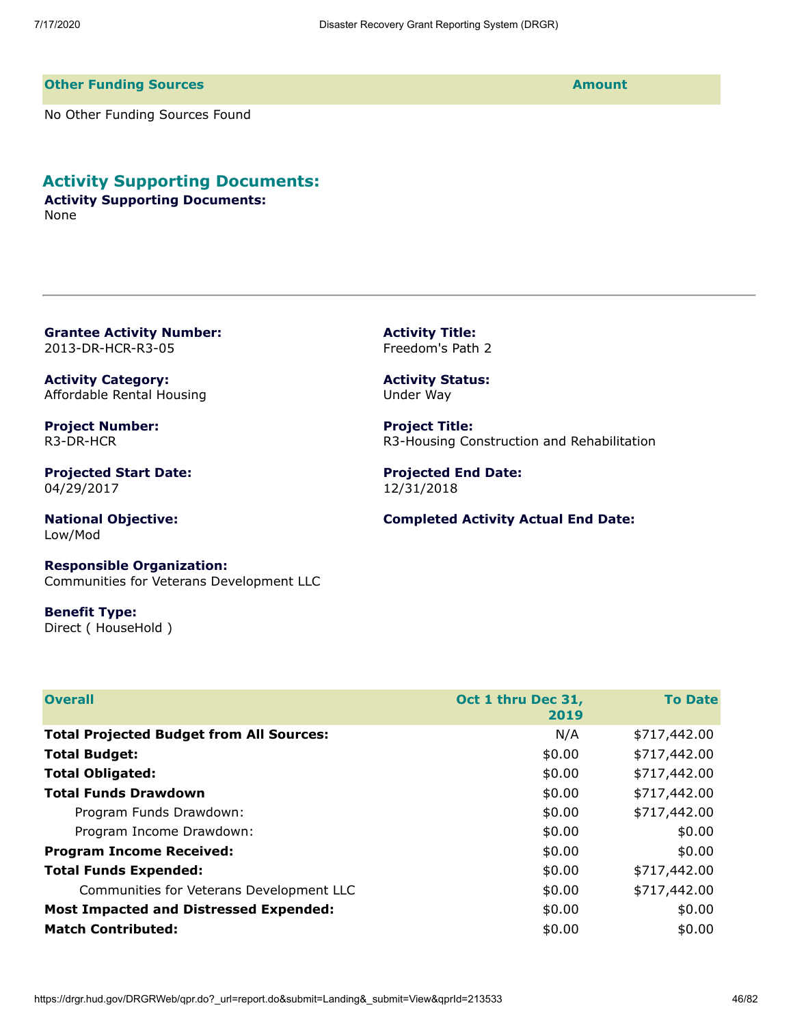**Activity Title:** Freedom's Path 2

**Activity Status:** Under Way

**Project Title:**

12/31/2018

**Projected End Date:**

R3-Housing Construction and Rehabilitation

**Completed Activity Actual End Date:**

#### **Other Funding Sources Amount**

No Other Funding Sources Found

## **Activity Supporting Documents:**

**Activity Supporting Documents:** None

**Grantee Activity Number:** 2013-DR-HCR-R3-05

**Activity Category:** Affordable Rental Housing

**Project Number:** R3-DR-HCR

**Projected Start Date:** 04/29/2017

**National Objective:** Low/Mod

**Responsible Organization:** Communities for Veterans Development LLC

**Benefit Type:** Direct ( HouseHold )

| <b>Overall</b>                                  | Oct 1 thru Dec 31,<br>2019 | <b>To Date</b> |
|-------------------------------------------------|----------------------------|----------------|
| <b>Total Projected Budget from All Sources:</b> | N/A                        | \$717,442.00   |
| <b>Total Budget:</b>                            | \$0.00                     | \$717,442.00   |
| <b>Total Obligated:</b>                         | \$0.00                     | \$717,442.00   |
| <b>Total Funds Drawdown</b>                     | \$0.00                     | \$717,442.00   |
| Program Funds Drawdown:                         | \$0.00                     | \$717,442.00   |
| Program Income Drawdown:                        | \$0.00                     | \$0.00         |
| <b>Program Income Received:</b>                 | \$0.00                     | \$0.00         |
| <b>Total Funds Expended:</b>                    | \$0.00                     | \$717,442.00   |
| Communities for Veterans Development LLC        | \$0.00                     | \$717,442.00   |
| <b>Most Impacted and Distressed Expended:</b>   | \$0.00                     | \$0.00         |
| <b>Match Contributed:</b>                       | \$0.00                     | \$0.00         |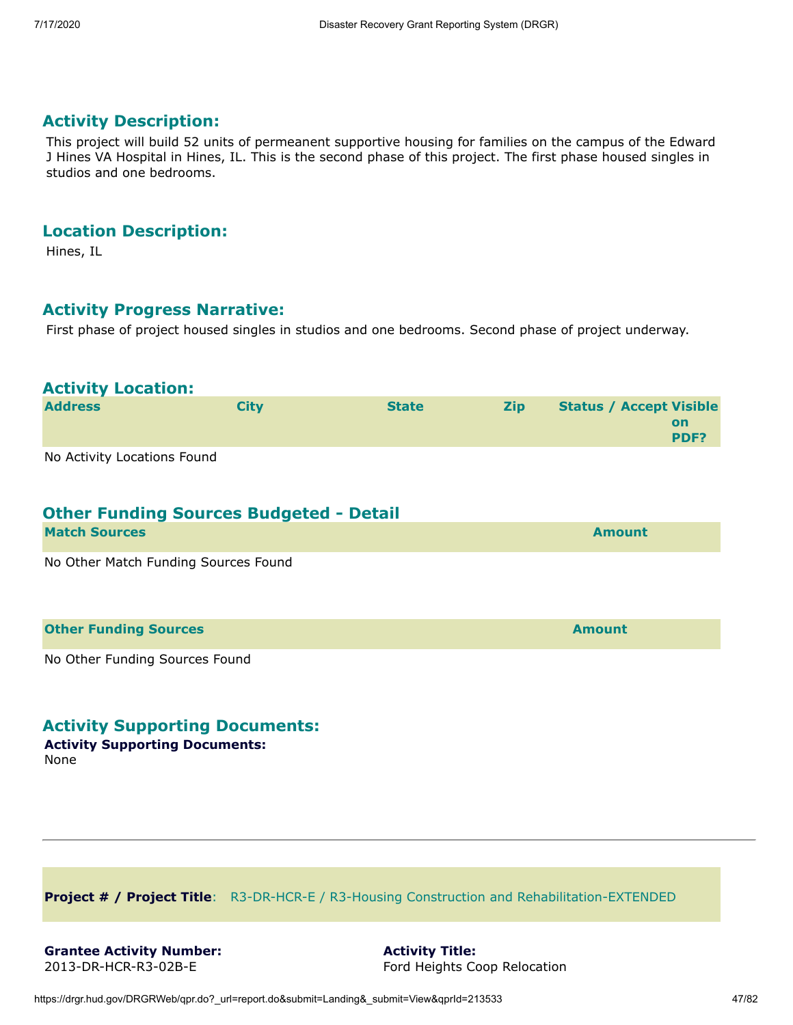This project will build 52 units of permeanent supportive housing for families on the campus of the Edward J Hines VA Hospital in Hines, IL. This is the second phase of this project. The first phase housed singles in studios and one bedrooms.

#### **Location Description:**

Hines, IL

#### **Activity Progress Narrative:**

First phase of project housed singles in studios and one bedrooms. Second phase of project underway.

#### **Activity Location:**

| <b>Address</b>              | <b>City</b> | <b>State</b> | <b>Zip</b> | <b>Status / Accept Visible</b> |
|-----------------------------|-------------|--------------|------------|--------------------------------|
|                             |             |              |            | on<br><b>PDF?</b>              |
| No Activity Locations Found |             |              |            |                                |

No Activity Locations Found

# **Other Funding Sources Budgeted - Detail**

| <b>Match Sources</b>                 | <b>Amount</b> |
|--------------------------------------|---------------|
| No Other Match Funding Sources Found |               |
|                                      |               |
| <b>Other Funding Sources</b>         | <b>Amount</b> |

No Other Funding Sources Found

## **Activity Supporting Documents:**

**Activity Supporting Documents:**

None

**Project # / Project Title**: R3-DR-HCR-E / R3-Housing Construction and Rehabilitation-EXTENDED

**Activity Title:** Ford Heights Coop Relocation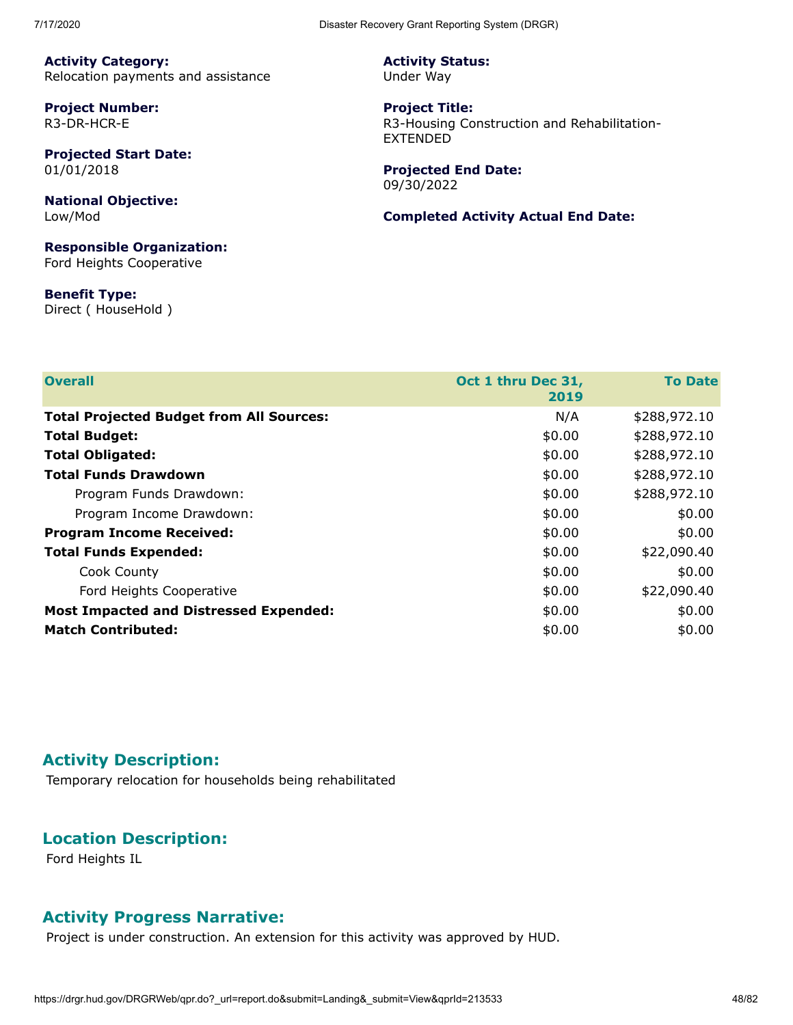**Activity Category:** Relocation payments and assistance

**Project Number:** R3-DR-HCR-E

**Projected Start Date:** 01/01/2018

**National Objective:** Low/Mod

**Responsible Organization:** Ford Heights Cooperative

**Benefit Type:** Direct ( HouseHold ) **Activity Status:** Under Way

**Project Title:** R3-Housing Construction and Rehabilitation-EXTENDED

**Projected End Date:** 09/30/2022

#### **Completed Activity Actual End Date:**

| <b>Overall</b>                                  | Oct 1 thru Dec 31,<br>2019 | <b>To Date</b> |
|-------------------------------------------------|----------------------------|----------------|
| <b>Total Projected Budget from All Sources:</b> | N/A                        | \$288,972.10   |
| <b>Total Budget:</b>                            | \$0.00                     | \$288,972.10   |
| <b>Total Obligated:</b>                         | \$0.00                     | \$288,972.10   |
| <b>Total Funds Drawdown</b>                     | \$0.00                     | \$288,972.10   |
| Program Funds Drawdown:                         | \$0.00                     | \$288,972.10   |
| Program Income Drawdown:                        | \$0.00                     | \$0.00         |
| <b>Program Income Received:</b>                 | \$0.00                     | \$0.00         |
| <b>Total Funds Expended:</b>                    | \$0.00                     | \$22,090.40    |
| Cook County                                     | \$0.00                     | \$0.00         |
| Ford Heights Cooperative                        | \$0.00                     | \$22,090.40    |
| <b>Most Impacted and Distressed Expended:</b>   | \$0.00                     | \$0.00         |
| <b>Match Contributed:</b>                       | \$0.00                     | \$0.00         |

## **Activity Description:**

Temporary relocation for households being rehabilitated

# **Location Description:**

Ford Heights IL

## **Activity Progress Narrative:**

Project is under construction. An extension for this activity was approved by HUD.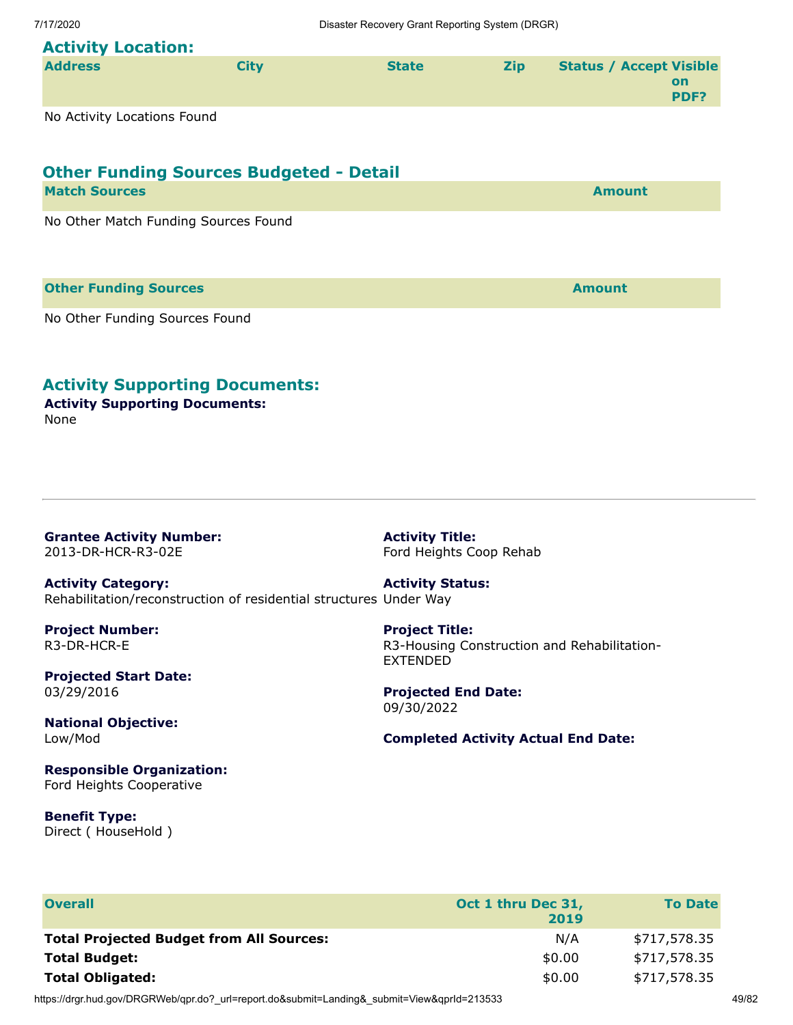# **Activity Location:**

| <b>Address</b> | Citv | <b>State</b> | <b>Zip</b> | <b>Status / Accept Visible</b> |
|----------------|------|--------------|------------|--------------------------------|
|                |      |              |            | on<br><b>PDF?</b>              |
|                |      |              |            |                                |

No Activity Locations Found

# **Other Funding Sources Budgeted - Detail**

| <b>Match Sources</b>                 | <b>Amount</b> |
|--------------------------------------|---------------|
| No Other Match Funding Sources Found |               |
|                                      |               |

**Other Funding Sources Amount** 

No Other Funding Sources Found

# **Activity Supporting Documents:**

**Activity Supporting Documents:** None

**Grantee Activity Number:** 2013-DR-HCR-R3-02E

**Activity Title:** Ford Heights Coop Rehab

**Activity Category:** Rehabilitation/reconstruction of residential structures Under Way **Activity Status:**

**Project Number:** R3-DR-HCR-E

**Projected Start Date:** 03/29/2016

**National Objective:** Low/Mod

**Responsible Organization:** Ford Heights Cooperative

**Benefit Type:** Direct ( HouseHold ) **Project Title:** R3-Housing Construction and Rehabilitation-EXTENDED

**Projected End Date:** 09/30/2022

#### **Completed Activity Actual End Date:**

| <b>Overall</b>                                  | Oct 1 thru Dec 31,<br>2019 | <b>To Date</b> |
|-------------------------------------------------|----------------------------|----------------|
| <b>Total Projected Budget from All Sources:</b> | N/A                        | \$717,578.35   |
| <b>Total Budget:</b>                            | \$0.00                     | \$717,578.35   |
| <b>Total Obligated:</b>                         | \$0.00                     | \$717,578.35   |

https://drgr.hud.gov/DRGRWeb/qpr.do?\_url=report.do&submit=Landing&\_submit=View&qprId=213533 49/82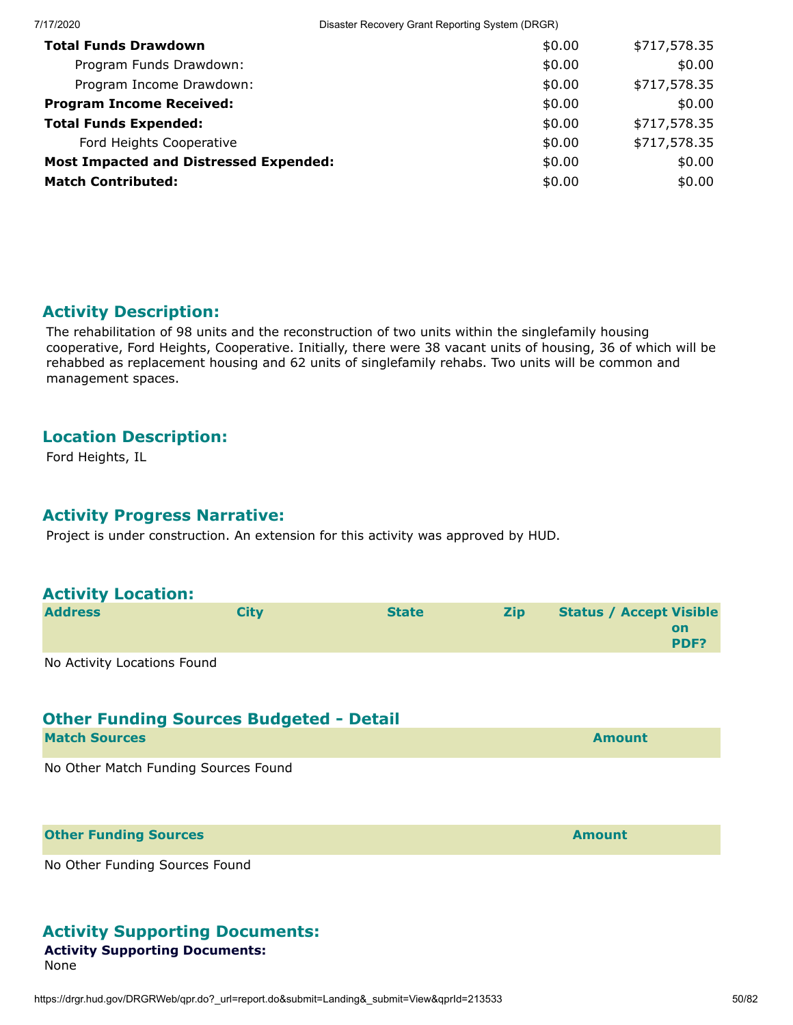| 7/17/2020                                     | Disaster Recovery Grant Reporting System (DRGR) |              |
|-----------------------------------------------|-------------------------------------------------|--------------|
| <b>Total Funds Drawdown</b>                   | \$0.00                                          | \$717,578.35 |
| Program Funds Drawdown:                       | \$0.00                                          | \$0.00       |
| Program Income Drawdown:                      | \$0.00                                          | \$717,578.35 |
| <b>Program Income Received:</b>               | \$0.00                                          | \$0.00       |
| <b>Total Funds Expended:</b>                  | \$0.00                                          | \$717,578.35 |
| Ford Heights Cooperative                      | \$0.00                                          | \$717,578.35 |
| <b>Most Impacted and Distressed Expended:</b> | \$0.00                                          | \$0.00       |
| <b>Match Contributed:</b>                     | \$0.00                                          | \$0.00       |

The rehabilitation of 98 units and the reconstruction of two units within the singlefamily housing cooperative, Ford Heights, Cooperative. Initially, there were 38 vacant units of housing, 36 of which will be rehabbed as replacement housing and 62 units of singlefamily rehabs. Two units will be common and management spaces.

## **Location Description:**

Ford Heights, IL

## **Activity Progress Narrative:**

Project is under construction. An extension for this activity was approved by HUD.

| <b>Activity Location:</b>            |                                                |              |            |                                              |
|--------------------------------------|------------------------------------------------|--------------|------------|----------------------------------------------|
| <b>Address</b>                       | <b>City</b>                                    | <b>State</b> | <b>Zip</b> | <b>Status / Accept Visible</b><br>on<br>PDF? |
| No Activity Locations Found          | <b>Other Funding Sources Budgeted - Detail</b> |              |            |                                              |
| <b>Match Sources</b>                 |                                                |              |            | <b>Amount</b>                                |
| No Other Match Funding Sources Found |                                                |              |            |                                              |
| <b>Other Funding Sources</b>         |                                                |              |            | <b>Amount</b>                                |
| No Other Funding Sources Found       |                                                |              |            |                                              |

# **Activity Supporting Documents:**

# **Activity Supporting Documents:**

None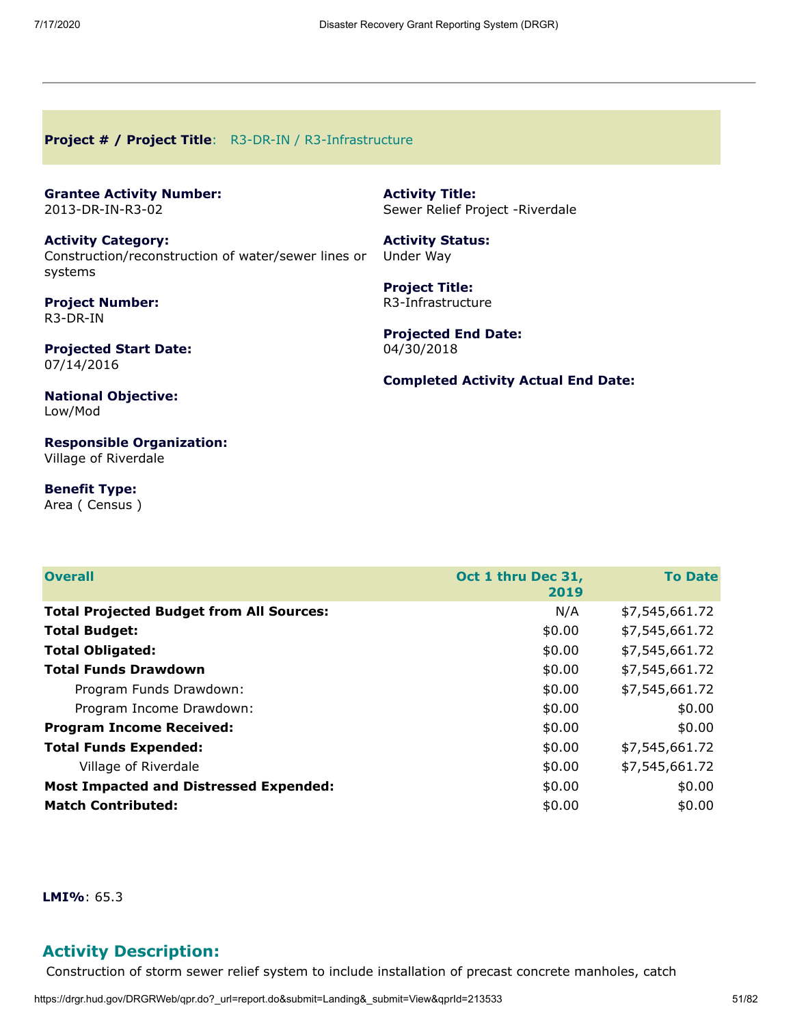#### **Project # / Project Title**: R3-DR-IN / R3-Infrastructure

|                  | <b>Grantee Activity Number:</b> |
|------------------|---------------------------------|
| 2013-DR-IN-R3-02 |                                 |

**Activity Category:** Construction/reconstruction of water/sewer lines or systems

**Project Number:** R3-DR-IN

**Projected Start Date:** 07/14/2016

**Activity Title:** Sewer Relief Project -Riverdale

**Activity Status:** Under Way

**Project Title:** R3-Infrastructure

**Projected End Date:** 04/30/2018

**Completed Activity Actual End Date:**

**National Objective:** Low/Mod

**Responsible Organization:** Village of Riverdale

**Benefit Type:** Area ( Census )

| <b>Overall</b>                                  | Oct 1 thru Dec 31,<br>2019 | <b>To Date</b> |
|-------------------------------------------------|----------------------------|----------------|
| <b>Total Projected Budget from All Sources:</b> | N/A                        | \$7,545,661.72 |
| <b>Total Budget:</b>                            | \$0.00                     | \$7,545,661.72 |
| <b>Total Obligated:</b>                         | \$0.00                     | \$7,545,661.72 |
| <b>Total Funds Drawdown</b>                     | \$0.00                     | \$7,545,661.72 |
| Program Funds Drawdown:                         | \$0.00                     | \$7,545,661.72 |
| Program Income Drawdown:                        | \$0.00                     | \$0.00         |
| <b>Program Income Received:</b>                 | \$0.00                     | \$0.00         |
| <b>Total Funds Expended:</b>                    | \$0.00                     | \$7,545,661.72 |
| Village of Riverdale                            | \$0.00                     | \$7,545,661.72 |
| <b>Most Impacted and Distressed Expended:</b>   | \$0.00                     | \$0.00         |
| <b>Match Contributed:</b>                       | \$0.00                     | \$0.00         |

**LMI%**: 65.3

# **Activity Description:**

Construction of storm sewer relief system to include installation of precast concrete manholes, catch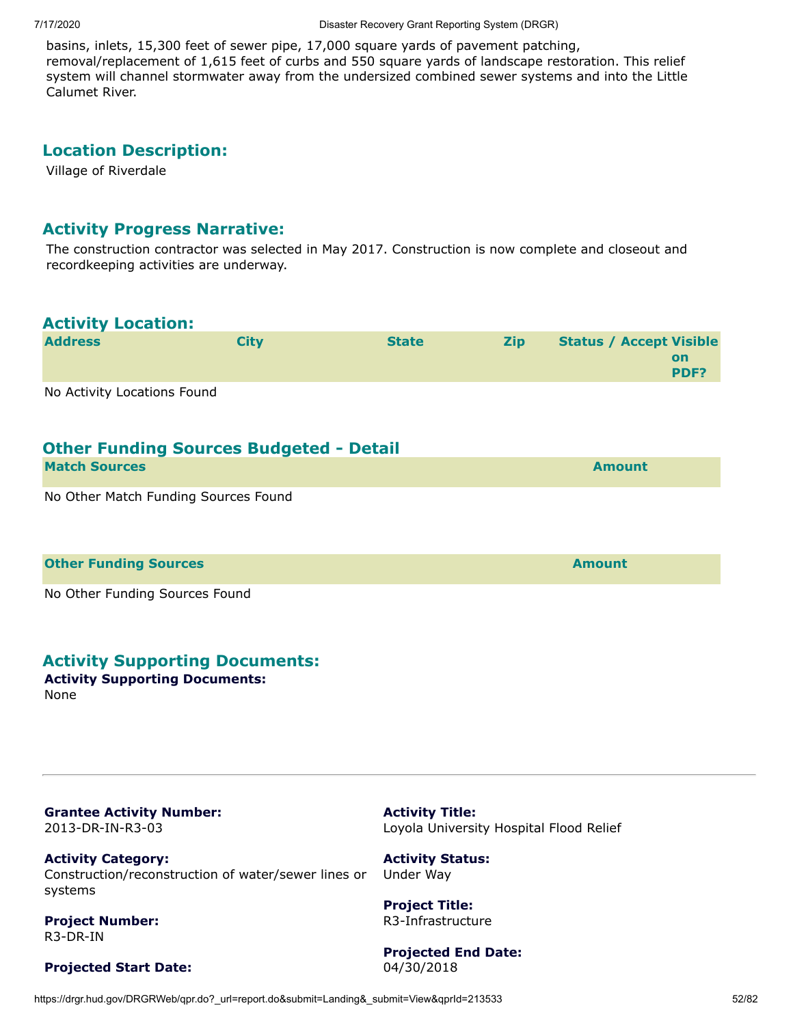basins, inlets, 15,300 feet of sewer pipe, 17,000 square yards of pavement patching, removal/replacement of 1,615 feet of curbs and 550 square yards of landscape restoration. This relief system will channel stormwater away from the undersized combined sewer systems and into the Little Calumet River.

#### **Location Description:**

Village of Riverdale

#### **Activity Progress Narrative:**

The construction contractor was selected in May 2017. Construction is now complete and closeout and recordkeeping activities are underway.

#### **Activity Location:**

| <b>Address</b> | Citv | <b>State</b> | <b>Zip</b> | <b>Status / Accept Visible</b> |
|----------------|------|--------------|------------|--------------------------------|
|                |      |              |            | on                             |
|                |      |              |            | <b>PDF?</b>                    |
|                |      |              |            |                                |

No Activity Locations Found

## **Other Funding Sources Budgeted - Detail**

| <b>Match Sources</b>                          | <b>Amount</b> |
|-----------------------------------------------|---------------|
| <b>Mr. Other Metals Engaged Communication</b> |               |

No Other Match Funding Sources Found

#### **Other Funding Sources and Sources and Sources and Source Amount**

No Other Funding Sources Found

#### **Activity Supporting Documents:**

**Activity Supporting Documents:** None

**Grantee Activity Number:** 2013-DR-IN-R3-03

**Activity Category:** Construction/reconstruction of water/sewer lines or systems

**Project Number:** R3-DR-IN

#### **Projected Start Date:**

**Activity Title:** Loyola University Hospital Flood Relief

**Activity Status:** Under Way

**Project Title:** R3-Infrastructure

**Projected End Date:** 04/30/2018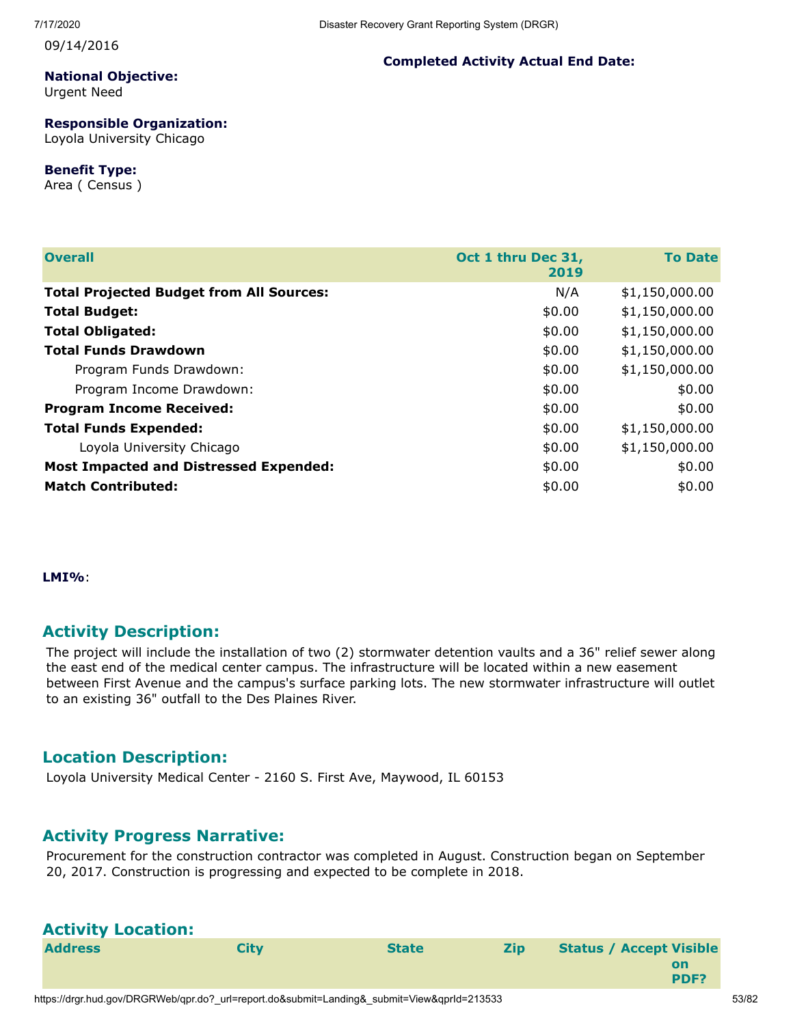09/14/2016

# **National Objective:**

Urgent Need

#### **Responsible Organization:**

Loyola University Chicago

#### **Benefit Type:**

Area ( Census )

# **Completed Activity Actual End Date:**

| <b>Overall</b>                                  | Oct 1 thru Dec 31,<br>2019 | <b>To Date</b> |
|-------------------------------------------------|----------------------------|----------------|
| <b>Total Projected Budget from All Sources:</b> | N/A                        | \$1,150,000.00 |
| <b>Total Budget:</b>                            | \$0.00                     | \$1,150,000.00 |
| <b>Total Obligated:</b>                         | \$0.00                     | \$1,150,000.00 |
| <b>Total Funds Drawdown</b>                     | \$0.00                     | \$1,150,000.00 |
| Program Funds Drawdown:                         | \$0.00                     | \$1,150,000.00 |
| Program Income Drawdown:                        | \$0.00                     | \$0.00         |
| <b>Program Income Received:</b>                 | \$0.00                     | \$0.00         |
| <b>Total Funds Expended:</b>                    | \$0.00                     | \$1,150,000.00 |
| Loyola University Chicago                       | \$0.00                     | \$1,150,000.00 |
| <b>Most Impacted and Distressed Expended:</b>   | \$0.00                     | \$0.00         |
| <b>Match Contributed:</b>                       | \$0.00                     | \$0.00         |

**LMI%**:

# **Activity Description:**

The project will include the installation of two (2) stormwater detention vaults and a 36" relief sewer along the east end of the medical center campus. The infrastructure will be located within a new easement between First Avenue and the campus's surface parking lots. The new stormwater infrastructure will outlet to an existing 36" outfall to the Des Plaines River.

# **Location Description:**

Loyola University Medical Center - 2160 S. First Ave, Maywood, IL 60153

# **Activity Progress Narrative:**

Procurement for the construction contractor was completed in August. Construction began on September 20, 2017. Construction is progressing and expected to be complete in 2018.

# **Activity Location:**

| <b>Address</b> | Citv | <b>State</b> | <b>Zip</b> | <b>Status / Accept Visible</b> |
|----------------|------|--------------|------------|--------------------------------|
|                |      |              |            | on                             |
|                |      |              |            | PDF?                           |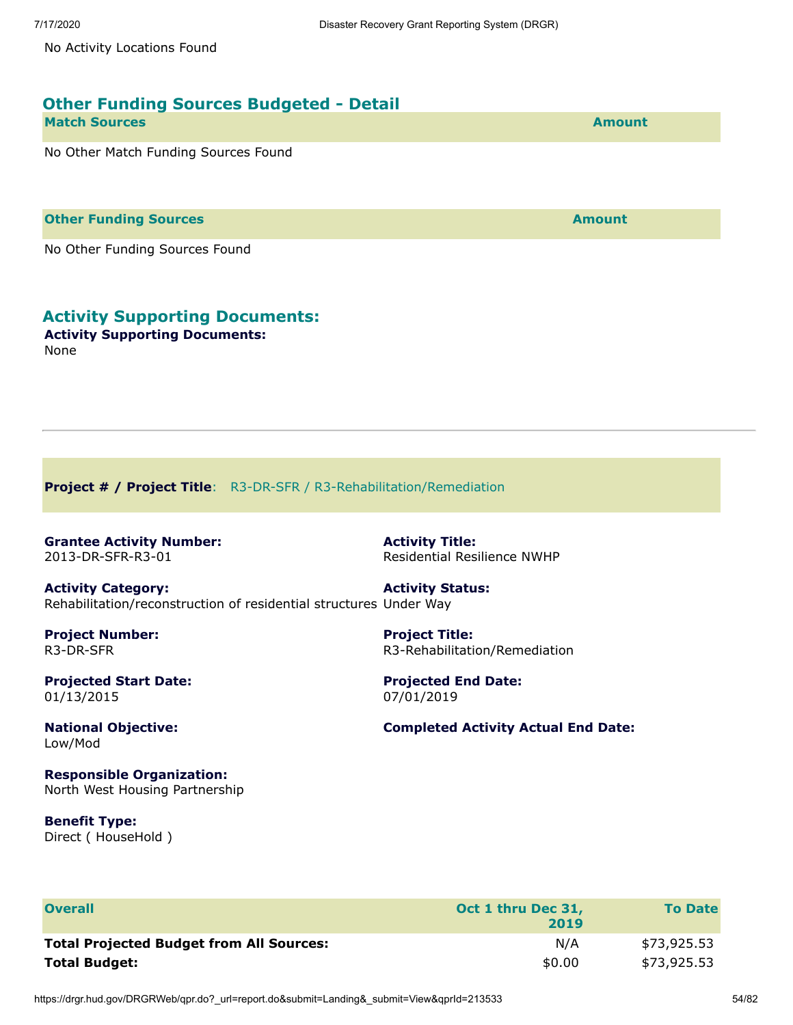No Activity Locations Found

| <b>Other Funding Sources Budgeted - Detail</b> |               |
|------------------------------------------------|---------------|
| <b>Match Sources</b>                           | <b>Amount</b> |
| No Other Match Funding Sources Found           |               |
| <b>Other Funding Sources</b>                   | <b>Amount</b> |

No Other Funding Sources Found

# **Activity Supporting Documents:**

**Activity Supporting Documents:** None

**Project # / Project Title**: R3-DR-SFR / R3-Rehabilitation/Remediation

**Grantee Activity Number:** 2013-DR-SFR-R3-01

**Activity Title:** Residential Resilience NWHP

**Project Title:**

**Activity Category:** Rehabilitation/reconstruction of residential structures Under Way **Activity Status:**

**Project Number:** R3-DR-SFR

**Projected Start Date:** 01/13/2015

07/01/2019 **Completed Activity Actual End Date:**

R3-Rehabilitation/Remediation

**Projected End Date:**

**National Objective:** Low/Mod

**Responsible Organization:** North West Housing Partnership

**Benefit Type:** Direct ( HouseHold )

| <b>Overall</b>                                  | Oct 1 thru Dec 31,<br>2019 | <b>To Date</b> |
|-------------------------------------------------|----------------------------|----------------|
| <b>Total Projected Budget from All Sources:</b> | N/A                        | \$73,925.53    |
| <b>Total Budget:</b>                            | \$0.00                     | \$73,925.53    |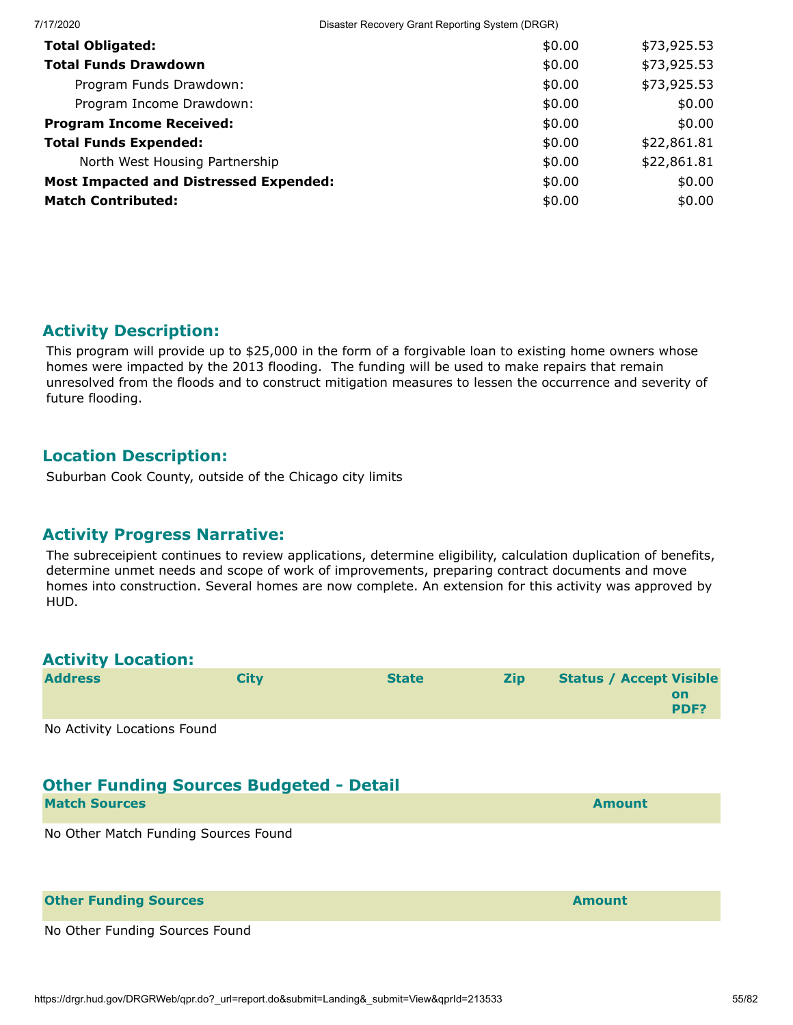| 7/17/2020                                     | Disaster Recovery Grant Reporting System (DRGR) |             |  |
|-----------------------------------------------|-------------------------------------------------|-------------|--|
| <b>Total Obligated:</b>                       | \$0.00                                          | \$73,925.53 |  |
| <b>Total Funds Drawdown</b>                   | \$0.00                                          | \$73,925.53 |  |
| Program Funds Drawdown:                       | \$0.00                                          | \$73,925.53 |  |
| Program Income Drawdown:                      | \$0.00                                          | \$0.00      |  |
| <b>Program Income Received:</b>               | \$0.00                                          | \$0.00      |  |
| <b>Total Funds Expended:</b>                  | \$0.00                                          | \$22,861.81 |  |
| North West Housing Partnership                | \$0.00                                          | \$22,861.81 |  |
| <b>Most Impacted and Distressed Expended:</b> | \$0.00                                          | \$0.00      |  |
| <b>Match Contributed:</b>                     | \$0.00                                          | \$0.00      |  |

This program will provide up to \$25,000 in the form of a forgivable loan to existing home owners whose homes were impacted by the 2013 flooding. The funding will be used to make repairs that remain unresolved from the floods and to construct mitigation measures to lessen the occurrence and severity of future flooding.

# **Location Description:**

Suburban Cook County, outside of the Chicago city limits

#### **Activity Progress Narrative:**

The subreceipient continues to review applications, determine eligibility, calculation duplication of benefits, determine unmet needs and scope of work of improvements, preparing contract documents and move homes into construction. Several homes are now complete. An extension for this activity was approved by HUD.

## **Activity Location:**

| <b>Address</b>               | Citv | <b>State</b> | <b>Zip</b> | <b>Status / Accept Visible</b> |
|------------------------------|------|--------------|------------|--------------------------------|
|                              |      |              |            | on<br><b>PDF?</b>              |
| Ne Astribute restaure Farmed |      |              |            |                                |

No Activity Locations Found

# **Other Funding Sources Budgeted - Detail**

| <b>Match Sources</b> | <b>Amount</b> |
|----------------------|---------------|
|                      |               |

No Other Match Funding Sources Found

| <b>Other Funding Sources</b>   | <b>Amount</b> |
|--------------------------------|---------------|
| No Other Funding Sources Found |               |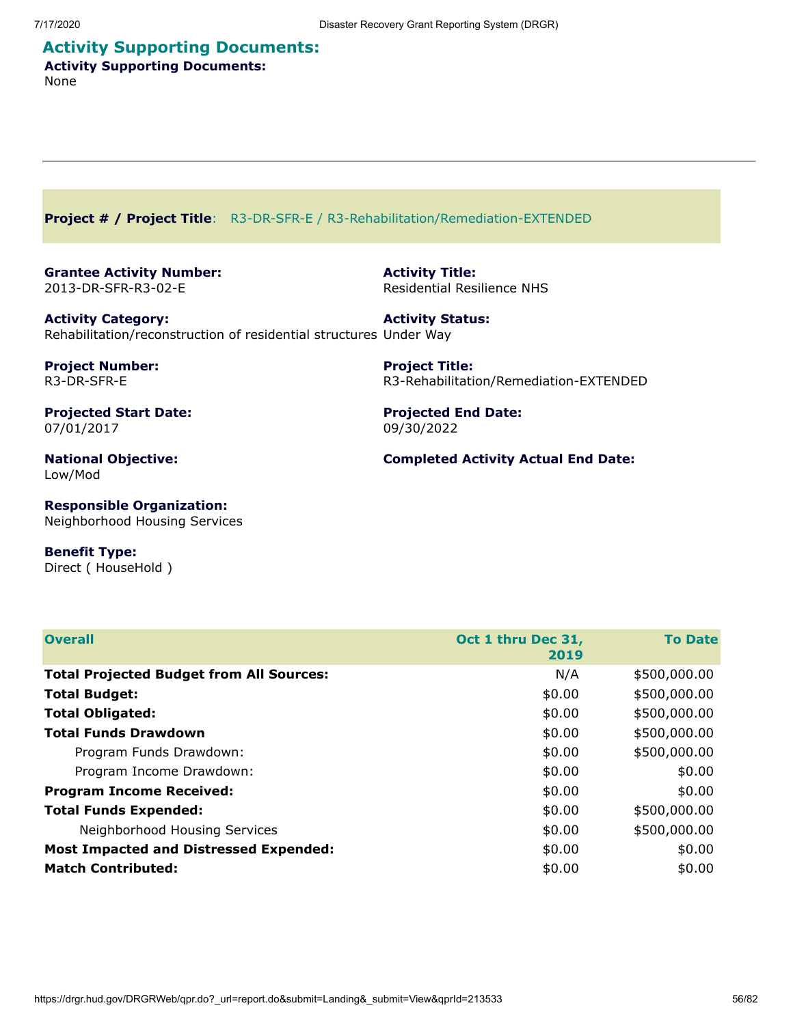# **Activity Supporting Documents: Activity Supporting Documents:**

None

**Project # / Project Title**: R3-DR-SFR-E / R3-Rehabilitation/Remediation-EXTENDED

**Grantee Activity Number:** 2013-DR-SFR-R3-02-E

**Activity Title:** Residential Resilience NHS

**Activity Category:** Rehabilitation/reconstruction of residential structures Under Way **Activity Status:**

**Project Number:** R3-DR-SFR-E

**Projected Start Date:** 07/01/2017

**National Objective:** Low/Mod

**Project Title:** R3-Rehabilitation/Remediation-EXTENDED

**Projected End Date:** 09/30/2022

**Completed Activity Actual End Date:**

**Responsible Organization:** Neighborhood Housing Services

#### **Benefit Type:**

Direct ( HouseHold )

| <b>Overall</b>                                  | Oct 1 thru Dec 31,<br><b>To Date</b><br>2019 |              |  |
|-------------------------------------------------|----------------------------------------------|--------------|--|
| <b>Total Projected Budget from All Sources:</b> | N/A                                          | \$500,000.00 |  |
| <b>Total Budget:</b>                            | \$0.00                                       | \$500,000.00 |  |
| <b>Total Obligated:</b>                         | \$0.00                                       | \$500,000.00 |  |
| <b>Total Funds Drawdown</b>                     | \$0.00                                       | \$500,000.00 |  |
| Program Funds Drawdown:                         | \$0.00                                       | \$500,000.00 |  |
| Program Income Drawdown:                        | \$0.00                                       | \$0.00       |  |
| <b>Program Income Received:</b>                 | \$0.00                                       | \$0.00       |  |
| <b>Total Funds Expended:</b>                    | \$0.00                                       | \$500,000.00 |  |
| Neighborhood Housing Services                   | \$0.00                                       | \$500,000.00 |  |
| <b>Most Impacted and Distressed Expended:</b>   | \$0.00                                       | \$0.00       |  |
| <b>Match Contributed:</b>                       | \$0.00                                       | \$0.00       |  |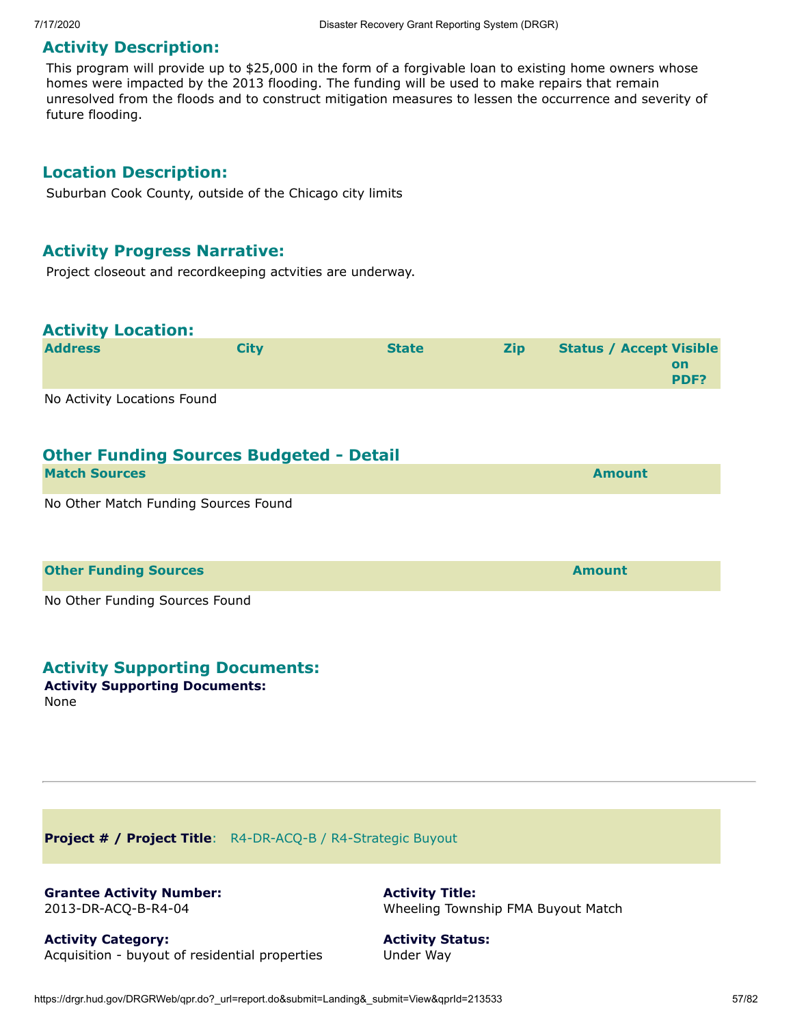This program will provide up to \$25,000 in the form of a forgivable loan to existing home owners whose homes were impacted by the 2013 flooding. The funding will be used to make repairs that remain unresolved from the floods and to construct mitigation measures to lessen the occurrence and severity of future flooding.

#### **Location Description:**

Suburban Cook County, outside of the Chicago city limits

#### **Activity Progress Narrative:**

Project closeout and recordkeeping actvities are underway.

#### **Activity Location:**

| <b>Address</b> | <b>City</b> | <b>State</b> | <b>Zip</b> | <b>Status / Accept Visible</b> |
|----------------|-------------|--------------|------------|--------------------------------|
|                |             |              |            | on                             |
|                |             |              |            | <b>PDF?</b>                    |
|                |             |              |            |                                |

No Activity Locations Found

#### **Other Funding Sources Budgeted - Detail**

| <b>Match Sources</b>                 | <b>Amount</b> |
|--------------------------------------|---------------|
| No Other Match Funding Sources Found |               |

#### **Other Funding Sources and Sources and Sources and Source Amount**

No Other Funding Sources Found

#### **Activity Supporting Documents:**

#### **Activity Supporting Documents:** None

**Project # / Project Title**: R4-DR-ACQ-B / R4-Strategic Buyout

**Grantee Activity Number:** 2013-DR-ACQ-B-R4-04

**Activity Title:** Wheeling Township FMA Buyout Match

**Activity Category:** Acquisition - buyout of residential properties **Activity Status:** Under Way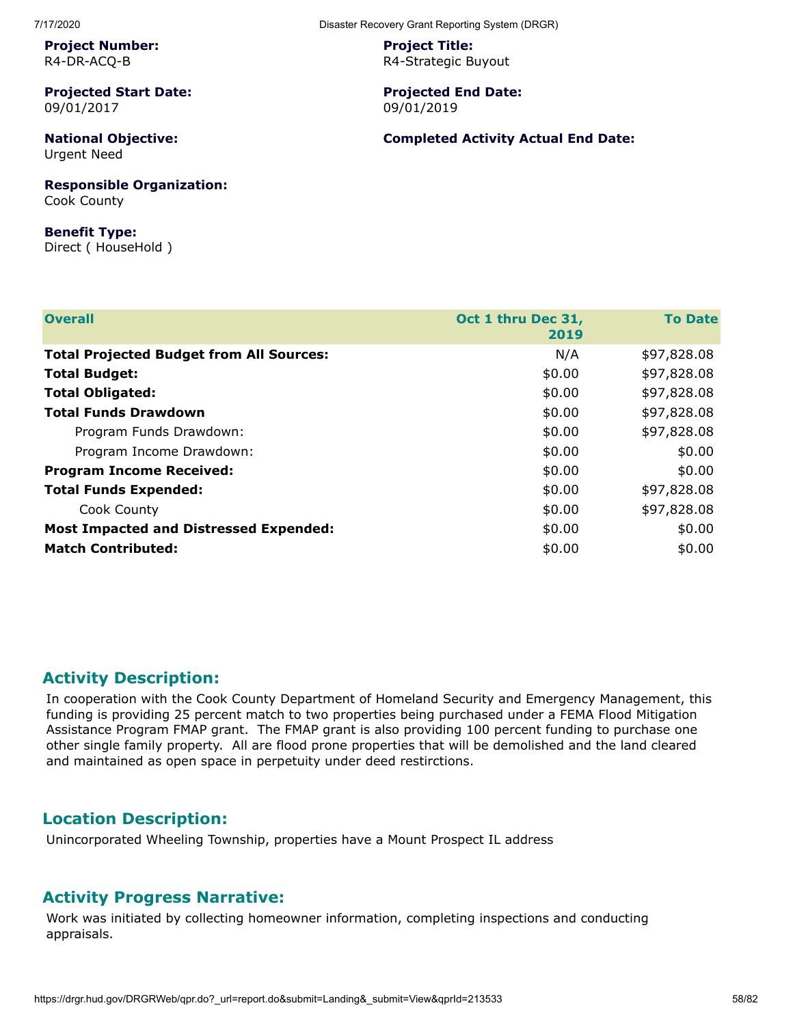**Project Number:** R4-DR-ACQ-B

**Projected Start Date:** 09/01/2017

**National Objective:** Urgent Need

**Responsible Organization:** Cook County

**Benefit Type:** Direct ( HouseHold ) **Project Title:** R4-Strategic Buyout

**Projected End Date:** 09/01/2019

**Completed Activity Actual End Date:**

| <b>Overall</b>                                  | Oct 1 thru Dec 31,<br>2019 | <b>To Date</b> |
|-------------------------------------------------|----------------------------|----------------|
| <b>Total Projected Budget from All Sources:</b> | N/A                        | \$97,828.08    |
| <b>Total Budget:</b>                            | \$0.00                     | \$97,828.08    |
| <b>Total Obligated:</b>                         | \$0.00                     | \$97,828.08    |
| <b>Total Funds Drawdown</b>                     | \$0.00                     | \$97,828.08    |
| Program Funds Drawdown:                         | \$0.00                     | \$97,828.08    |
| Program Income Drawdown:                        | \$0.00                     | \$0.00         |
| <b>Program Income Received:</b>                 | \$0.00                     | \$0.00         |
| <b>Total Funds Expended:</b>                    | \$0.00                     | \$97,828.08    |
| Cook County                                     | \$0.00                     | \$97,828.08    |
| <b>Most Impacted and Distressed Expended:</b>   | \$0.00                     | \$0.00         |
| <b>Match Contributed:</b>                       | \$0.00                     | \$0.00         |

## **Activity Description:**

In cooperation with the Cook County Department of Homeland Security and Emergency Management, this funding is providing 25 percent match to two properties being purchased under a FEMA Flood Mitigation Assistance Program FMAP grant. The FMAP grant is also providing 100 percent funding to purchase one other single family property. All are flood prone properties that will be demolished and the land cleared and maintained as open space in perpetuity under deed restirctions.

#### **Location Description:**

Unincorporated Wheeling Township, properties have a Mount Prospect IL address

#### **Activity Progress Narrative:**

Work was initiated by collecting homeowner information, completing inspections and conducting appraisals.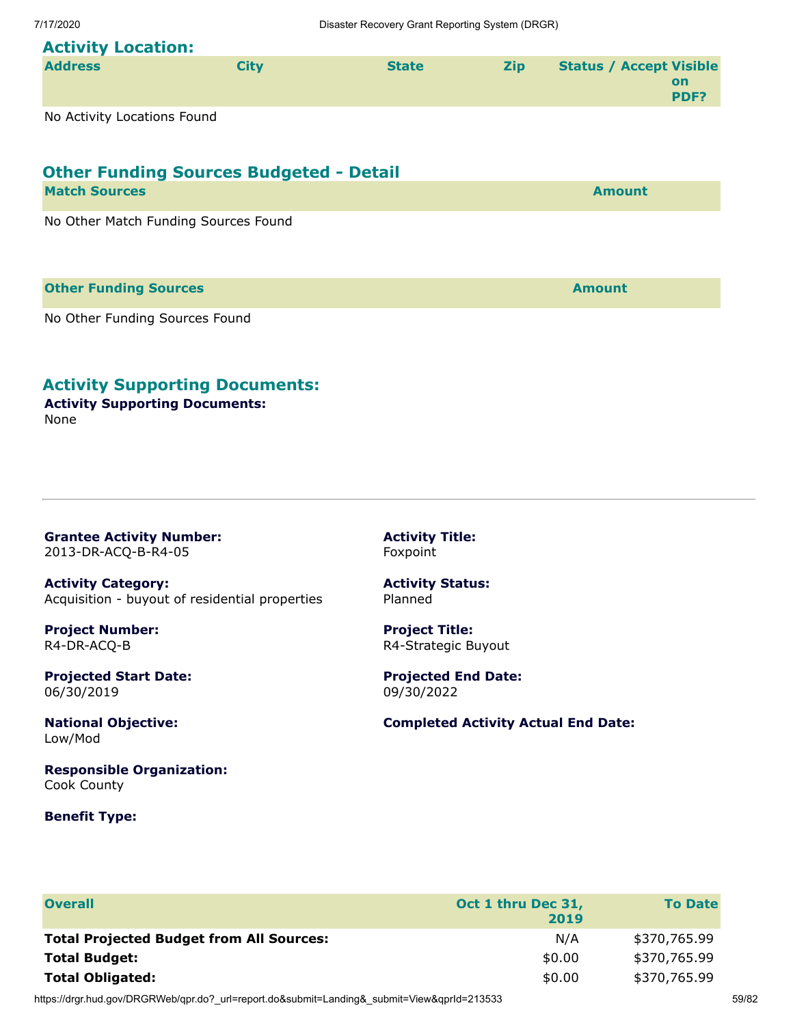# **Activity Location:**

| <b>Address</b> | Citv | <b>State</b> | <b>Zip</b> | <b>Status / Accept Visible</b> |                   |
|----------------|------|--------------|------------|--------------------------------|-------------------|
|                |      |              |            |                                | on<br><b>PDF?</b> |
|                |      |              |            |                                |                   |

No Activity Locations Found

# **Other Funding Sources Budgeted - Detail**

| <b>Match Sources</b>                 | <b>Amount</b> |
|--------------------------------------|---------------|
| No Other Match Funding Sources Found |               |
|                                      |               |

#### **Other Funding Sources Amount**

No Other Funding Sources Found

# **Activity Supporting Documents:**

**Activity Supporting Documents:** None

**Grantee Activity Number:** 2013-DR-ACQ-B-R4-05

**Activity Category:** Acquisition - buyout of residential properties

**Project Number:** R4-DR-ACQ-B

**Projected Start Date:** 06/30/2019

**National Objective:** Low/Mod

**Responsible Organization:** Cook County

#### **Benefit Type:**

**Activity Title:** Foxpoint

**Activity Status:** Planned

**Project Title:** R4-Strategic Buyout

**Projected End Date:** 09/30/2022

**Completed Activity Actual End Date:**

| <b>Overall</b>                                  | Oct 1 thru Dec 31,<br>2019 | <b>To Date</b> |
|-------------------------------------------------|----------------------------|----------------|
| <b>Total Projected Budget from All Sources:</b> | N/A                        | \$370,765.99   |
| <b>Total Budget:</b>                            | \$0.00                     | \$370,765.99   |
| <b>Total Obligated:</b>                         | \$0.00                     | \$370,765.99   |

https://drgr.hud.gov/DRGRWeb/qpr.do?\_url=report.do&submit=Landing&\_submit=View&qprId=213533 59/82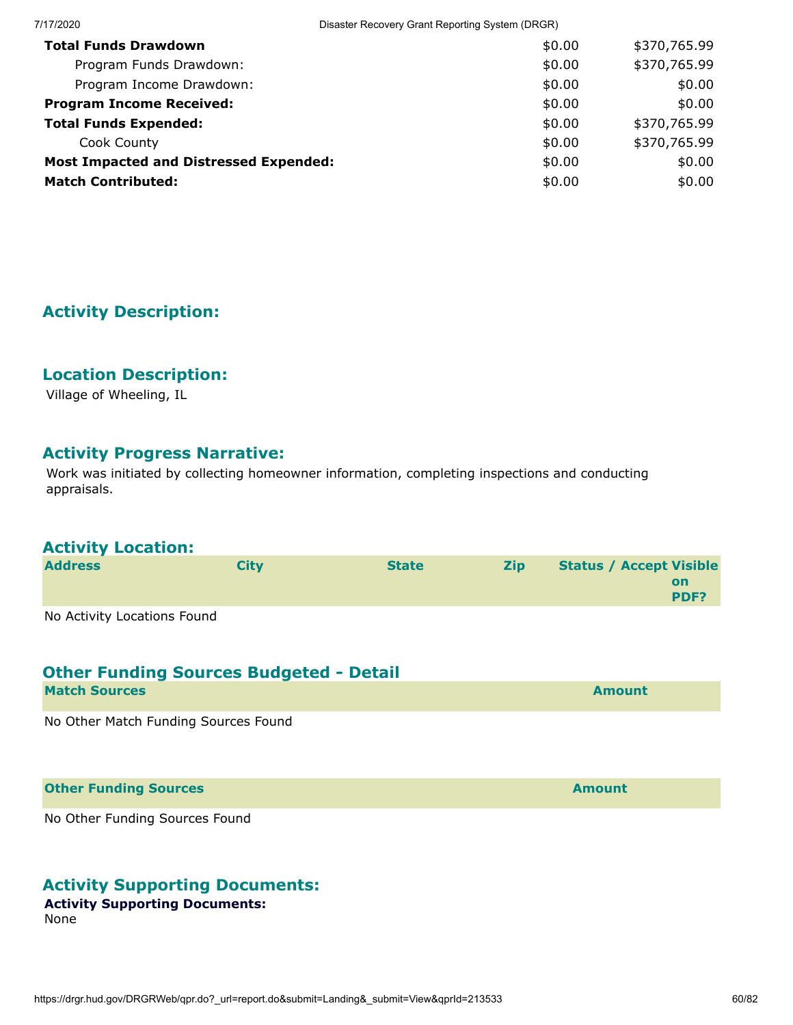| 7/17/2020                                     | Disaster Recovery Grant Reporting System (DRGR) |              |  |
|-----------------------------------------------|-------------------------------------------------|--------------|--|
| <b>Total Funds Drawdown</b>                   | \$0.00                                          | \$370,765.99 |  |
| Program Funds Drawdown:                       | \$0.00                                          | \$370,765.99 |  |
| Program Income Drawdown:                      | \$0.00                                          | \$0.00       |  |
| <b>Program Income Received:</b>               | \$0.00                                          | \$0.00       |  |
| <b>Total Funds Expended:</b>                  | \$0.00                                          | \$370,765.99 |  |
| Cook County                                   | \$0.00                                          | \$370,765.99 |  |
| <b>Most Impacted and Distressed Expended:</b> | \$0.00                                          | \$0.00       |  |
| <b>Match Contributed:</b>                     | \$0.00                                          | \$0.00       |  |

# **Location Description:**

Village of Wheeling, IL

# **Activity Progress Narrative:**

Work was initiated by collecting homeowner information, completing inspections and conducting appraisals.

# **Activity Location:**

| <b>Address</b>              | City | <b>State</b> | <b>Zip</b> | <b>Status / Accept Visible</b> |                   |
|-----------------------------|------|--------------|------------|--------------------------------|-------------------|
|                             |      |              |            |                                | <b>on</b><br>PDF? |
| No Activity Locations Found |      |              |            |                                |                   |

| <b>Other Funding Sources Budgeted - Detail</b> |               |
|------------------------------------------------|---------------|
| <b>Match Sources</b>                           | <b>Amount</b> |
| No Other Match Funding Sources Found           |               |

**Other Funding Sources Amount** 

No Other Funding Sources Found

# **Activity Supporting Documents:**

#### **Activity Supporting Documents:**

None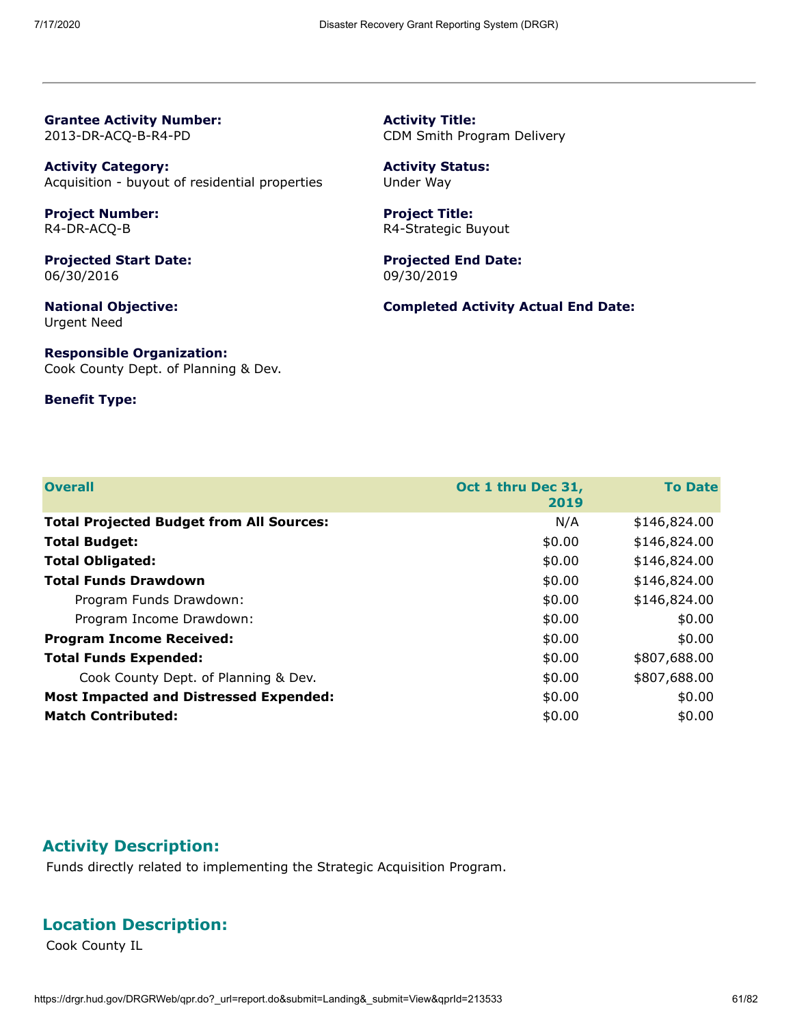**Grantee Activity Number:** 2013-DR-ACQ-B-R4-PD

**Activity Category:** Acquisition - buyout of residential properties

**Project Number:** R4-DR-ACQ-B

**Projected Start Date:** 06/30/2016

**National Objective:** Urgent Need

**Responsible Organization:** Cook County Dept. of Planning & Dev.

#### **Benefit Type:**

**Activity Title:** CDM Smith Program Delivery

**Activity Status:** Under Way

**Project Title:** R4-Strategic Buyout

**Projected End Date:** 09/30/2019

**Completed Activity Actual End Date:**

| <b>Overall</b>                                  | Oct 1 thru Dec 31,<br>2019 | <b>To Date</b> |
|-------------------------------------------------|----------------------------|----------------|
| <b>Total Projected Budget from All Sources:</b> | N/A                        | \$146,824.00   |
| <b>Total Budget:</b>                            | \$0.00                     | \$146,824.00   |
| <b>Total Obligated:</b>                         | \$0.00                     | \$146,824.00   |
| <b>Total Funds Drawdown</b>                     | \$0.00                     | \$146,824.00   |
| Program Funds Drawdown:                         | \$0.00                     | \$146,824.00   |
| Program Income Drawdown:                        | \$0.00                     | \$0.00         |
| <b>Program Income Received:</b>                 | \$0.00                     | \$0.00         |
| <b>Total Funds Expended:</b>                    | \$0.00                     | \$807,688.00   |
| Cook County Dept. of Planning & Dev.            | \$0.00                     | \$807,688.00   |
| <b>Most Impacted and Distressed Expended:</b>   | \$0.00                     | \$0.00         |
| <b>Match Contributed:</b>                       | \$0.00                     | \$0.00         |

#### **Activity Description:**

Funds directly related to implementing the Strategic Acquisition Program.

#### **Location Description:**

Cook County IL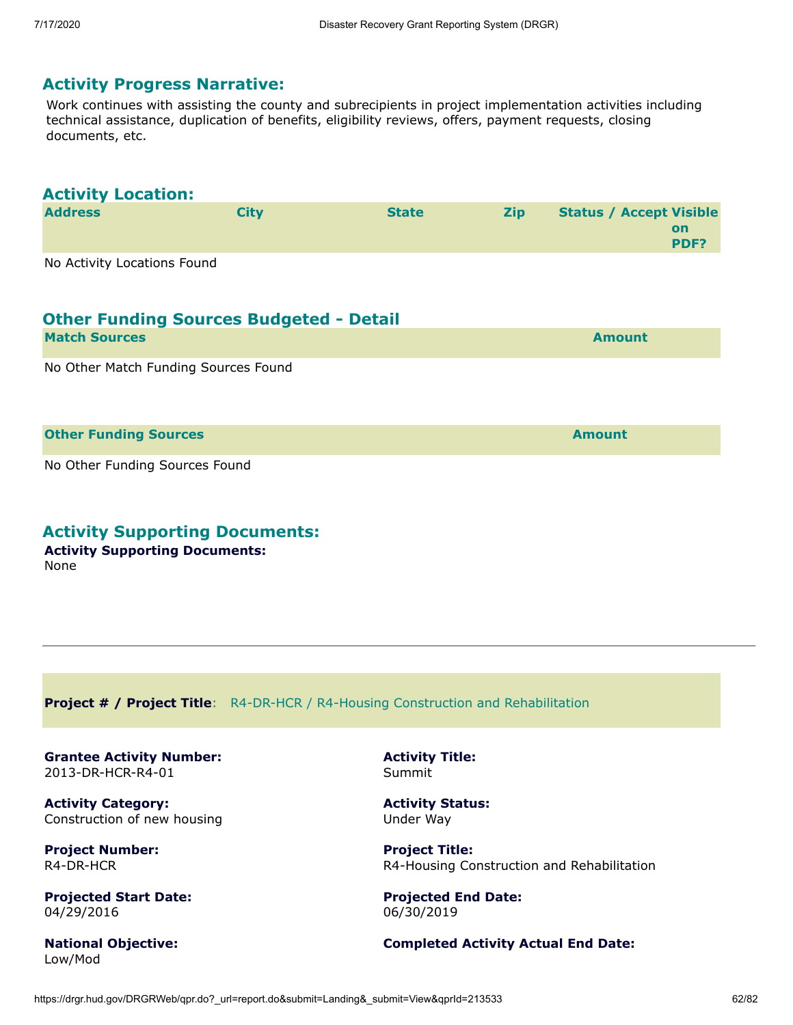#### **Activity Progress Narrative:**

Work continues with assisting the county and subrecipients in project implementation activities including technical assistance, duplication of benefits, eligibility reviews, offers, payment requests, closing documents, etc.

| <b>Activity Location:</b>   |             |              |            |                                |                   |
|-----------------------------|-------------|--------------|------------|--------------------------------|-------------------|
| <b>Address</b>              | <b>City</b> | <b>State</b> | <b>Zip</b> | <b>Status / Accept Visible</b> | <b>on</b><br>PDF? |
| No Activity Locations Found |             |              |            |                                |                   |

| <b>Other Funding Sources Budgeted - Detail</b> |               |
|------------------------------------------------|---------------|
| <b>Match Sources</b>                           | <b>Amount</b> |
| No Other Match Funding Sources Found           |               |

**Other Funding Sources and Sources and Sources and Source Amount** 

# No Other Funding Sources Found

**Activity Supporting Documents:**

**Activity Supporting Documents:** None

**Project # / Project Title**: R4-DR-HCR / R4-Housing Construction and Rehabilitation

**Grantee Activity Number:** 2013-DR-HCR-R4-01

**Activity Category:** Construction of new housing

**Project Number:** R4-DR-HCR

**Projected Start Date:** 04/29/2016

**National Objective:** Low/Mod

**Activity Title:** Summit

**Activity Status:** Under Way

**Project Title:** R4-Housing Construction and Rehabilitation

**Projected End Date:** 06/30/2019

#### **Completed Activity Actual End Date:**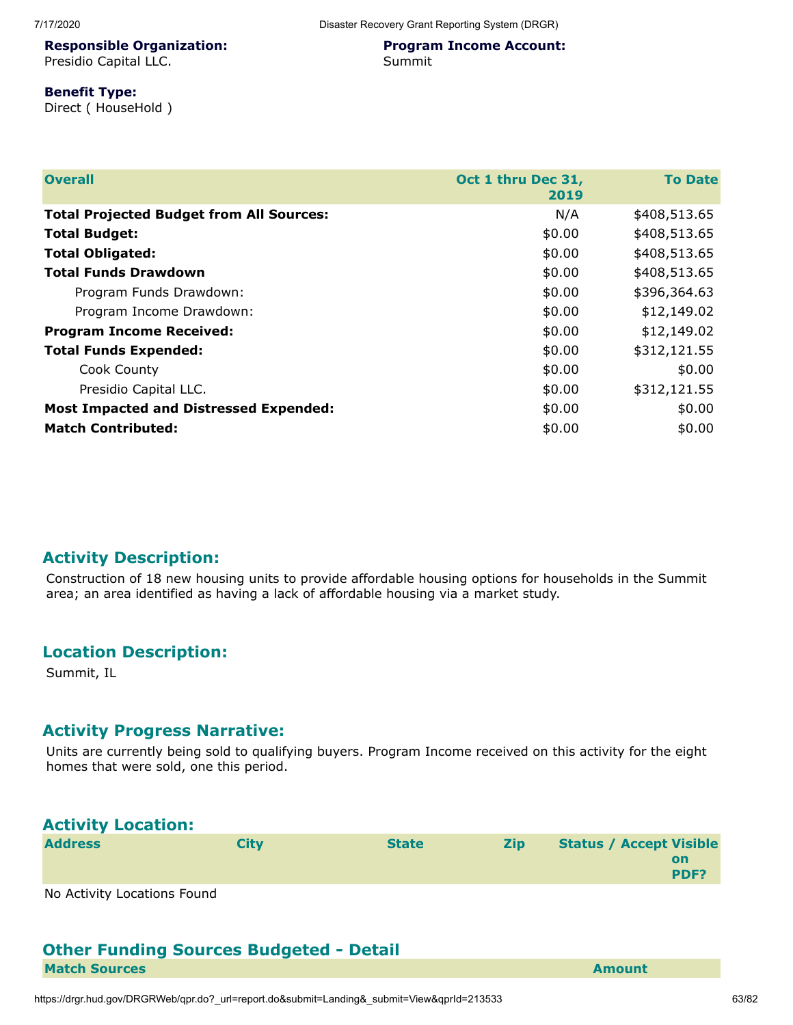#### 7/17/2020 Disaster Recovery Grant Reporting System (DRGR)

#### **Responsible Organization:**

Presidio Capital LLC.

#### **Program Income Account:** Summit

## **Benefit Type:**

Direct ( HouseHold )

| <b>Overall</b>                                  | Oct 1 thru Dec 31,<br>2019 | <b>To Date</b> |
|-------------------------------------------------|----------------------------|----------------|
| <b>Total Projected Budget from All Sources:</b> | N/A                        | \$408,513.65   |
| <b>Total Budget:</b>                            | \$0.00                     | \$408,513.65   |
| <b>Total Obligated:</b>                         | \$0.00                     | \$408,513.65   |
| <b>Total Funds Drawdown</b>                     | \$0.00                     | \$408,513.65   |
| Program Funds Drawdown:                         | \$0.00                     | \$396,364.63   |
| Program Income Drawdown:                        | \$0.00                     | \$12,149.02    |
| <b>Program Income Received:</b>                 | \$0.00                     | \$12,149.02    |
| <b>Total Funds Expended:</b>                    | \$0.00                     | \$312,121.55   |
| Cook County                                     | \$0.00                     | \$0.00         |
| Presidio Capital LLC.                           | \$0.00                     | \$312,121.55   |
| <b>Most Impacted and Distressed Expended:</b>   | \$0.00                     | \$0.00         |
| <b>Match Contributed:</b>                       | \$0.00                     | \$0.00         |

#### **Activity Description:**

Construction of 18 new housing units to provide affordable housing options for households in the Summit area; an area identified as having a lack of affordable housing via a market study.

## **Location Description:**

Summit, IL

#### **Activity Progress Narrative:**

Units are currently being sold to qualifying buyers. Program Income received on this activity for the eight homes that were sold, one this period.

## **Activity Location:**

| <b>Address</b>              | Citv | <b>State</b> | Zip | <b>Status / Accept Visible</b> |
|-----------------------------|------|--------------|-----|--------------------------------|
|                             |      |              |     | on<br><b>PDF?</b>              |
| No Activity Locations Found |      |              |     |                                |

No Activity Locations Found

#### **Other Funding Sources Budgeted - Detail Match Sources Amount**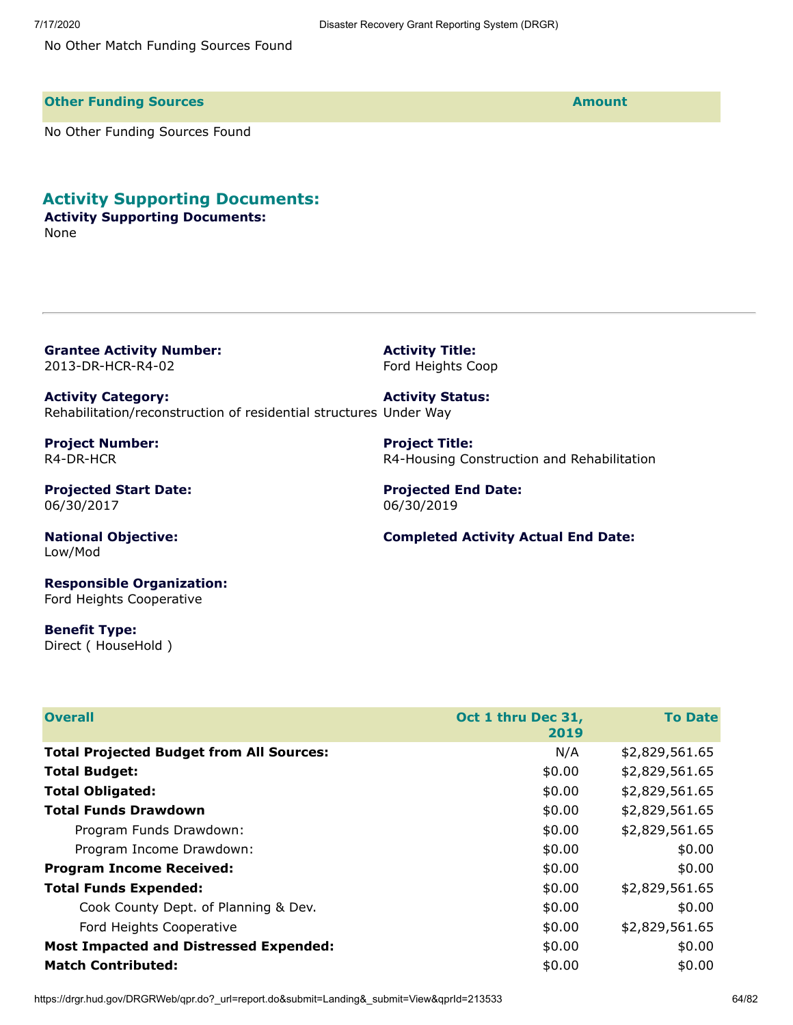No Other Match Funding Sources Found

**Other Funding Sources and Sources and Sources and Source Amount** 

No Other Funding Sources Found

#### **Activity Supporting Documents:**

#### **Activity Supporting Documents:** None

**Grantee Activity Number:** 2013-DR-HCR-R4-02

**Activity Title:** Ford Heights Coop

**Project Title:**

**Activity Category:** Rehabilitation/reconstruction of residential structures Under Way **Activity Status:**

**Project Number:** R4-DR-HCR

**Projected Start Date:** 06/30/2017

**National Objective:** Low/Mod

**Responsible Organization:** Ford Heights Cooperative

**Benefit Type:** Direct ( HouseHold )

| <b>Overall</b>                                  | Oct 1 thru Dec 31,<br>2019 | <b>To Date</b> |
|-------------------------------------------------|----------------------------|----------------|
| <b>Total Projected Budget from All Sources:</b> | N/A                        | \$2,829,561.65 |
| <b>Total Budget:</b>                            | \$0.00                     | \$2,829,561.65 |
| <b>Total Obligated:</b>                         | \$0.00                     | \$2,829,561.65 |
| <b>Total Funds Drawdown</b>                     | \$0.00                     | \$2,829,561.65 |
| Program Funds Drawdown:                         | \$0.00                     | \$2,829,561.65 |
| Program Income Drawdown:                        | \$0.00                     | \$0.00         |
| <b>Program Income Received:</b>                 | \$0.00                     | \$0.00         |
| <b>Total Funds Expended:</b>                    | \$0.00                     | \$2,829,561.65 |
| Cook County Dept. of Planning & Dev.            | \$0.00                     | \$0.00         |
| Ford Heights Cooperative                        | \$0.00                     | \$2,829,561.65 |
| <b>Most Impacted and Distressed Expended:</b>   | \$0.00                     | \$0.00         |
| <b>Match Contributed:</b>                       | \$0.00                     | \$0.00         |

**Projected End Date:** 06/30/2019

#### **Completed Activity Actual End Date:**

R4-Housing Construction and Rehabilitation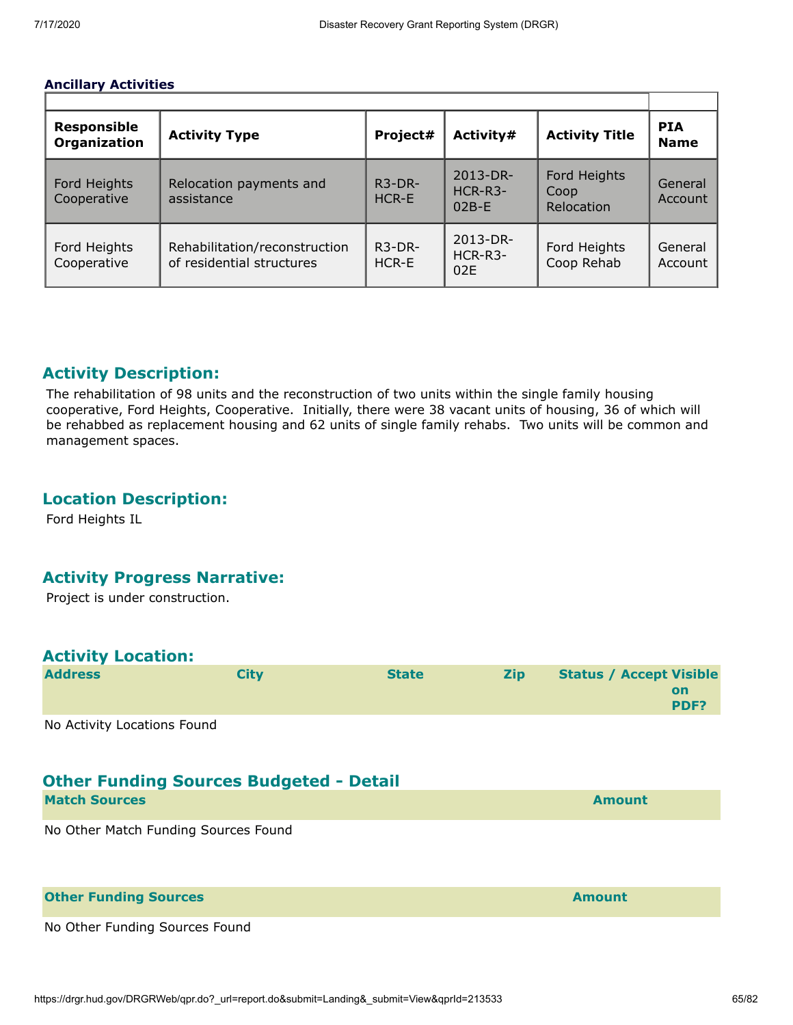#### **Ancillary Activities**

| <b>Responsible</b><br><b>Organization</b> | <b>Activity Type</b>                                       | Project#                            | Activity#                             | <b>Activity Title</b>              | <b>PIA</b><br><b>Name</b> |
|-------------------------------------------|------------------------------------------------------------|-------------------------------------|---------------------------------------|------------------------------------|---------------------------|
| Ford Heights<br>Cooperative               | Relocation payments and<br>assistance                      | R <sub>3</sub> -DR-<br><b>HCR-E</b> | $2013 - DR -$<br>$HCR-R3-$<br>$02B-F$ | Ford Heights<br>Coop<br>Relocation | General<br>Account        |
| Ford Heights<br>Cooperative               | Rehabilitation/reconstruction<br>of residential structures | $R3-DR-$<br>$HCR-F$                 | 2013-DR-<br>HCR-R3-<br>02E            | Ford Heights<br>Coop Rehab         | General<br>Account        |

# **Activity Description:**

The rehabilitation of 98 units and the reconstruction of two units within the single family housing cooperative, Ford Heights, Cooperative. Initially, there were 38 vacant units of housing, 36 of which will be rehabbed as replacement housing and 62 units of single family rehabs. Two units will be common and management spaces.

# **Location Description:**

Ford Heights IL

## **Activity Progress Narrative:**

Project is under construction.

# **Activity Location:**

| <b>Address</b>              | Citv | <b>State</b> | <b>Zip</b> | <b>Status / Accept Visible</b> |
|-----------------------------|------|--------------|------------|--------------------------------|
|                             |      |              |            | on<br><b>PDF?</b>              |
| Ne Astivity Lesstians Faund |      |              |            |                                |

No Activity Locations Found

# **Other Funding Sources Budgeted - Detail**

| <b>Match Sources</b>                 | Amount |
|--------------------------------------|--------|
| No Other Match Funding Sources Found |        |

| <b>Other Funding Sources</b>   | <b>Amount</b> |
|--------------------------------|---------------|
| No Other Funding Sources Found |               |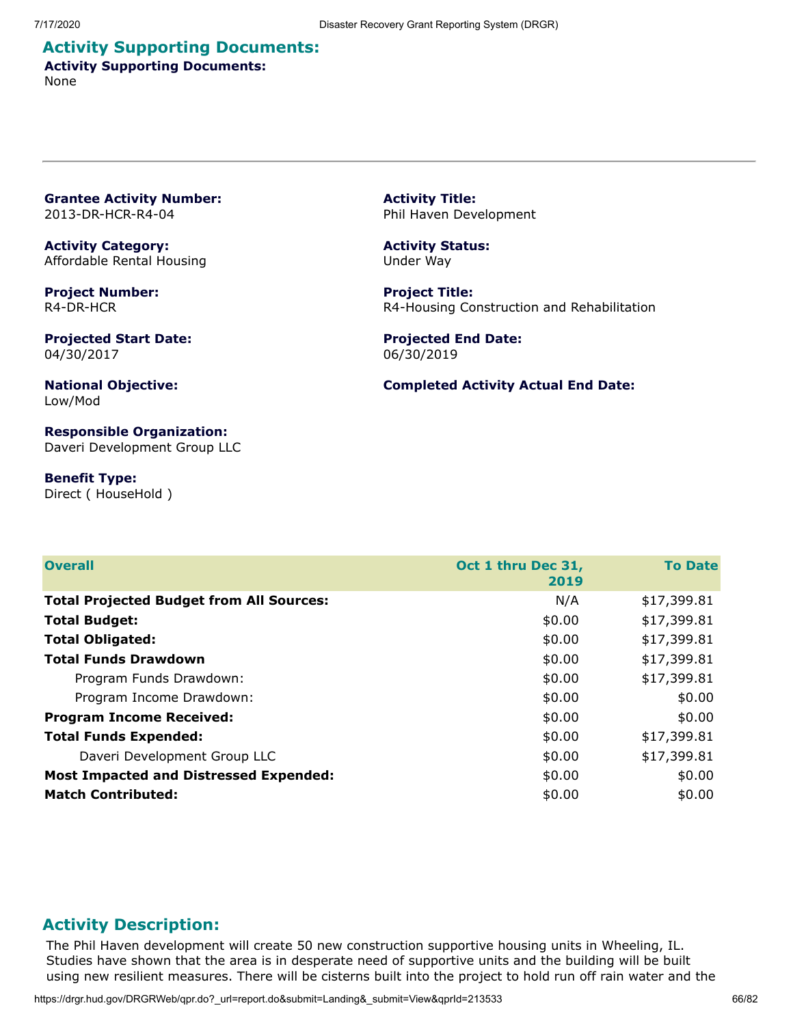#### **Activity Supporting Documents: Activity Supporting Documents:** None

**Grantee Activity Number:** 2013-DR-HCR-R4-04

**Activity Category:** Affordable Rental Housing

**Project Number:** R4-DR-HCR

**Projected Start Date:** 04/30/2017

**National Objective:** Low/Mod

**Responsible Organization:** Daveri Development Group LLC

**Benefit Type:** Direct ( HouseHold ) **Activity Title:** Phil Haven Development

**Activity Status:** Under Way

**Project Title:** R4-Housing Construction and Rehabilitation

**Projected End Date:** 06/30/2019

#### **Completed Activity Actual End Date:**

| <b>Overall</b>                                  | Oct 1 thru Dec 31, | <b>To Date</b> |
|-------------------------------------------------|--------------------|----------------|
|                                                 | 2019               |                |
| <b>Total Projected Budget from All Sources:</b> | N/A                | \$17,399.81    |
| <b>Total Budget:</b>                            | \$0.00             | \$17,399.81    |
| <b>Total Obligated:</b>                         | \$0.00             | \$17,399.81    |
| <b>Total Funds Drawdown</b>                     | \$0.00             | \$17,399.81    |
| Program Funds Drawdown:                         | \$0.00             | \$17,399.81    |
| Program Income Drawdown:                        | \$0.00             | \$0.00         |
| <b>Program Income Received:</b>                 | \$0.00             | \$0.00         |
| <b>Total Funds Expended:</b>                    | \$0.00             | \$17,399.81    |
| Daveri Development Group LLC                    | \$0.00             | \$17,399.81    |
| <b>Most Impacted and Distressed Expended:</b>   | \$0.00             | \$0.00         |
| <b>Match Contributed:</b>                       | \$0.00             | \$0.00         |

#### **Activity Description:**

The Phil Haven development will create 50 new construction supportive housing units in Wheeling, IL. Studies have shown that the area is in desperate need of supportive units and the building will be built using new resilient measures. There will be cisterns built into the project to hold run off rain water and the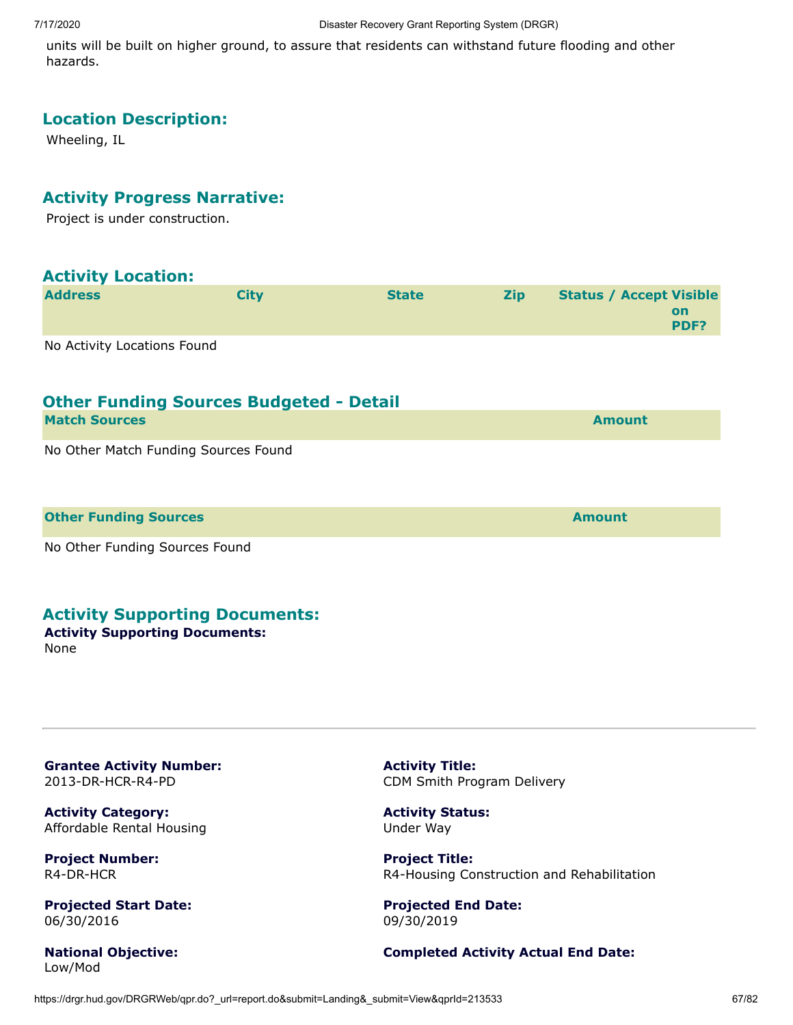units will be built on higher ground, to assure that residents can withstand future flooding and other hazards.

# **Location Description:**

Wheeling, IL

# **Activity Progress Narrative:**

Project is under construction.

| <b>Activity Location:</b>                      |             |              |            |                                                     |
|------------------------------------------------|-------------|--------------|------------|-----------------------------------------------------|
| <b>Address</b>                                 | <b>City</b> | <b>State</b> | <b>Zip</b> | <b>Status / Accept Visible</b><br><b>on</b><br>PDF? |
| No Activity Locations Found                    |             |              |            |                                                     |
| <b>Other Funding Sources Budgeted - Detail</b> |             |              |            |                                                     |
| <b>Match Sources</b>                           |             |              |            | <b>Amount</b>                                       |
| No Other Match Funding Sources Found           |             |              |            |                                                     |
| <b>Other Funding Sources</b>                   |             |              |            | <b>Amount</b>                                       |
| No Other Funding Sources Found                 |             |              |            |                                                     |

#### **Activity Supporting Documents:**

#### **Activity Supporting Documents:**

None

**Grantee Activity Number:** 2013-DR-HCR-R4-PD

**Activity Category:** Affordable Rental Housing

**Project Number:** R4-DR-HCR

**Projected Start Date:** 06/30/2016

**National Objective:** Low/Mod

**Activity Title:** CDM Smith Program Delivery

**Activity Status:** Under Way

**Project Title:** R4-Housing Construction and Rehabilitation

**Projected End Date:** 09/30/2019

#### **Completed Activity Actual End Date:**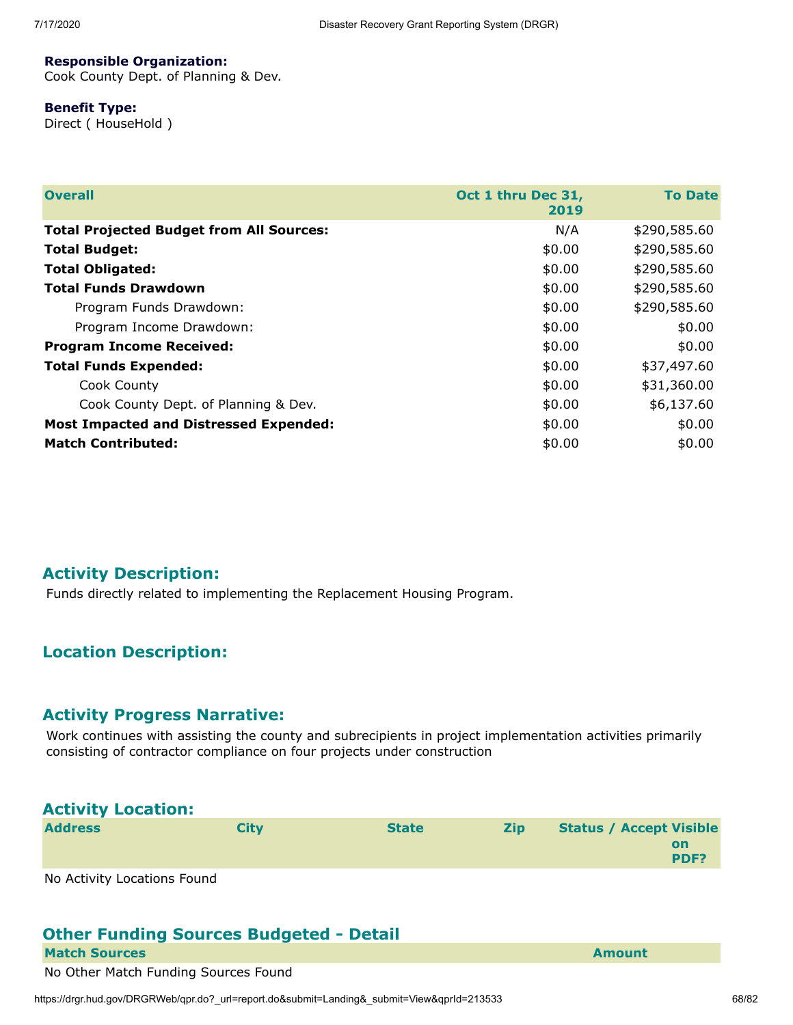#### **Responsible Organization:**

Cook County Dept. of Planning & Dev.

#### **Benefit Type:**

Direct ( HouseHold )

| <b>Overall</b>                                  | Oct 1 thru Dec 31,<br>2019 | <b>To Date</b> |
|-------------------------------------------------|----------------------------|----------------|
| <b>Total Projected Budget from All Sources:</b> | N/A                        | \$290,585.60   |
| <b>Total Budget:</b>                            | \$0.00                     | \$290,585.60   |
| <b>Total Obligated:</b>                         | \$0.00                     | \$290,585.60   |
| <b>Total Funds Drawdown</b>                     | \$0.00                     | \$290,585.60   |
| Program Funds Drawdown:                         | \$0.00                     | \$290,585.60   |
| Program Income Drawdown:                        | \$0.00                     | \$0.00         |
| <b>Program Income Received:</b>                 | \$0.00                     | \$0.00         |
| <b>Total Funds Expended:</b>                    | \$0.00                     | \$37,497.60    |
| Cook County                                     | \$0.00                     | \$31,360.00    |
| Cook County Dept. of Planning & Dev.            | \$0.00                     | \$6,137.60     |
| <b>Most Impacted and Distressed Expended:</b>   | \$0.00                     | \$0.00         |
| <b>Match Contributed:</b>                       | \$0.00                     | \$0.00         |

## **Activity Description:**

Funds directly related to implementing the Replacement Housing Program.

# **Location Description:**

#### **Activity Progress Narrative:**

Work continues with assisting the county and subrecipients in project implementation activities primarily consisting of contractor compliance on four projects under construction

| <b>Activity Location:</b> |             |              |            |                                              |
|---------------------------|-------------|--------------|------------|----------------------------------------------|
| <b>Address</b>            | <b>City</b> | <b>State</b> | <b>Zip</b> | <b>Status / Accept Visible</b><br>on<br>PDF? |
|                           |             |              |            |                                              |

No Activity Locations Found

#### **Other Funding Sources Budgeted - Detail Match Sources Amount Amount Amount Amount Amount**

No Other Match Funding Sources Found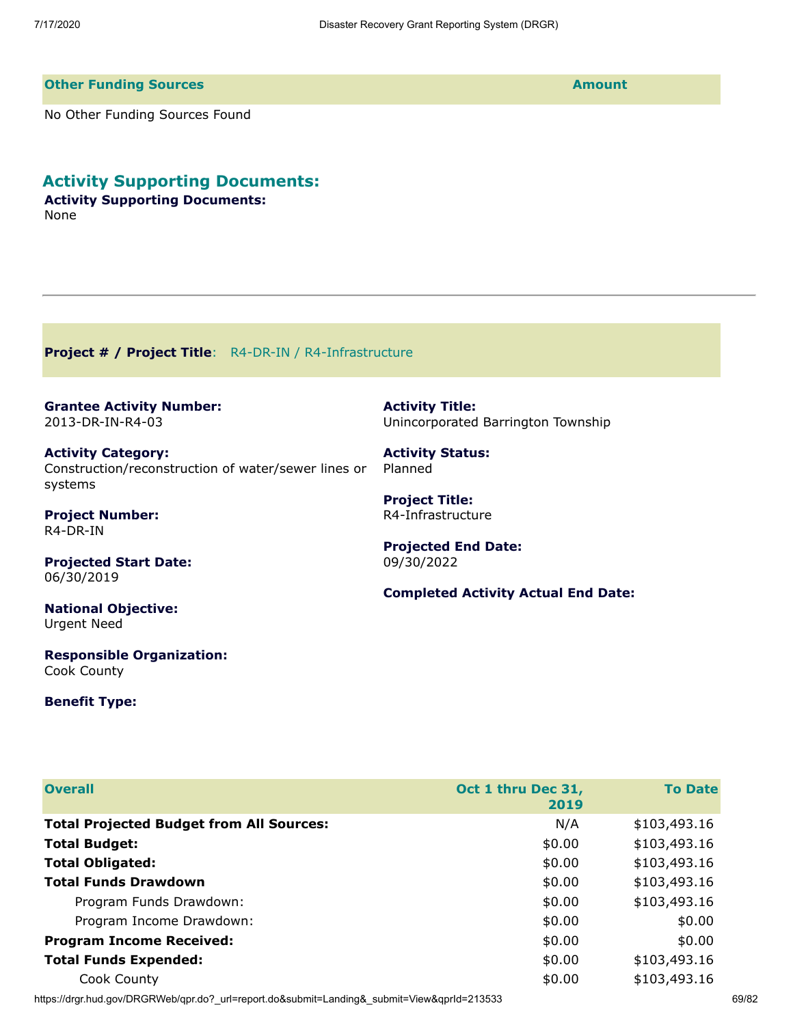**Activity Title:**

**Activity Status:**

**Projected End Date:**

**Project Title:** R4-Infrastructure

09/30/2022

Planned

Unincorporated Barrington Township

**Completed Activity Actual End Date:**

#### **Other Funding Sources Amount**

No Other Funding Sources Found

**Activity Supporting Documents:**

**Activity Supporting Documents:** None

**Project # / Project Title**: R4-DR-IN / R4-Infrastructure

**Grantee Activity Number:** 2013-DR-IN-R4-03

**Activity Category:** Construction/reconstruction of water/sewer lines or systems

**Project Number:** R4-DR-IN

**Projected Start Date:** 06/30/2019

**National Objective:** Urgent Need

**Responsible Organization:** Cook County

#### **Benefit Type:**

| <b>Overall</b>                                  | Oct 1 thru Dec 31,<br>2019 | <b>To Date</b> |
|-------------------------------------------------|----------------------------|----------------|
| <b>Total Projected Budget from All Sources:</b> | N/A                        | \$103,493.16   |
| <b>Total Budget:</b>                            | \$0.00                     | \$103,493.16   |
| <b>Total Obligated:</b>                         | \$0.00                     | \$103,493.16   |
| <b>Total Funds Drawdown</b>                     | \$0.00                     | \$103,493.16   |
| Program Funds Drawdown:                         | \$0.00                     | \$103,493.16   |
| Program Income Drawdown:                        | \$0.00                     | \$0.00         |
| <b>Program Income Received:</b>                 | \$0.00                     | \$0.00         |
| <b>Total Funds Expended:</b>                    | \$0.00                     | \$103,493.16   |
| Cook County                                     | \$0.00                     | \$103,493.16   |

https://drgr.hud.gov/DRGRWeb/qpr.do?\_url=report.do&submit=Landing&\_submit=View&qprId=213533 69/82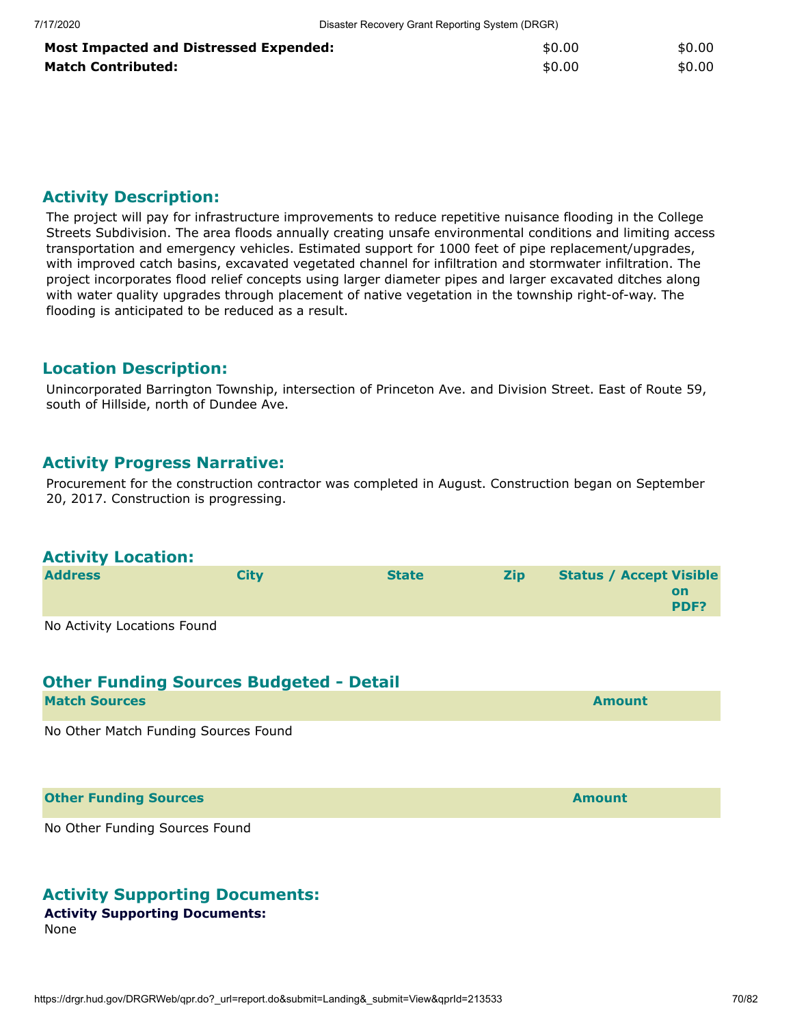| <b>Most Impacted and Distressed Expended:</b> | \$0.00 | \$0.00 |
|-----------------------------------------------|--------|--------|
| <b>Match Contributed:</b>                     | \$0.00 | \$0.00 |

The project will pay for infrastructure improvements to reduce repetitive nuisance flooding in the College Streets Subdivision. The area floods annually creating unsafe environmental conditions and limiting access transportation and emergency vehicles. Estimated support for 1000 feet of pipe replacement/upgrades, with improved catch basins, excavated vegetated channel for infiltration and stormwater infiltration. The project incorporates flood relief concepts using larger diameter pipes and larger excavated ditches along with water quality upgrades through placement of native vegetation in the township right-of-way. The flooding is anticipated to be reduced as a result.

#### **Location Description:**

Unincorporated Barrington Township, intersection of Princeton Ave. and Division Street. East of Route 59, south of Hillside, north of Dundee Ave.

#### **Activity Progress Narrative:**

Procurement for the construction contractor was completed in August. Construction began on September 20, 2017. Construction is progressing.

#### **Activity Location:**

| <b>Address</b>              | Citv | <b>State</b> | <b>Zip</b> | <b>Status / Accept Visible</b> |
|-----------------------------|------|--------------|------------|--------------------------------|
|                             |      |              |            | on<br><b>PDF?</b>              |
| No Activity Locations Found |      |              |            |                                |

No Activity Locations Found

#### **Other Funding Sources Budgeted - Detail**

| <b>Match Sources</b> |  | <b>Amount</b> |
|----------------------|--|---------------|
|                      |  |               |

No Other Match Funding Sources Found

**Other Funding Sources and Sources and Sources and Source Amount** 

No Other Funding Sources Found

#### **Activity Supporting Documents:**

#### **Activity Supporting Documents:**

None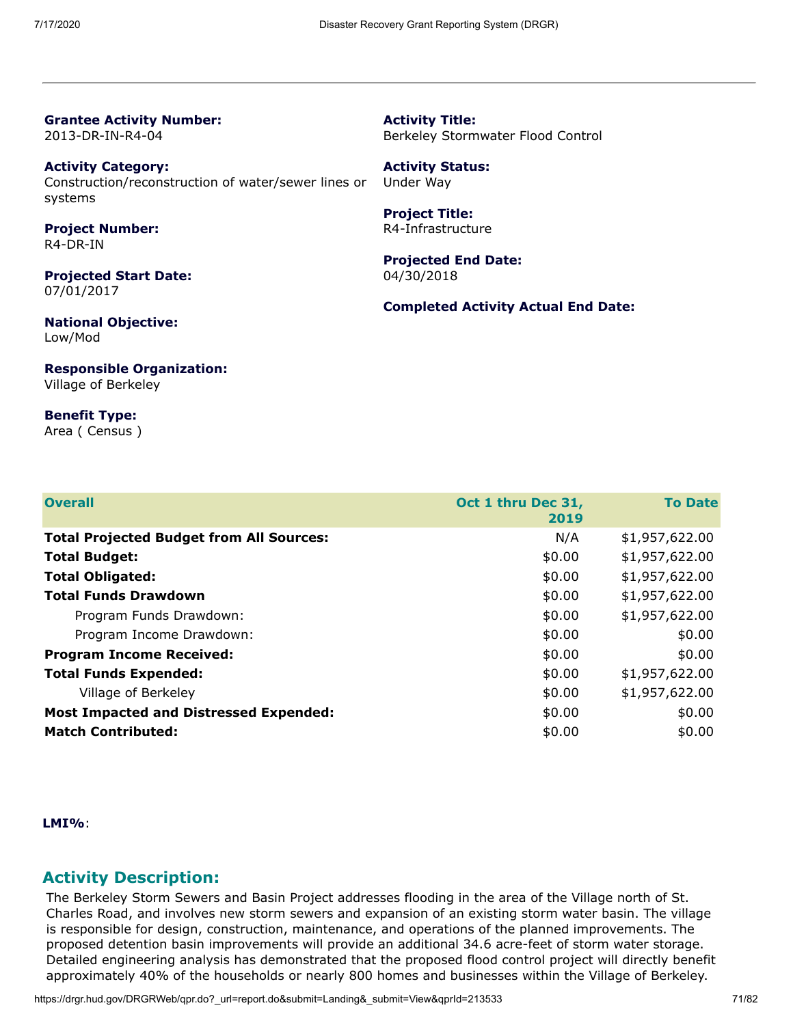**Grantee Activity Number:** 2013-DR-IN-R4-04

**Activity Category:** Construction/reconstruction of water/sewer lines or systems

**Project Number:** R4-DR-IN

**Projected Start Date:** 07/01/2017

**National Objective:** Low/Mod

**Responsible Organization:** Village of Berkeley

**Benefit Type:** Area ( Census )

**Activity Title:** Berkeley Stormwater Flood Control

**Activity Status:** Under Way

**Project Title:** R4-Infrastructure

**Projected End Date:** 04/30/2018

**Completed Activity Actual End Date:**

| <b>Overall</b>                                  | Oct 1 thru Dec 31,<br>2019 | <b>To Date</b> |
|-------------------------------------------------|----------------------------|----------------|
| <b>Total Projected Budget from All Sources:</b> | N/A                        | \$1,957,622.00 |
| <b>Total Budget:</b>                            | \$0.00                     | \$1,957,622.00 |
| <b>Total Obligated:</b>                         | \$0.00                     | \$1,957,622.00 |
| <b>Total Funds Drawdown</b>                     | \$0.00                     | \$1,957,622.00 |
| Program Funds Drawdown:                         | \$0.00                     | \$1,957,622.00 |
| Program Income Drawdown:                        | \$0.00                     | \$0.00         |
| <b>Program Income Received:</b>                 | \$0.00                     | \$0.00         |
| <b>Total Funds Expended:</b>                    | \$0.00                     | \$1,957,622.00 |
| Village of Berkeley                             | \$0.00                     | \$1,957,622.00 |
| <b>Most Impacted and Distressed Expended:</b>   | \$0.00                     | \$0.00         |
| <b>Match Contributed:</b>                       | \$0.00                     | \$0.00         |

**LMI%**:

#### **Activity Description:**

The Berkeley Storm Sewers and Basin Project addresses flooding in the area of the Village north of St. Charles Road, and involves new storm sewers and expansion of an existing storm water basin. The village is responsible for design, construction, maintenance, and operations of the planned improvements. The proposed detention basin improvements will provide an additional 34.6 acre-feet of storm water storage. Detailed engineering analysis has demonstrated that the proposed flood control project will directly benefit approximately 40% of the households or nearly 800 homes and businesses within the Village of Berkeley.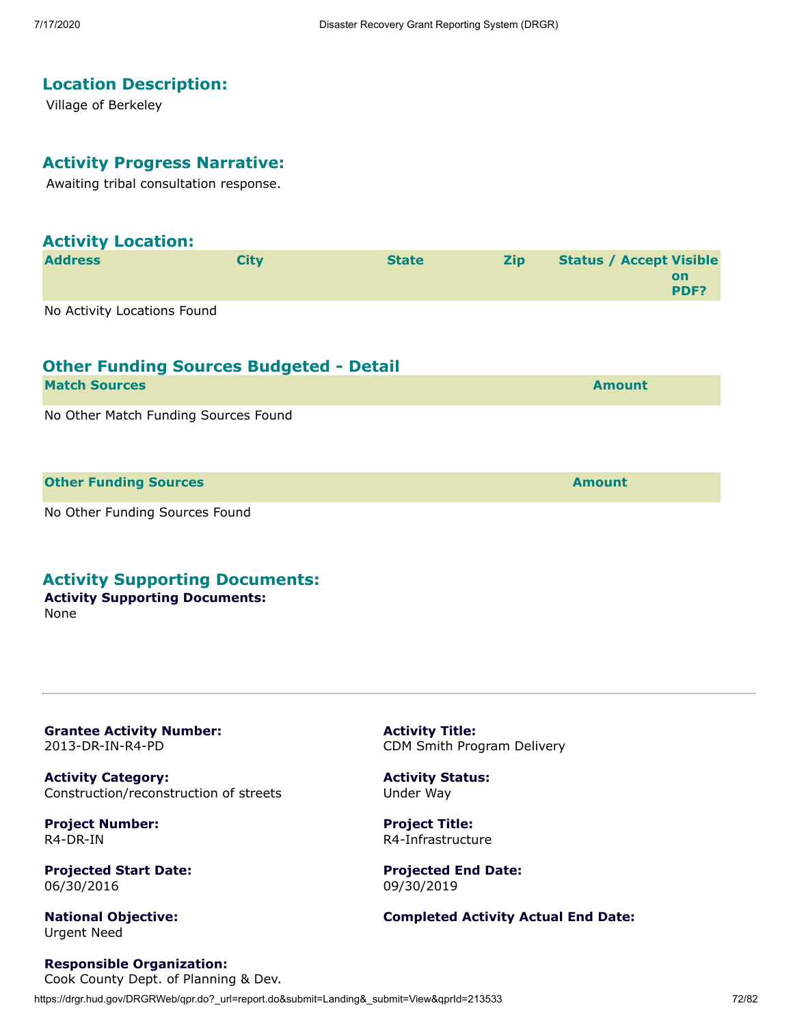# **Location Description:**

Village of Berkeley

#### **Activity Progress Narrative:**

Awaiting tribal consultation response.

| <b>Activity Location:</b>   |             |              |            |                                              |
|-----------------------------|-------------|--------------|------------|----------------------------------------------|
| <b>Address</b>              | <b>City</b> | <b>State</b> | <b>Zip</b> | <b>Status / Accept Visible</b><br>on<br>PDF? |
| No Activity Locations Found |             |              |            |                                              |

| <b>Match Sources</b>                 | <b>Amount</b> |
|--------------------------------------|---------------|
| No Other Match Funding Sources Found |               |
| <b>Other Funding Sources</b>         | <b>Amount</b> |

No Other Funding Sources Found

#### **Activity Supporting Documents:**

#### **Activity Supporting Documents:** None

**Grantee Activity Number:** 2013-DR-IN-R4-PD

**Activity Category:** Construction/reconstruction of streets

**Project Number:** R4-DR-IN

**Projected Start Date:** 06/30/2016

**National Objective:** Urgent Need

**Activity Title:** CDM Smith Program Delivery

**Activity Status:** Under Way

**Project Title:** R4-Infrastructure

**Projected End Date:** 09/30/2019

**Completed Activity Actual End Date:**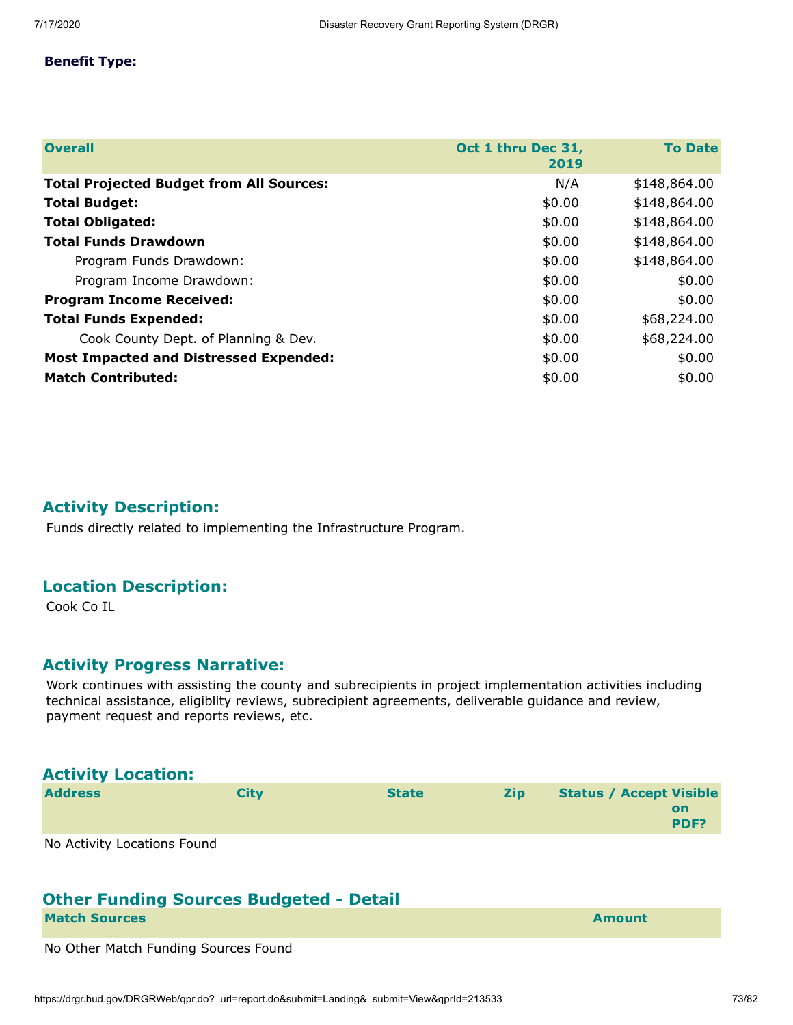#### **Benefit Type:**

| <b>Overall</b>                                  | Oct 1 thru Dec 31,<br>2019 | <b>To Date</b> |
|-------------------------------------------------|----------------------------|----------------|
| <b>Total Projected Budget from All Sources:</b> | N/A                        | \$148,864.00   |
| <b>Total Budget:</b>                            | \$0.00                     | \$148,864.00   |
| <b>Total Obligated:</b>                         | \$0.00                     | \$148,864.00   |
| <b>Total Funds Drawdown</b>                     | \$0.00                     | \$148,864.00   |
| Program Funds Drawdown:                         | \$0.00                     | \$148,864.00   |
| Program Income Drawdown:                        | \$0.00                     | \$0.00         |
| <b>Program Income Received:</b>                 | \$0.00                     | \$0.00         |
| <b>Total Funds Expended:</b>                    | \$0.00                     | \$68,224.00    |
| Cook County Dept. of Planning & Dev.            | \$0.00                     | \$68,224.00    |
| <b>Most Impacted and Distressed Expended:</b>   | \$0.00                     | \$0.00         |
| <b>Match Contributed:</b>                       | \$0.00                     | \$0.00         |

## **Activity Description:**

Funds directly related to implementing the Infrastructure Program.

## **Location Description:**

Cook Co IL

## **Activity Progress Narrative:**

Work continues with assisting the county and subrecipients in project implementation activities including technical assistance, eligiblity reviews, subrecipient agreements, deliverable guidance and review, payment request and reports reviews, etc.

| <b>Activity Location:</b>   |      |              |            |                                |            |
|-----------------------------|------|--------------|------------|--------------------------------|------------|
| <b>Address</b>              | City | <b>State</b> | <b>Zip</b> | <b>Status / Accept Visible</b> | on<br>PDF? |
| No Activity Locations Found |      |              |            |                                |            |

# **Other Funding Sources Budgeted - Detail**

| <b>Match Sources</b> | <b>Amount</b> |
|----------------------|---------------|
|----------------------|---------------|

No Other Match Funding Sources Found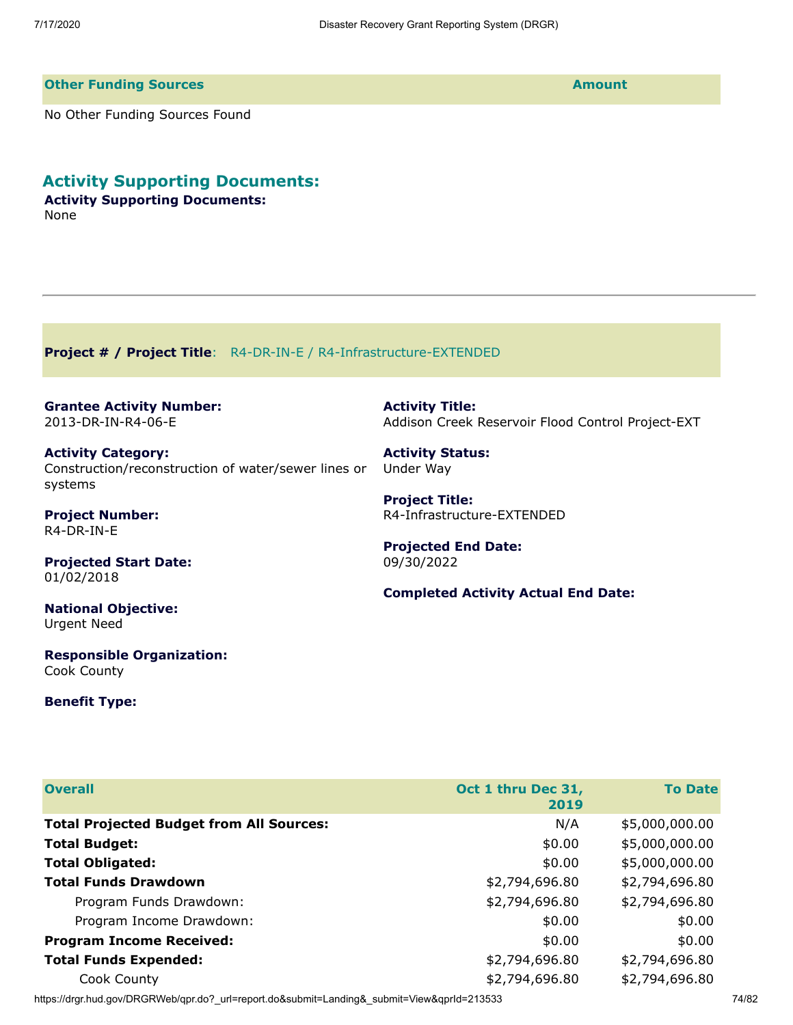#### **Other Funding Sources Amount**

No Other Funding Sources Found

# **Activity Supporting Documents:**

**Activity Supporting Documents:** None

**Project # / Project Title**: R4-DR-IN-E / R4-Infrastructure-EXTENDED

**Grantee Activity Number:** 2013-DR-IN-R4-06-E

**Activity Category:** Construction/reconstruction of water/sewer lines or systems

**Project Number:** R4-DR-IN-E

**Projected Start Date:** 01/02/2018

**National Objective:** Urgent Need

**Responsible Organization:** Cook County

#### **Benefit Type:**

**Activity Title:** Addison Creek Reservoir Flood Control Project-EXT

**Activity Status:** Under Way

**Project Title:** R4-Infrastructure-EXTENDED

**Projected End Date:** 09/30/2022

**Completed Activity Actual End Date:**

| <b>Overall</b>                                  | Oct 1 thru Dec 31, | <b>To Date</b> |
|-------------------------------------------------|--------------------|----------------|
|                                                 | 2019               |                |
| <b>Total Projected Budget from All Sources:</b> | N/A                | \$5,000,000.00 |
| <b>Total Budget:</b>                            | \$0.00             | \$5,000,000.00 |
| <b>Total Obligated:</b>                         | \$0.00             | \$5,000,000.00 |
| <b>Total Funds Drawdown</b>                     | \$2,794,696.80     | \$2,794,696.80 |
| Program Funds Drawdown:                         | \$2,794,696.80     | \$2,794,696.80 |
| Program Income Drawdown:                        | \$0.00             | \$0.00         |
| <b>Program Income Received:</b>                 | \$0.00             | \$0.00         |
| <b>Total Funds Expended:</b>                    | \$2,794,696.80     | \$2,794,696.80 |
| Cook County                                     | \$2,794,696.80     | \$2,794,696.80 |
|                                                 |                    |                |

https://drgr.hud.gov/DRGRWeb/qpr.do?\_url=report.do&submit=Landing&\_submit=View&qprId=213533 74/82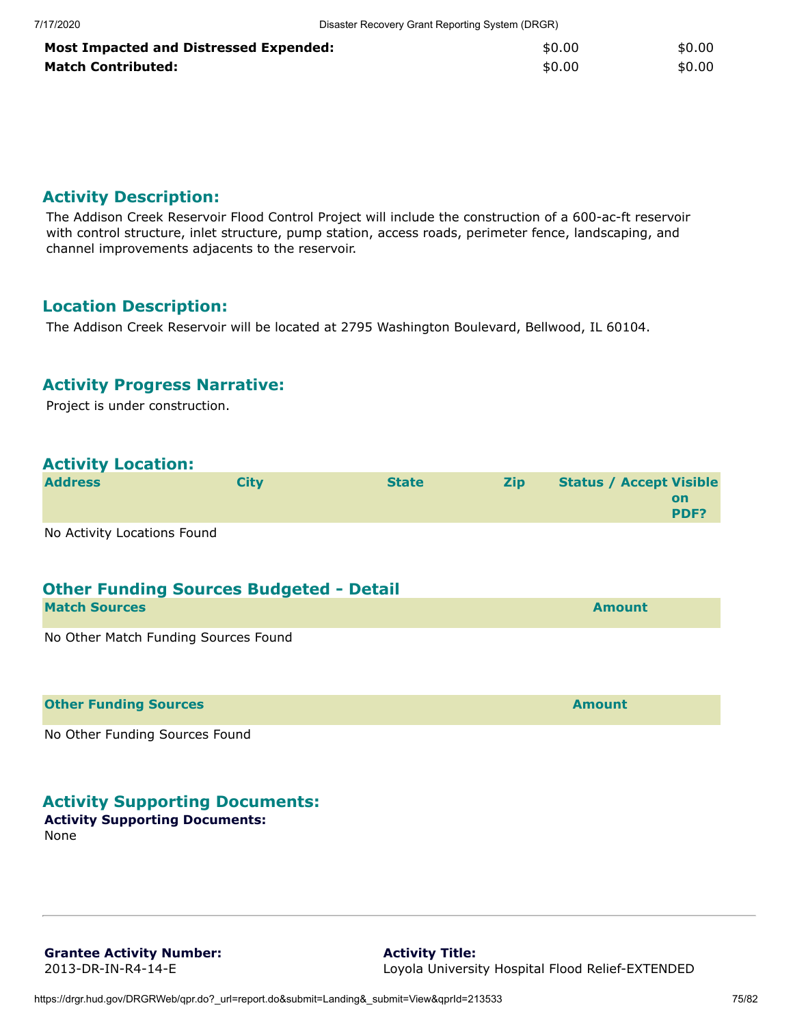| <b>Most Impacted and Distressed Expended:</b> | \$0.00 | \$0.00 |
|-----------------------------------------------|--------|--------|
| <b>Match Contributed:</b>                     | \$0.00 | \$0.00 |

## **Activity Description:**

The Addison Creek Reservoir Flood Control Project will include the construction of a 600-ac-ft reservoir with control structure, inlet structure, pump station, access roads, perimeter fence, landscaping, and channel improvements adjacents to the reservoir.

## **Location Description:**

The Addison Creek Reservoir will be located at 2795 Washington Boulevard, Bellwood, IL 60104.

## **Activity Progress Narrative:**

Project is under construction.

## **Activity Location:**

| <b>Address</b> | City | <b>State</b> | <b>Zip</b> | <b>Status / Accept Visible</b> |      |
|----------------|------|--------------|------------|--------------------------------|------|
|                |      |              |            |                                | on   |
|                |      |              |            |                                | PDF? |

No Activity Locations Found

# **Other Funding Sources Budgeted - Detail Match Sources Amount** No Other Match Funding Sources Found

**Other Funding Sources Amount** 

No Other Funding Sources Found

## **Activity Supporting Documents:**

#### **Activity Supporting Documents:** None

**Grantee Activity Number:** 2013-DR-IN-R4-14-E

**Activity Title:** Loyola University Hospital Flood Relief-EXTENDED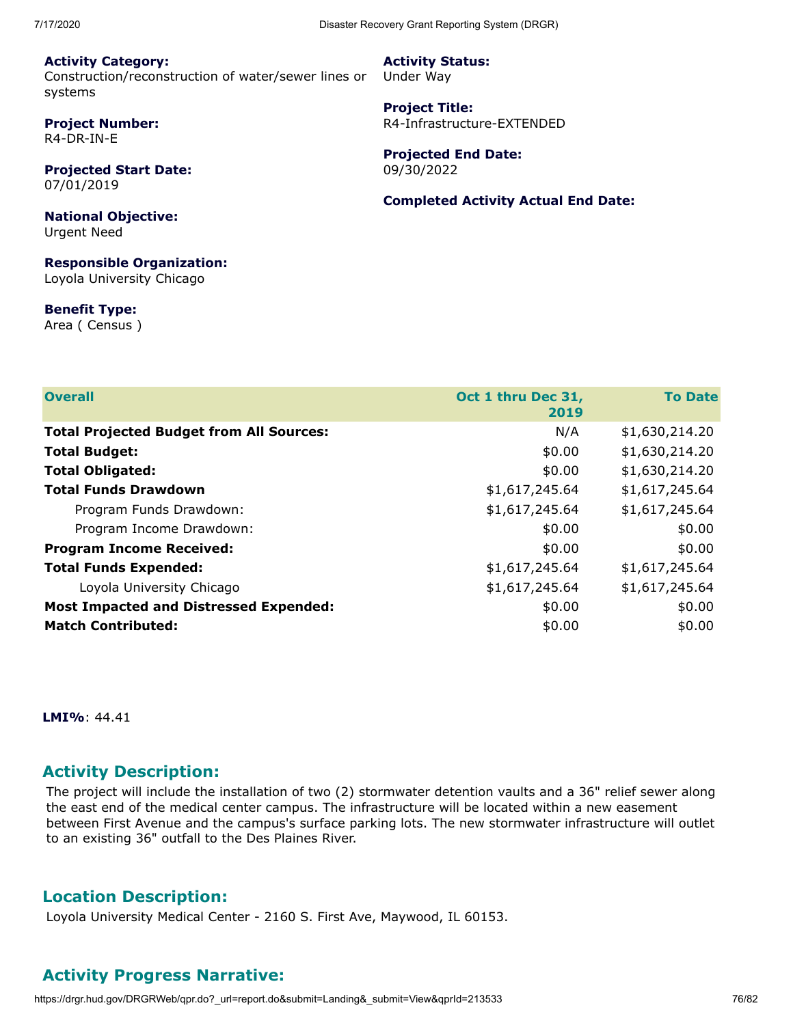**Activity Category:** Construction/reconstruction of water/sewer lines or systems

**Project Number:** R4-DR-IN-E

**Projected Start Date:** 07/01/2019

**National Objective:** Urgent Need

**Responsible Organization:** Loyola University Chicago

**Benefit Type:**

Area ( Census )

| <b>Activity Status:</b> |  |
|-------------------------|--|
| Under Way               |  |

**Project Title:** R4-Infrastructure-EXTENDED

**Projected End Date:** 09/30/2022

**Completed Activity Actual End Date:**

| <b>Overall</b>                                  | Oct 1 thru Dec 31, | <b>To Date</b> |
|-------------------------------------------------|--------------------|----------------|
|                                                 | 2019               |                |
| <b>Total Projected Budget from All Sources:</b> | N/A                | \$1,630,214.20 |
| <b>Total Budget:</b>                            | \$0.00             | \$1,630,214.20 |
| <b>Total Obligated:</b>                         | \$0.00             | \$1,630,214.20 |
| <b>Total Funds Drawdown</b>                     | \$1,617,245.64     | \$1,617,245.64 |
| Program Funds Drawdown:                         | \$1,617,245.64     | \$1,617,245.64 |
| Program Income Drawdown:                        | \$0.00             | \$0.00         |
| <b>Program Income Received:</b>                 | \$0.00             | \$0.00         |
| <b>Total Funds Expended:</b>                    | \$1,617,245.64     | \$1,617,245.64 |
| Loyola University Chicago                       | \$1,617,245.64     | \$1,617,245.64 |
| <b>Most Impacted and Distressed Expended:</b>   | \$0.00             | \$0.00         |
| <b>Match Contributed:</b>                       | \$0.00             | \$0.00         |

**LMI%**: 44.41

## **Activity Description:**

The project will include the installation of two (2) stormwater detention vaults and a 36" relief sewer along the east end of the medical center campus. The infrastructure will be located within a new easement between First Avenue and the campus's surface parking lots. The new stormwater infrastructure will outlet to an existing 36" outfall to the Des Plaines River.

## **Location Description:**

Loyola University Medical Center - 2160 S. First Ave, Maywood, IL 60153.

## **Activity Progress Narrative:**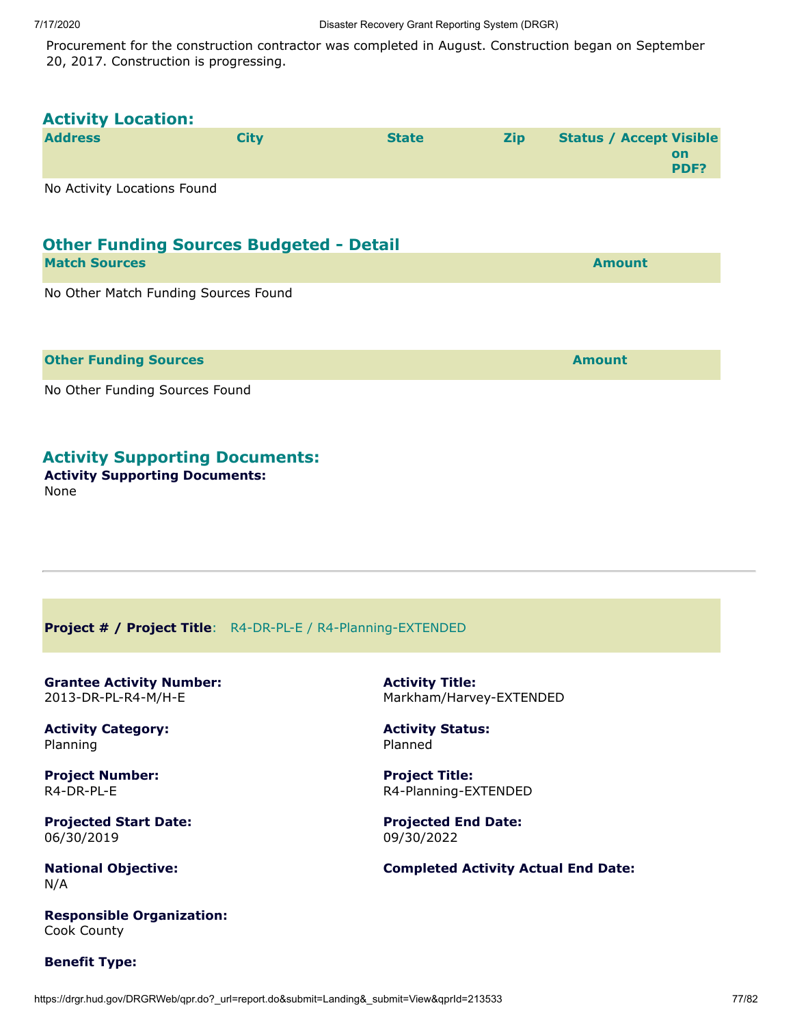Procurement for the construction contractor was completed in August. Construction began on September 20, 2017. Construction is progressing.

| <b>Activity Location:</b>                      |             |              |            |                                              |
|------------------------------------------------|-------------|--------------|------------|----------------------------------------------|
| <b>Address</b>                                 | <b>City</b> | <b>State</b> | <b>Zip</b> | <b>Status / Accept Visible</b><br>on<br>PDF? |
| No Activity Locations Found                    |             |              |            |                                              |
| <b>Other Funding Sources Budgeted - Detail</b> |             |              |            |                                              |
| <b>Match Sources</b>                           |             |              |            | <b>Amount</b>                                |
| No Other Match Funding Sources Found           |             |              |            |                                              |
| <b>Other Funding Sources</b>                   |             |              |            | <b>Amount</b>                                |
| No Other Funding Sources Found                 |             |              |            |                                              |
| <b>Activity Supporting Documents:</b>          |             |              |            |                                              |

#### **Activity Supporting Documents:** None

**Project # / Project Title**: R4-DR-PL-E / R4-Planning-EXTENDED

**Grantee Activity Number:** 2013-DR-PL-R4-M/H-E

**Activity Category:** Planning

**Project Number:** R4-DR-PL-E

**Projected Start Date:** 06/30/2019

**National Objective:** N/A

**Responsible Organization:** Cook County

**Benefit Type:**

**Activity Title:** Markham/Harvey-EXTENDED

**Activity Status:** Planned

**Project Title:** R4-Planning-EXTENDED

**Projected End Date:** 09/30/2022

**Completed Activity Actual End Date:**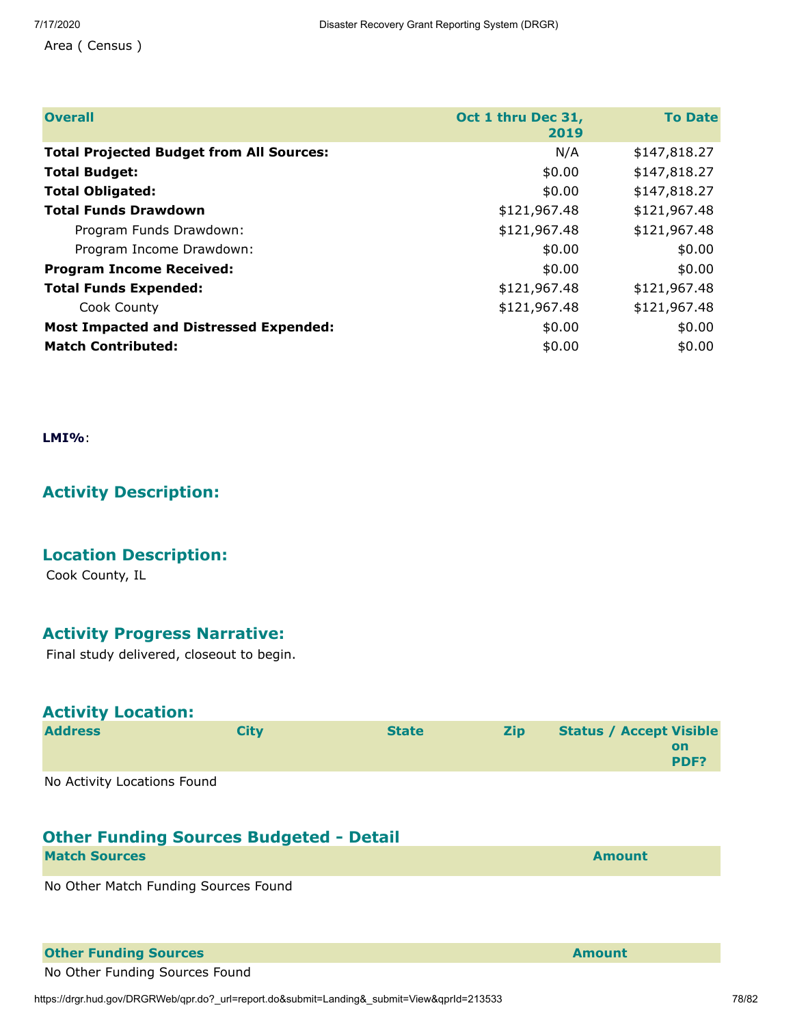Area ( Census )

| <b>Overall</b>                                  | Oct 1 thru Dec 31,<br>2019 | <b>To Date</b> |
|-------------------------------------------------|----------------------------|----------------|
| <b>Total Projected Budget from All Sources:</b> | N/A                        | \$147,818.27   |
| <b>Total Budget:</b>                            | \$0.00                     | \$147,818.27   |
| <b>Total Obligated:</b>                         | \$0.00                     | \$147,818.27   |
| <b>Total Funds Drawdown</b>                     | \$121,967.48               | \$121,967.48   |
| Program Funds Drawdown:                         | \$121,967.48               | \$121,967.48   |
| Program Income Drawdown:                        | \$0.00                     | \$0.00         |
| <b>Program Income Received:</b>                 | \$0.00                     | \$0.00         |
| <b>Total Funds Expended:</b>                    | \$121,967.48               | \$121,967.48   |
| Cook County                                     | \$121,967.48               | \$121,967.48   |
| <b>Most Impacted and Distressed Expended:</b>   | \$0.00                     | \$0.00         |
| <b>Match Contributed:</b>                       | \$0.00                     | \$0.00         |

**LMI%**:

# **Activity Description:**

## **Location Description:**

Cook County, IL

## **Activity Progress Narrative:**

Final study delivered, closeout to begin.

| <b>Activity Location:</b>   |             |              |            |                                |                   |
|-----------------------------|-------------|--------------|------------|--------------------------------|-------------------|
| <b>Address</b>              | <b>City</b> | <b>State</b> | <b>Zip</b> | <b>Status / Accept Visible</b> | <b>on</b><br>PDF? |
| No Activity Locations Found |             |              |            |                                |                   |

## **Other Funding Sources Budgeted - Detail**

**Match Sources Amount** 

No Other Match Funding Sources Found

#### **Other Funding Sources Amount**

No Other Funding Sources Found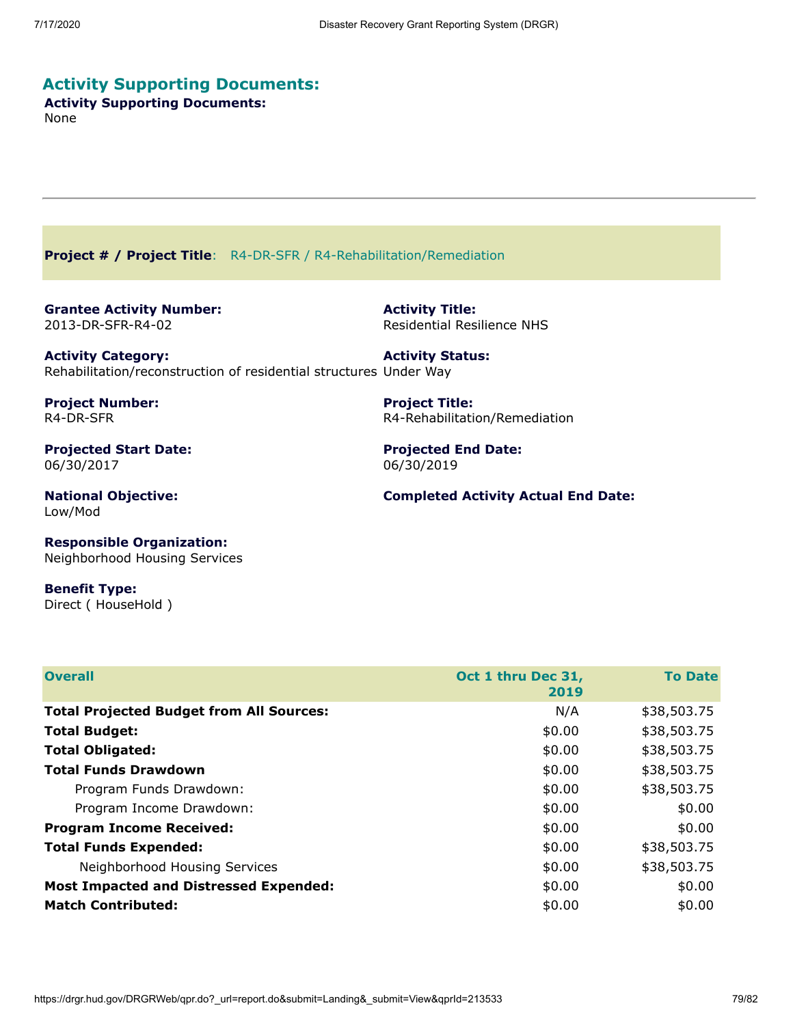# **Activity Supporting Documents:**

**Activity Supporting Documents:** None

**Project # / Project Title**: R4-DR-SFR / R4-Rehabilitation/Remediation

**Grantee Activity Number:** 2013-DR-SFR-R4-02

**Activity Title:** Residential Resilience NHS

**Activity Category:** Rehabilitation/reconstruction of residential structures Under Way **Activity Status:**

**Project Number:** R4-DR-SFR

**Projected Start Date:** 06/30/2017

**National Objective:** Low/Mod

**Project Title:**

R4-Rehabilitation/Remediation

**Projected End Date:** 06/30/2019

**Completed Activity Actual End Date:**

**Responsible Organization:** Neighborhood Housing Services

**Benefit Type:** Direct ( HouseHold )

| <b>Overall</b>                                  | Oct 1 thru Dec 31,<br>2019 | <b>To Date</b> |
|-------------------------------------------------|----------------------------|----------------|
| <b>Total Projected Budget from All Sources:</b> | N/A                        | \$38,503.75    |
| <b>Total Budget:</b>                            | \$0.00                     | \$38,503.75    |
| <b>Total Obligated:</b>                         | \$0.00                     | \$38,503.75    |
| <b>Total Funds Drawdown</b>                     | \$0.00                     | \$38,503.75    |
| Program Funds Drawdown:                         | \$0.00                     | \$38,503.75    |
| Program Income Drawdown:                        | \$0.00                     | \$0.00         |
| <b>Program Income Received:</b>                 | \$0.00                     | \$0.00         |
| <b>Total Funds Expended:</b>                    | \$0.00                     | \$38,503.75    |
| Neighborhood Housing Services                   | \$0.00                     | \$38,503.75    |
| <b>Most Impacted and Distressed Expended:</b>   | \$0.00                     | \$0.00         |
| <b>Match Contributed:</b>                       | \$0.00                     | \$0.00         |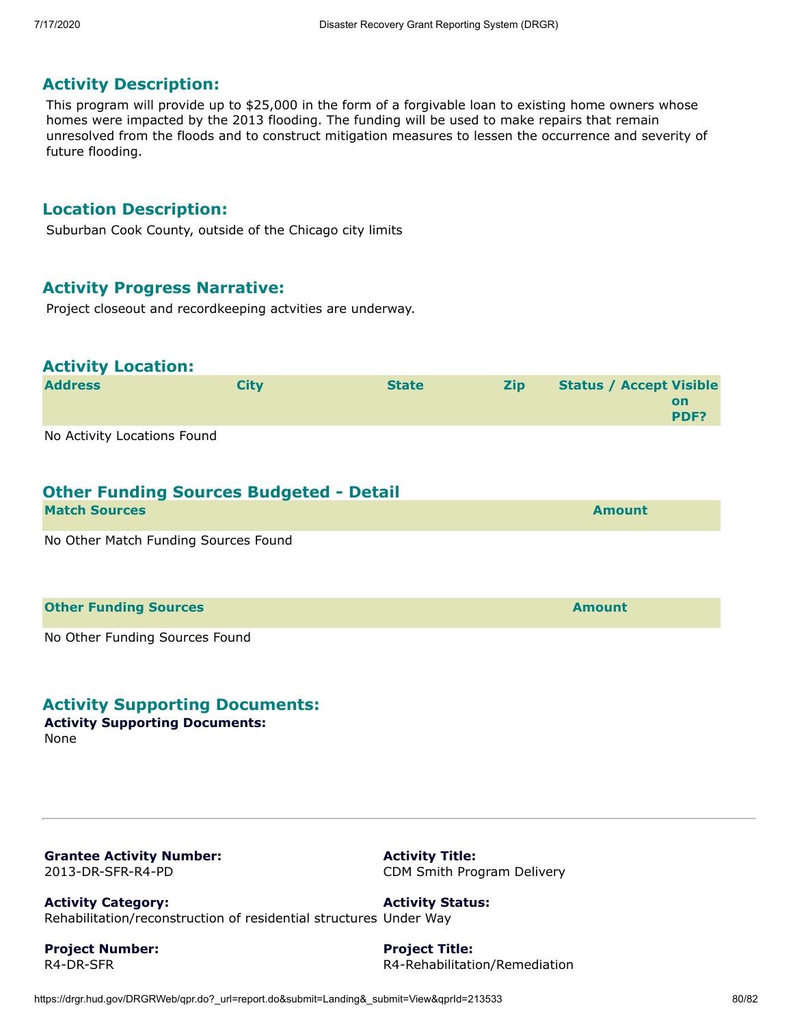## **Activity Description:**

This program will provide up to \$25,000 in the form of a forgivable loan to existing home owners whose homes were impacted by the 2013 flooding. The funding will be used to make repairs that remain unresolved from the floods and to construct mitigation measures to lessen the occurrence and severity of future flooding.

#### **Location Description:**

Suburban Cook County, outside of the Chicago city limits

## **Activity Progress Narrative:**

Project closeout and recordkeeping actvities are underway.

#### **Activity Location:**

| <b>Address</b>              | Citv | <b>State</b> | <b>Zip</b> | <b>Status / Accept Visible</b> |
|-----------------------------|------|--------------|------------|--------------------------------|
|                             |      |              |            | on<br>PDF?                     |
| No Activity Locations Found |      |              |            |                                |

No Activity Locations Found

## **Other Funding Sources Budgeted - Detail**

| <b>Match Sources</b>                 | <b>Amount</b> |
|--------------------------------------|---------------|
| No Other Match Funding Sources Found |               |
| <b>Other Funding Sources</b>         | <b>Amount</b> |

No Other Funding Sources Found

## **Activity Supporting Documents:**

**Activity Supporting Documents:** None

**Grantee Activity Number:** 2013-DR-SFR-R4-PD

**Activity Title:** CDM Smith Program Delivery

**Activity Category:** Rehabilitation/reconstruction of residential structures Under Way **Activity Status:**

**Project Number:** R4-DR-SFR

**Project Title:** R4-Rehabilitation/Remediation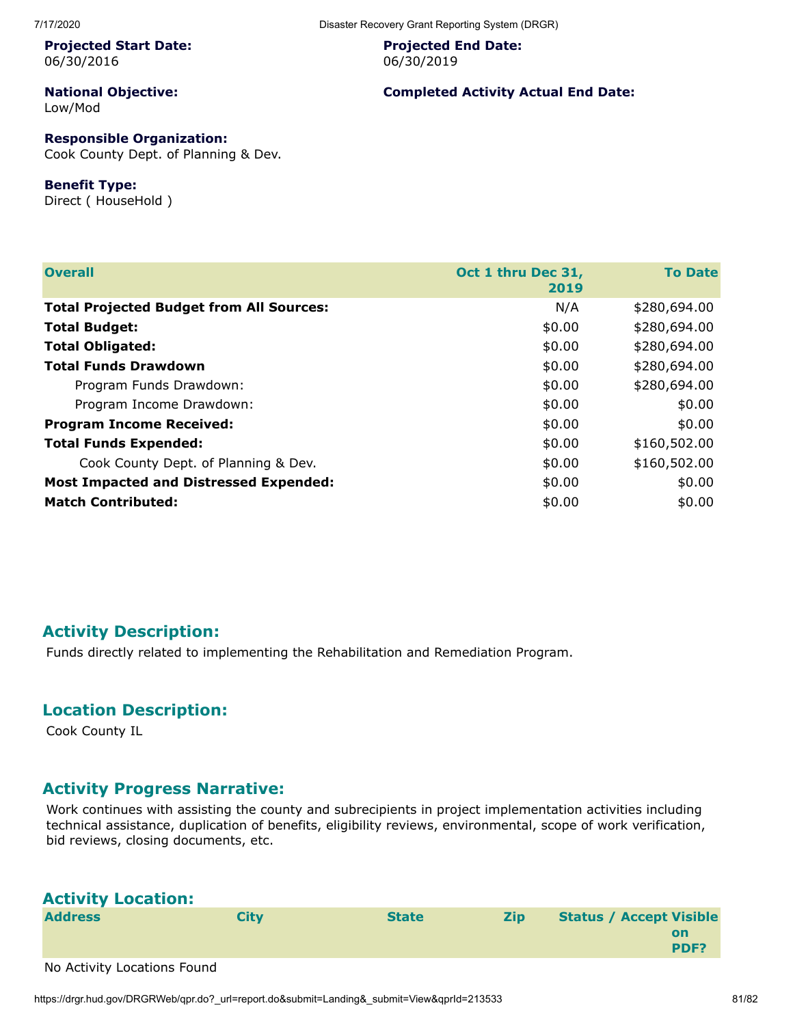#### **Projected Start Date:** 06/30/2016

**National Objective:** Low/Mod

# **Responsible Organization:**

Cook County Dept. of Planning & Dev.

#### **Benefit Type:**

Direct ( HouseHold )

**Projected End Date:** 06/30/2019

#### **Completed Activity Actual End Date:**

| <b>Overall</b>                                  | Oct 1 thru Dec 31,<br>2019 | <b>To Date</b> |
|-------------------------------------------------|----------------------------|----------------|
| <b>Total Projected Budget from All Sources:</b> | N/A                        | \$280,694.00   |
| <b>Total Budget:</b>                            | \$0.00                     | \$280,694.00   |
| <b>Total Obligated:</b>                         | \$0.00                     | \$280,694.00   |
| <b>Total Funds Drawdown</b>                     | \$0.00                     | \$280,694.00   |
| Program Funds Drawdown:                         | \$0.00                     | \$280,694.00   |
| Program Income Drawdown:                        | \$0.00                     | \$0.00         |
| <b>Program Income Received:</b>                 | \$0.00                     | \$0.00         |
| <b>Total Funds Expended:</b>                    | \$0.00                     | \$160,502.00   |
| Cook County Dept. of Planning & Dev.            | \$0.00                     | \$160,502.00   |
| <b>Most Impacted and Distressed Expended:</b>   | \$0.00                     | \$0.00         |
| <b>Match Contributed:</b>                       | \$0.00                     | \$0.00         |

# **Activity Description:**

Funds directly related to implementing the Rehabilitation and Remediation Program.

# **Location Description:**

Cook County IL

# **Activity Progress Narrative:**

Work continues with assisting the county and subrecipients in project implementation activities including technical assistance, duplication of benefits, eligibility reviews, environmental, scope of work verification, bid reviews, closing documents, etc.

| <b>Activity Location:</b>   |      |              |            |                                |            |
|-----------------------------|------|--------------|------------|--------------------------------|------------|
| <b>Address</b>              | City | <b>State</b> | <b>Zip</b> | <b>Status / Accept Visible</b> | on<br>PDF? |
| No Activity Locations Found |      |              |            |                                |            |

https://drgr.hud.gov/DRGRWeb/qpr.do?\_url=report.do&submit=Landing&\_submit=View&qprId=213533 81/82